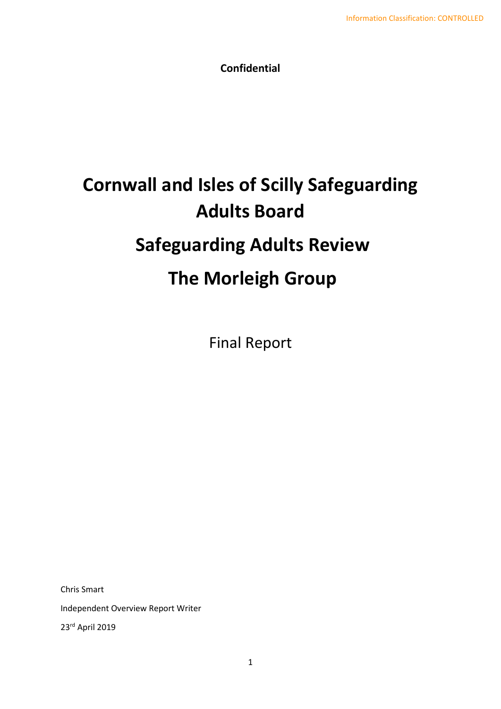**Confidential**

# **Cornwall and Isles of Scilly Safeguarding Adults Board Safeguarding Adults Review The Morleigh Group**

Final Report

Chris Smart

Independent Overview Report Writer

23rd April 2019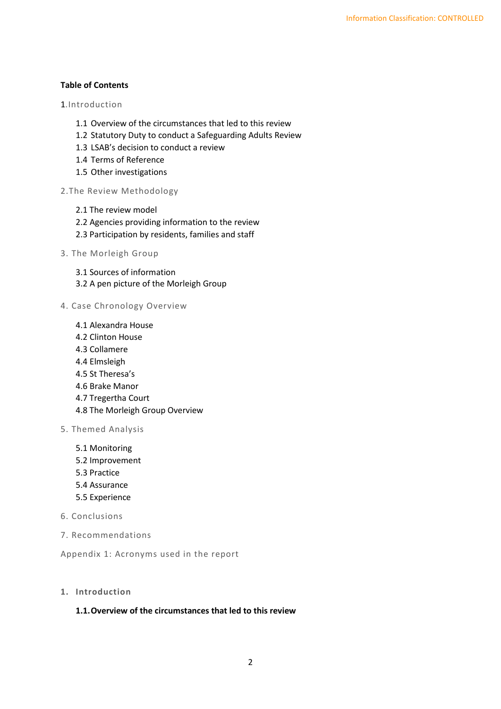#### **Table of Contents**

1.Introduction

- 1.1 Overview of the circumstances that led to this review
- 1.2 Statutory Duty to conduct a Safeguarding Adults Review
- 1.3 LSAB's decision to conduct a review
- 1.4 Terms of Reference
- 1.5 Other investigations
- 2.The Review Methodology
	- 2.1 The review model
	- 2.2 Agencies providing information to the review
	- 2.3 Participation by residents, families and staff
- 3. The Morleigh Group
	- 3.1 Sources of information
	- 3.2 A pen picture of the Morleigh Group
- 4. Case Chronology Overview
	- 4.1 Alexandra House
	- 4.2 Clinton House
	- 4.3 Collamere
	- 4.4 Elmsleigh
	- 4.5 St Theresa's
	- 4.6 Brake Manor
	- 4.7 Tregertha Court
	- 4.8 The Morleigh Group Overview
- 5. Themed Analysis
	- 5.1 Monitoring
	- 5.2 Improvement
	- 5.3 Practice
	- 5.4 Assurance
	- 5.5 Experience
- 6. Conclusions
- 7. Recommendations

Appendix 1: Acronyms used in the report

**1. Introduction**

#### **1.1.Overview of the circumstances that led to this review**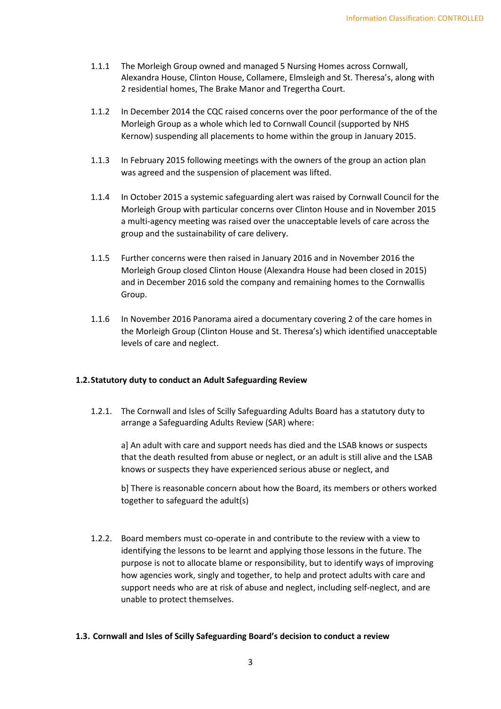- 1.1.1 The Morleigh Group owned and managed 5 Nursing Homes across Cornwall, Alexandra House, Clinton House, Collamere, Elmsleigh and St. Theresa's, along with 2 residential homes, The Brake Manor and Tregertha Court.
- 1.1.2 In December 2014 the CQC raised concerns over the poor performance of the of the Morleigh Group as a whole which led to Cornwall Council (supported by NHS Kernow) suspending all placements to home within the group in January 2015.
- 1.1.3 In February 2015 following meetings with the owners of the group an action plan was agreed and the suspension of placement was lifted.
- 1.1.4 In October 2015 a systemic safeguarding alert was raised by Cornwall Council for the Morleigh Group with particular concerns over Clinton House and in November 2015 a multi-agency meeting was raised over the unacceptable levels of care across the group and the sustainability of care delivery.
- 1.1.5 Further concerns were then raised in January 2016 and in November 2016 the Morleigh Group closed Clinton House (Alexandra House had been closed in 2015) and in December 2016 sold the company and remaining homes to the Cornwallis Group.
- 1.1.6 In November 2016 Panorama aired a documentary covering 2 of the care homes in the Morleigh Group (Clinton House and St. Theresa's) which identified unacceptable levels of care and neglect.

## **1.2.Statutory duty to conduct an Adult Safeguarding Review**

1.2.1. The Cornwall and Isles of Scilly Safeguarding Adults Board has a statutory duty to arrange a Safeguarding Adults Review (SAR) where:

a] An adult with care and support needs has died and the LSAB knows or suspects that the death resulted from abuse or neglect, or an adult is still alive and the LSAB knows or suspects they have experienced serious abuse or neglect, and

b] There is reasonable concern about how the Board, its members or others worked together to safeguard the adult(s)

1.2.2. Board members must co-operate in and contribute to the review with a view to identifying the lessons to be learnt and applying those lessons in the future. The purpose is not to allocate blame or responsibility, but to identify ways of improving how agencies work, singly and together, to help and protect adults with care and support needs who are at risk of abuse and neglect, including self-neglect, and are unable to protect themselves.

## **1.3. Cornwall and Isles of Scilly Safeguarding Board's decision to conduct a review**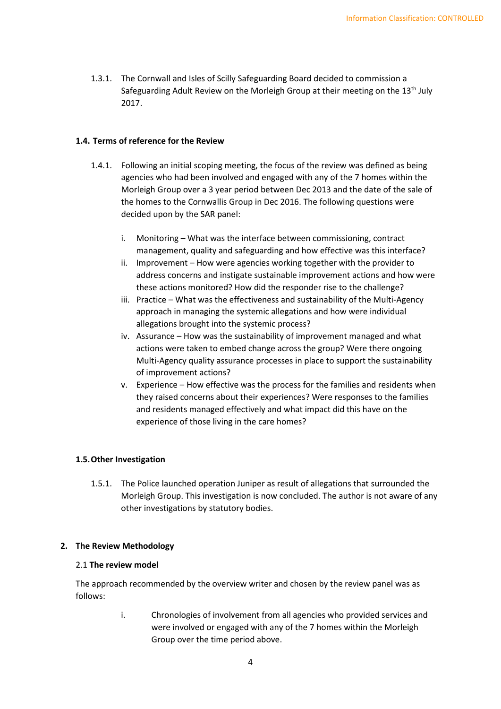1.3.1. The Cornwall and Isles of Scilly Safeguarding Board decided to commission a Safeguarding Adult Review on the Morleigh Group at their meeting on the 13<sup>th</sup> July 2017.

#### **1.4. Terms of reference for the Review**

- 1.4.1. Following an initial scoping meeting, the focus of the review was defined as being agencies who had been involved and engaged with any of the 7 homes within the Morleigh Group over a 3 year period between Dec 2013 and the date of the sale of the homes to the Cornwallis Group in Dec 2016. The following questions were decided upon by the SAR panel:
	- i. Monitoring What was the interface between commissioning, contract management, quality and safeguarding and how effective was this interface?
	- ii. Improvement How were agencies working together with the provider to address concerns and instigate sustainable improvement actions and how were these actions monitored? How did the responder rise to the challenge?
	- iii. Practice What was the effectiveness and sustainability of the Multi-Agency approach in managing the systemic allegations and how were individual allegations brought into the systemic process?
	- iv. Assurance How was the sustainability of improvement managed and what actions were taken to embed change across the group? Were there ongoing Multi-Agency quality assurance processes in place to support the sustainability of improvement actions?
	- v. Experience How effective was the process for the families and residents when they raised concerns about their experiences? Were responses to the families and residents managed effectively and what impact did this have on the experience of those living in the care homes?

## **1.5.Other Investigation**

1.5.1. The Police launched operation Juniper as result of allegations that surrounded the Morleigh Group. This investigation is now concluded. The author is not aware of any other investigations by statutory bodies.

#### **2. The Review Methodology**

#### 2.1 **The review model**

The approach recommended by the overview writer and chosen by the review panel was as follows:

> i. Chronologies of involvement from all agencies who provided services and were involved or engaged with any of the 7 homes within the Morleigh Group over the time period above.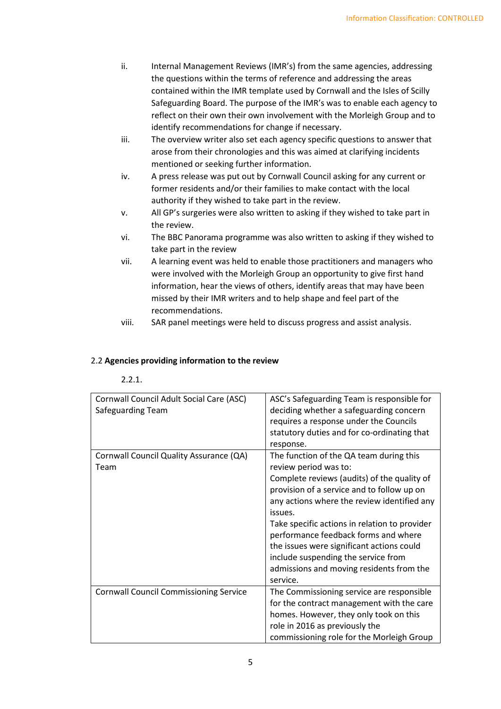- ii. Internal Management Reviews (IMR's) from the same agencies, addressing the questions within the terms of reference and addressing the areas contained within the IMR template used by Cornwall and the Isles of Scilly Safeguarding Board. The purpose of the IMR's was to enable each agency to reflect on their own their own involvement with the Morleigh Group and to identify recommendations for change if necessary.
- iii. The overview writer also set each agency specific questions to answer that arose from their chronologies and this was aimed at clarifying incidents mentioned or seeking further information.
- iv. A press release was put out by Cornwall Council asking for any current or former residents and/or their families to make contact with the local authority if they wished to take part in the review.
- v. All GP's surgeries were also written to asking if they wished to take part in the review.
- vi. The BBC Panorama programme was also written to asking if they wished to take part in the review
- vii. A learning event was held to enable those practitioners and managers who were involved with the Morleigh Group an opportunity to give first hand information, hear the views of others, identify areas that may have been missed by their IMR writers and to help shape and feel part of the recommendations.
- viii. SAR panel meetings were held to discuss progress and assist analysis.

## 2.2 **Agencies providing information to the review**

## 2.2.1.

| Cornwall Council Adult Social Care (ASC)      | ASC's Safeguarding Team is responsible for    |  |  |  |
|-----------------------------------------------|-----------------------------------------------|--|--|--|
| Safeguarding Team                             | deciding whether a safeguarding concern       |  |  |  |
|                                               | requires a response under the Councils        |  |  |  |
|                                               | statutory duties and for co-ordinating that   |  |  |  |
|                                               | response.                                     |  |  |  |
| Cornwall Council Quality Assurance (QA)       | The function of the QA team during this       |  |  |  |
| Team                                          | review period was to:                         |  |  |  |
|                                               | Complete reviews (audits) of the quality of   |  |  |  |
|                                               | provision of a service and to follow up on    |  |  |  |
|                                               | any actions where the review identified any   |  |  |  |
|                                               | issues.                                       |  |  |  |
|                                               | Take specific actions in relation to provider |  |  |  |
|                                               | performance feedback forms and where          |  |  |  |
|                                               | the issues were significant actions could     |  |  |  |
|                                               | include suspending the service from           |  |  |  |
|                                               | admissions and moving residents from the      |  |  |  |
|                                               | service.                                      |  |  |  |
| <b>Cornwall Council Commissioning Service</b> | The Commissioning service are responsible     |  |  |  |
|                                               | for the contract management with the care     |  |  |  |
|                                               | homes. However, they only took on this        |  |  |  |
|                                               | role in 2016 as previously the                |  |  |  |
|                                               | commissioning role for the Morleigh Group     |  |  |  |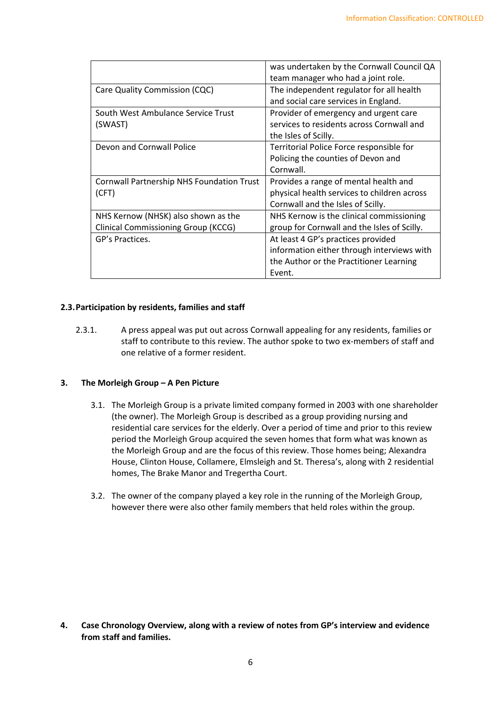|                                            | was undertaken by the Cornwall Council QA   |  |  |  |
|--------------------------------------------|---------------------------------------------|--|--|--|
|                                            | team manager who had a joint role.          |  |  |  |
| Care Quality Commission (CQC)              | The independent regulator for all health    |  |  |  |
|                                            | and social care services in England.        |  |  |  |
| South West Ambulance Service Trust         | Provider of emergency and urgent care       |  |  |  |
| (SWAST)                                    | services to residents across Cornwall and   |  |  |  |
|                                            | the Isles of Scilly.                        |  |  |  |
| Devon and Cornwall Police                  | Territorial Police Force responsible for    |  |  |  |
|                                            | Policing the counties of Devon and          |  |  |  |
|                                            | Cornwall.                                   |  |  |  |
| Cornwall Partnership NHS Foundation Trust  | Provides a range of mental health and       |  |  |  |
| (CFT)                                      | physical health services to children across |  |  |  |
|                                            | Cornwall and the Isles of Scilly.           |  |  |  |
| NHS Kernow (NHSK) also shown as the        | NHS Kernow is the clinical commissioning    |  |  |  |
| <b>Clinical Commissioning Group (KCCG)</b> | group for Cornwall and the Isles of Scilly. |  |  |  |
| GP's Practices.                            | At least 4 GP's practices provided          |  |  |  |
|                                            | information either through interviews with  |  |  |  |
|                                            | the Author or the Practitioner Learning     |  |  |  |
|                                            | Event.                                      |  |  |  |

#### **2.3.Participation by residents, families and staff**

2.3.1. A press appeal was put out across Cornwall appealing for any residents, families or staff to contribute to this review. The author spoke to two ex-members of staff and one relative of a former resident.

## **3. The Morleigh Group – A Pen Picture**

- 3.1. The Morleigh Group is a private limited company formed in 2003 with one shareholder (the owner). The Morleigh Group is described as a group providing nursing and residential care services for the elderly. Over a period of time and prior to this review period the Morleigh Group acquired the seven homes that form what was known as the Morleigh Group and are the focus of this review. Those homes being; Alexandra House, Clinton House, Collamere, Elmsleigh and St. Theresa's, along with 2 residential homes, The Brake Manor and Tregertha Court.
- 3.2. The owner of the company played a key role in the running of the Morleigh Group, however there were also other family members that held roles within the group.

**4. Case Chronology Overview, along with a review of notes from GP's interview and evidence from staff and families.**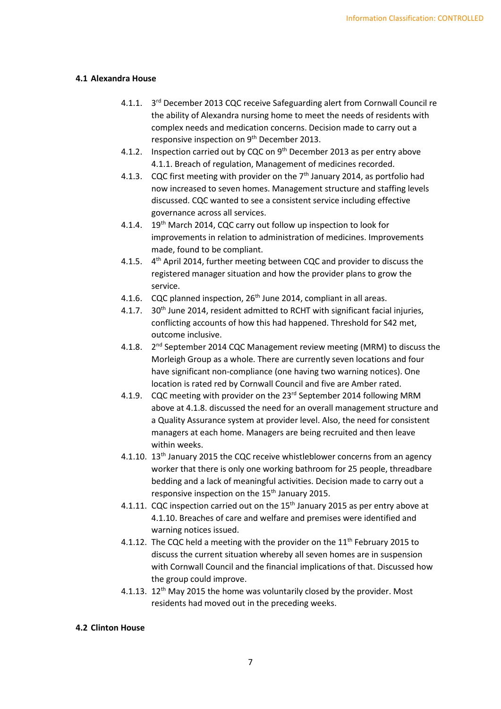#### **4.1 Alexandra House**

- 4.1.1. 3rd December 2013 CQC receive Safeguarding alert from Cornwall Council re the ability of Alexandra nursing home to meet the needs of residents with complex needs and medication concerns. Decision made to carry out a responsive inspection on 9<sup>th</sup> December 2013.
- 4.1.2. Inspection carried out by CQC on 9<sup>th</sup> December 2013 as per entry above 4.1.1. Breach of regulation, Management of medicines recorded.
- 4.1.3. CQC first meeting with provider on the  $7<sup>th</sup>$  January 2014, as portfolio had now increased to seven homes. Management structure and staffing levels discussed. CQC wanted to see a consistent service including effective governance across all services.
- 4.1.4. 19<sup>th</sup> March 2014, CQC carry out follow up inspection to look for improvements in relation to administration of medicines. Improvements made, found to be compliant.
- 4.1.5. 4<sup>th</sup> April 2014, further meeting between CQC and provider to discuss the registered manager situation and how the provider plans to grow the service.
- 4.1.6. CQC planned inspection, 26<sup>th</sup> June 2014, compliant in all areas.
- 4.1.7. 30<sup>th</sup> June 2014, resident admitted to RCHT with significant facial injuries, conflicting accounts of how this had happened. Threshold for S42 met, outcome inclusive.
- 4.1.8. 2<sup>nd</sup> September 2014 CQC Management review meeting (MRM) to discuss the Morleigh Group as a whole. There are currently seven locations and four have significant non-compliance (one having two warning notices). One location is rated red by Cornwall Council and five are Amber rated.
- 4.1.9. CQC meeting with provider on the 23<sup>rd</sup> September 2014 following MRM above at 4.1.8. discussed the need for an overall management structure and a Quality Assurance system at provider level. Also, the need for consistent managers at each home. Managers are being recruited and then leave within weeks.
- 4.1.10. 13<sup>th</sup> January 2015 the CQC receive whistleblower concerns from an agency worker that there is only one working bathroom for 25 people, threadbare bedding and a lack of meaningful activities. Decision made to carry out a responsive inspection on the 15<sup>th</sup> January 2015.
- 4.1.11. CQC inspection carried out on the  $15<sup>th</sup>$  January 2015 as per entry above at 4.1.10. Breaches of care and welfare and premises were identified and warning notices issued.
- 4.1.12. The CQC held a meeting with the provider on the 11<sup>th</sup> February 2015 to discuss the current situation whereby all seven homes are in suspension with Cornwall Council and the financial implications of that. Discussed how the group could improve.
- 4.1.13. 12<sup>th</sup> May 2015 the home was voluntarily closed by the provider. Most residents had moved out in the preceding weeks.

#### **4.2 Clinton House**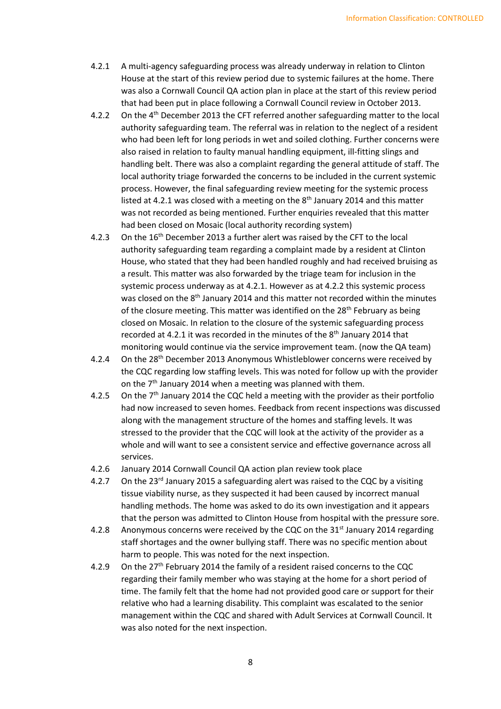- 4.2.1 A multi-agency safeguarding process was already underway in relation to Clinton House at the start of this review period due to systemic failures at the home. There was also a Cornwall Council QA action plan in place at the start of this review period that had been put in place following a Cornwall Council review in October 2013.
- 4.2.2 On the 4<sup>th</sup> December 2013 the CFT referred another safeguarding matter to the local authority safeguarding team. The referral was in relation to the neglect of a resident who had been left for long periods in wet and soiled clothing. Further concerns were also raised in relation to faulty manual handling equipment, ill-fitting slings and handling belt. There was also a complaint regarding the general attitude of staff. The local authority triage forwarded the concerns to be included in the current systemic process. However, the final safeguarding review meeting for the systemic process listed at 4.2.1 was closed with a meeting on the  $8<sup>th</sup>$  January 2014 and this matter was not recorded as being mentioned. Further enquiries revealed that this matter had been closed on Mosaic (local authority recording system)
- 4.2.3 On the 16<sup>th</sup> December 2013 a further alert was raised by the CFT to the local authority safeguarding team regarding a complaint made by a resident at Clinton House, who stated that they had been handled roughly and had received bruising as a result. This matter was also forwarded by the triage team for inclusion in the systemic process underway as at 4.2.1. However as at 4.2.2 this systemic process was closed on the 8<sup>th</sup> January 2014 and this matter not recorded within the minutes of the closure meeting. This matter was identified on the  $28<sup>th</sup>$  February as being closed on Mosaic. In relation to the closure of the systemic safeguarding process recorded at 4.2.1 it was recorded in the minutes of the 8<sup>th</sup> January 2014 that monitoring would continue via the service improvement team. (now the QA team)
- 4.2.4 On the 28<sup>th</sup> December 2013 Anonymous Whistleblower concerns were received by the CQC regarding low staffing levels. This was noted for follow up with the provider on the  $7<sup>th</sup>$  January 2014 when a meeting was planned with them.
- 4.2.5 On the  $7<sup>th</sup>$  January 2014 the CQC held a meeting with the provider as their portfolio had now increased to seven homes. Feedback from recent inspections was discussed along with the management structure of the homes and staffing levels. It was stressed to the provider that the CQC will look at the activity of the provider as a whole and will want to see a consistent service and effective governance across all services.
- 4.2.6 January 2014 Cornwall Council QA action plan review took place
- 4.2.7 On the 23<sup>rd</sup> January 2015 a safeguarding alert was raised to the CQC by a visiting tissue viability nurse, as they suspected it had been caused by incorrect manual handling methods. The home was asked to do its own investigation and it appears that the person was admitted to Clinton House from hospital with the pressure sore.
- 4.2.8 Anonymous concerns were received by the CQC on the  $31<sup>st</sup>$  January 2014 regarding staff shortages and the owner bullying staff. There was no specific mention about harm to people. This was noted for the next inspection.
- 4.2.9 On the  $27<sup>th</sup>$  February 2014 the family of a resident raised concerns to the CQC regarding their family member who was staying at the home for a short period of time. The family felt that the home had not provided good care or support for their relative who had a learning disability. This complaint was escalated to the senior management within the CQC and shared with Adult Services at Cornwall Council. It was also noted for the next inspection.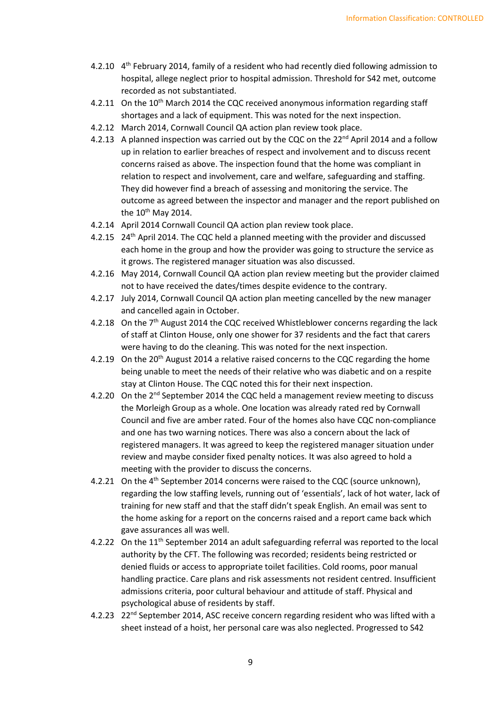- 4.2.10 4<sup>th</sup> February 2014, family of a resident who had recently died following admission to hospital, allege neglect prior to hospital admission. Threshold for S42 met, outcome recorded as not substantiated.
- 4.2.11 On the 10<sup>th</sup> March 2014 the CQC received anonymous information regarding staff shortages and a lack of equipment. This was noted for the next inspection.
- 4.2.12 March 2014, Cornwall Council QA action plan review took place.
- 4.2.13 A planned inspection was carried out by the CQC on the  $22<sup>nd</sup>$  April 2014 and a follow up in relation to earlier breaches of respect and involvement and to discuss recent concerns raised as above. The inspection found that the home was compliant in relation to respect and involvement, care and welfare, safeguarding and staffing. They did however find a breach of assessing and monitoring the service. The outcome as agreed between the inspector and manager and the report published on the  $10^{th}$  May 2014.
- 4.2.14 April 2014 Cornwall Council QA action plan review took place.
- 4.2.15 24th April 2014. The CQC held a planned meeting with the provider and discussed each home in the group and how the provider was going to structure the service as it grows. The registered manager situation was also discussed.
- 4.2.16 May 2014, Cornwall Council QA action plan review meeting but the provider claimed not to have received the dates/times despite evidence to the contrary.
- 4.2.17 July 2014, Cornwall Council QA action plan meeting cancelled by the new manager and cancelled again in October.
- 4.2.18 On the  $7<sup>th</sup>$  August 2014 the CQC received Whistleblower concerns regarding the lack of staff at Clinton House, only one shower for 37 residents and the fact that carers were having to do the cleaning. This was noted for the next inspection.
- 4.2.19 On the  $20<sup>th</sup>$  August 2014 a relative raised concerns to the CQC regarding the home being unable to meet the needs of their relative who was diabetic and on a respite stay at Clinton House. The CQC noted this for their next inspection.
- 4.2.20 On the  $2^{nd}$  September 2014 the CQC held a management review meeting to discuss the Morleigh Group as a whole. One location was already rated red by Cornwall Council and five are amber rated. Four of the homes also have CQC non-compliance and one has two warning notices. There was also a concern about the lack of registered managers. It was agreed to keep the registered manager situation under review and maybe consider fixed penalty notices. It was also agreed to hold a meeting with the provider to discuss the concerns.
- 4.2.21 On the 4<sup>th</sup> September 2014 concerns were raised to the CQC (source unknown), regarding the low staffing levels, running out of 'essentials', lack of hot water, lack of training for new staff and that the staff didn't speak English. An email was sent to the home asking for a report on the concerns raised and a report came back which gave assurances all was well.
- 4.2.22 On the 11<sup>th</sup> September 2014 an adult safeguarding referral was reported to the local authority by the CFT. The following was recorded; residents being restricted or denied fluids or access to appropriate toilet facilities. Cold rooms, poor manual handling practice. Care plans and risk assessments not resident centred. Insufficient admissions criteria, poor cultural behaviour and attitude of staff. Physical and psychological abuse of residents by staff.
- 4.2.23 22<sup>nd</sup> September 2014, ASC receive concern regarding resident who was lifted with a sheet instead of a hoist, her personal care was also neglected. Progressed to S42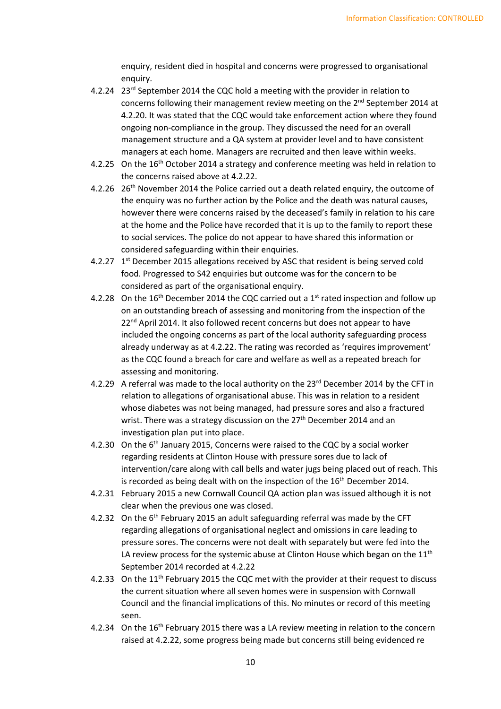enquiry, resident died in hospital and concerns were progressed to organisational enquiry.

- 4.2.24 23<sup>rd</sup> September 2014 the CQC hold a meeting with the provider in relation to concerns following their management review meeting on the  $2^{nd}$  September 2014 at 4.2.20. It was stated that the CQC would take enforcement action where they found ongoing non-compliance in the group. They discussed the need for an overall management structure and a QA system at provider level and to have consistent managers at each home. Managers are recruited and then leave within weeks.
- 4.2.25 On the 16<sup>th</sup> October 2014 a strategy and conference meeting was held in relation to the concerns raised above at 4.2.22.
- 4.2.26 26<sup>th</sup> November 2014 the Police carried out a death related enquiry, the outcome of the enquiry was no further action by the Police and the death was natural causes, however there were concerns raised by the deceased's family in relation to his care at the home and the Police have recorded that it is up to the family to report these to social services. The police do not appear to have shared this information or considered safeguarding within their enquiries.
- 4.2.27  $1<sup>st</sup>$  December 2015 allegations received by ASC that resident is being served cold food. Progressed to S42 enquiries but outcome was for the concern to be considered as part of the organisational enquiry.
- 4.2.28 On the  $16<sup>th</sup>$  December 2014 the CQC carried out a 1<sup>st</sup> rated inspection and follow up on an outstanding breach of assessing and monitoring from the inspection of the 22<sup>nd</sup> April 2014. It also followed recent concerns but does not appear to have included the ongoing concerns as part of the local authority safeguarding process already underway as at 4.2.22. The rating was recorded as 'requires improvement' as the CQC found a breach for care and welfare as well as a repeated breach for assessing and monitoring.
- 4.2.29 A referral was made to the local authority on the 23<sup>rd</sup> December 2014 by the CFT in relation to allegations of organisational abuse. This was in relation to a resident whose diabetes was not being managed, had pressure sores and also a fractured wrist. There was a strategy discussion on the 27<sup>th</sup> December 2014 and an investigation plan put into place.
- 4.2.30 On the 6<sup>th</sup> January 2015, Concerns were raised to the CQC by a social worker regarding residents at Clinton House with pressure sores due to lack of intervention/care along with call bells and water jugs being placed out of reach. This is recorded as being dealt with on the inspection of the  $16<sup>th</sup>$  December 2014.
- 4.2.31 February 2015 a new Cornwall Council QA action plan was issued although it is not clear when the previous one was closed.
- 4.2.32 On the 6<sup>th</sup> February 2015 an adult safeguarding referral was made by the CFT regarding allegations of organisational neglect and omissions in care leading to pressure sores. The concerns were not dealt with separately but were fed into the LA review process for the systemic abuse at Clinton House which began on the 11<sup>th</sup> September 2014 recorded at 4.2.22
- 4.2.33 On the 11<sup>th</sup> February 2015 the CQC met with the provider at their request to discuss the current situation where all seven homes were in suspension with Cornwall Council and the financial implications of this. No minutes or record of this meeting seen.
- 4.2.34 On the 16<sup>th</sup> February 2015 there was a LA review meeting in relation to the concern raised at 4.2.22, some progress being made but concerns still being evidenced re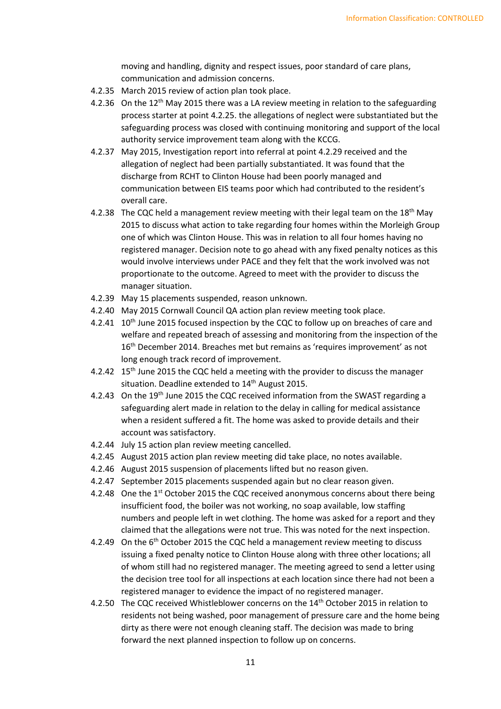moving and handling, dignity and respect issues, poor standard of care plans, communication and admission concerns.

- 4.2.35 March 2015 review of action plan took place.
- 4.2.36 On the  $12<sup>th</sup>$  May 2015 there was a LA review meeting in relation to the safeguarding process starter at point 4.2.25. the allegations of neglect were substantiated but the safeguarding process was closed with continuing monitoring and support of the local authority service improvement team along with the KCCG.
- 4.2.37 May 2015, Investigation report into referral at point 4.2.29 received and the allegation of neglect had been partially substantiated. It was found that the discharge from RCHT to Clinton House had been poorly managed and communication between EIS teams poor which had contributed to the resident's overall care.
- 4.2.38 The CQC held a management review meeting with their legal team on the 18<sup>th</sup> May 2015 to discuss what action to take regarding four homes within the Morleigh Group one of which was Clinton House. This was in relation to all four homes having no registered manager. Decision note to go ahead with any fixed penalty notices as this would involve interviews under PACE and they felt that the work involved was not proportionate to the outcome. Agreed to meet with the provider to discuss the manager situation.
- 4.2.39 May 15 placements suspended, reason unknown.
- 4.2.40 May 2015 Cornwall Council QA action plan review meeting took place.
- 4.2.41 10<sup>th</sup> June 2015 focused inspection by the CQC to follow up on breaches of care and welfare and repeated breach of assessing and monitoring from the inspection of the 16th December 2014. Breaches met but remains as 'requires improvement' as not long enough track record of improvement.
- 4.2.42 15<sup>th</sup> June 2015 the CQC held a meeting with the provider to discuss the manager situation. Deadline extended to 14<sup>th</sup> August 2015.
- 4.2.43 On the 19<sup>th</sup> June 2015 the CQC received information from the SWAST regarding a safeguarding alert made in relation to the delay in calling for medical assistance when a resident suffered a fit. The home was asked to provide details and their account was satisfactory.
- 4.2.44 July 15 action plan review meeting cancelled.
- 4.2.45 August 2015 action plan review meeting did take place, no notes available.
- 4.2.46 August 2015 suspension of placements lifted but no reason given.
- 4.2.47 September 2015 placements suspended again but no clear reason given.
- 4.2.48 One the 1<sup>st</sup> October 2015 the CQC received anonymous concerns about there being insufficient food, the boiler was not working, no soap available, low staffing numbers and people left in wet clothing. The home was asked for a report and they claimed that the allegations were not true. This was noted for the next inspection.
- 4.2.49 On the 6<sup>th</sup> October 2015 the CQC held a management review meeting to discuss issuing a fixed penalty notice to Clinton House along with three other locations; all of whom still had no registered manager. The meeting agreed to send a letter using the decision tree tool for all inspections at each location since there had not been a registered manager to evidence the impact of no registered manager.
- 4.2.50 The CQC received Whistleblower concerns on the 14<sup>th</sup> October 2015 in relation to residents not being washed, poor management of pressure care and the home being dirty as there were not enough cleaning staff. The decision was made to bring forward the next planned inspection to follow up on concerns.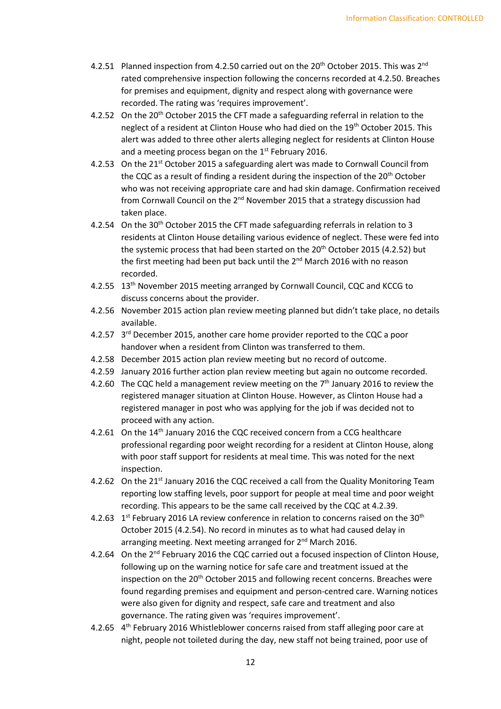- 4.2.51 Planned inspection from 4.2.50 carried out on the 20<sup>th</sup> October 2015. This was  $2^{nd}$ rated comprehensive inspection following the concerns recorded at 4.2.50. Breaches for premises and equipment, dignity and respect along with governance were recorded. The rating was 'requires improvement'.
- 4.2.52 On the 20<sup>th</sup> October 2015 the CFT made a safeguarding referral in relation to the neglect of a resident at Clinton House who had died on the 19th October 2015. This alert was added to three other alerts alleging neglect for residents at Clinton House and a meeting process began on the 1<sup>st</sup> February 2016.
- 4.2.53 On the 21<sup>st</sup> October 2015 a safeguarding alert was made to Cornwall Council from the CQC as a result of finding a resident during the inspection of the 20<sup>th</sup> October who was not receiving appropriate care and had skin damage. Confirmation received from Cornwall Council on the 2<sup>nd</sup> November 2015 that a strategy discussion had taken place.
- 4.2.54 On the 30<sup>th</sup> October 2015 the CFT made safeguarding referrals in relation to 3 residents at Clinton House detailing various evidence of neglect. These were fed into the systemic process that had been started on the  $20<sup>th</sup>$  October 2015 (4.2.52) but the first meeting had been put back until the 2<sup>nd</sup> March 2016 with no reason recorded.
- 4.2.55 13th November 2015 meeting arranged by Cornwall Council, CQC and KCCG to discuss concerns about the provider.
- 4.2.56 November 2015 action plan review meeting planned but didn't take place, no details available.
- 4.2.57 3<sup>rd</sup> December 2015, another care home provider reported to the CQC a poor handover when a resident from Clinton was transferred to them.
- 4.2.58 December 2015 action plan review meeting but no record of outcome.
- 4.2.59 January 2016 further action plan review meeting but again no outcome recorded.
- 4.2.60 The CQC held a management review meeting on the 7<sup>th</sup> January 2016 to review the registered manager situation at Clinton House. However, as Clinton House had a registered manager in post who was applying for the job if was decided not to proceed with any action.
- 4.2.61 On the 14<sup>th</sup> January 2016 the CQC received concern from a CCG healthcare professional regarding poor weight recording for a resident at Clinton House, along with poor staff support for residents at meal time. This was noted for the next inspection.
- 4.2.62 On the 21<sup>st</sup> January 2016 the CQC received a call from the Quality Monitoring Team reporting low staffing levels, poor support for people at meal time and poor weight recording. This appears to be the same call received by the CQC at 4.2.39.
- 4.2.63  $1<sup>st</sup>$  February 2016 LA review conference in relation to concerns raised on the 30<sup>th</sup> October 2015 (4.2.54). No record in minutes as to what had caused delay in arranging meeting. Next meeting arranged for 2<sup>nd</sup> March 2016.
- 4.2.64 On the 2<sup>nd</sup> February 2016 the CQC carried out a focused inspection of Clinton House, following up on the warning notice for safe care and treatment issued at the inspection on the  $20<sup>th</sup>$  October 2015 and following recent concerns. Breaches were found regarding premises and equipment and person-centred care. Warning notices were also given for dignity and respect, safe care and treatment and also governance. The rating given was 'requires improvement'.
- 4.2.65 4<sup>th</sup> February 2016 Whistleblower concerns raised from staff alleging poor care at night, people not toileted during the day, new staff not being trained, poor use of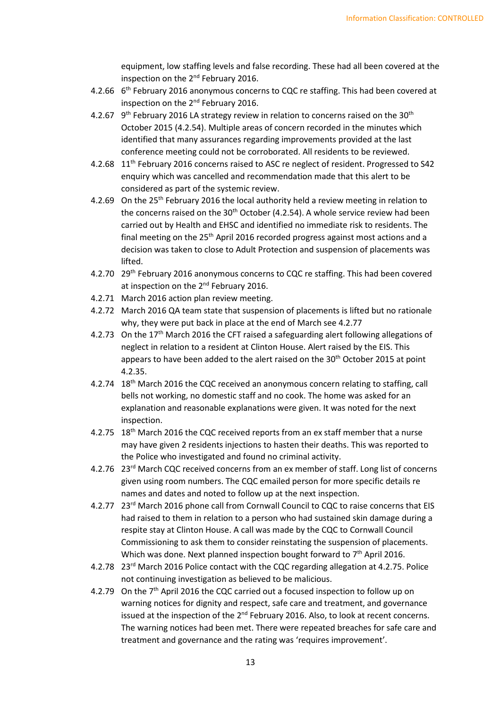equipment, low staffing levels and false recording. These had all been covered at the inspection on the 2<sup>nd</sup> February 2016.

- 4.2.66 6<sup>th</sup> February 2016 anonymous concerns to CQC re staffing. This had been covered at inspection on the 2<sup>nd</sup> February 2016.
- 4.2.67  $9<sup>th</sup>$  February 2016 LA strategy review in relation to concerns raised on the 30<sup>th</sup> October 2015 (4.2.54). Multiple areas of concern recorded in the minutes which identified that many assurances regarding improvements provided at the last conference meeting could not be corroborated. All residents to be reviewed.
- 4.2.68 11<sup>th</sup> February 2016 concerns raised to ASC re neglect of resident. Progressed to S42 enquiry which was cancelled and recommendation made that this alert to be considered as part of the systemic review.
- 4.2.69 On the 25<sup>th</sup> February 2016 the local authority held a review meeting in relation to the concerns raised on the  $30<sup>th</sup>$  October (4.2.54). A whole service review had been carried out by Health and EHSC and identified no immediate risk to residents. The final meeting on the 25<sup>th</sup> April 2016 recorded progress against most actions and a decision was taken to close to Adult Protection and suspension of placements was lifted.
- 4.2.70 29<sup>th</sup> February 2016 anonymous concerns to CQC re staffing. This had been covered at inspection on the 2<sup>nd</sup> February 2016.
- 4.2.71 March 2016 action plan review meeting.
- 4.2.72 March 2016 QA team state that suspension of placements is lifted but no rationale why, they were put back in place at the end of March see 4.2.77
- 4.2.73 On the 17<sup>th</sup> March 2016 the CFT raised a safeguarding alert following allegations of neglect in relation to a resident at Clinton House. Alert raised by the EIS. This appears to have been added to the alert raised on the 30<sup>th</sup> October 2015 at point 4.2.35.
- 4.2.74 18<sup>th</sup> March 2016 the CQC received an anonymous concern relating to staffing, call bells not working, no domestic staff and no cook. The home was asked for an explanation and reasonable explanations were given. It was noted for the next inspection.
- 4.2.75 18<sup>th</sup> March 2016 the CQC received reports from an ex staff member that a nurse may have given 2 residents injections to hasten their deaths. This was reported to the Police who investigated and found no criminal activity.
- 4.2.76 23<sup>rd</sup> March CQC received concerns from an ex member of staff. Long list of concerns given using room numbers. The CQC emailed person for more specific details re names and dates and noted to follow up at the next inspection.
- 4.2.77 23<sup>rd</sup> March 2016 phone call from Cornwall Council to CQC to raise concerns that EIS had raised to them in relation to a person who had sustained skin damage during a respite stay at Clinton House. A call was made by the CQC to Cornwall Council Commissioning to ask them to consider reinstating the suspension of placements. Which was done. Next planned inspection bought forward to 7<sup>th</sup> April 2016.
- 4.2.78 23rd March 2016 Police contact with the CQC regarding allegation at 4.2.75. Police not continuing investigation as believed to be malicious.
- 4.2.79 On the 7<sup>th</sup> April 2016 the CQC carried out a focused inspection to follow up on warning notices for dignity and respect, safe care and treatment, and governance issued at the inspection of the 2<sup>nd</sup> February 2016. Also, to look at recent concerns. The warning notices had been met. There were repeated breaches for safe care and treatment and governance and the rating was 'requires improvement'.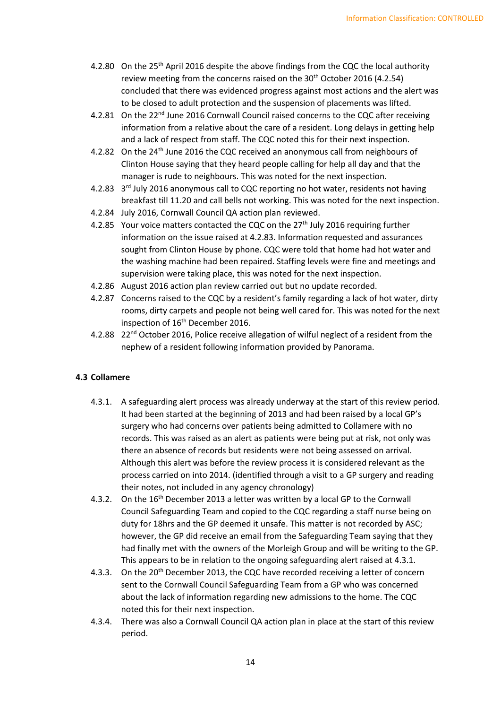- 4.2.80 On the 25<sup>th</sup> April 2016 despite the above findings from the CQC the local authority review meeting from the concerns raised on the 30<sup>th</sup> October 2016 (4.2.54) concluded that there was evidenced progress against most actions and the alert was to be closed to adult protection and the suspension of placements was lifted.
- 4.2.81 On the 22<sup>nd</sup> June 2016 Cornwall Council raised concerns to the CQC after receiving information from a relative about the care of a resident. Long delays in getting help and a lack of respect from staff. The CQC noted this for their next inspection.
- 4.2.82 On the 24<sup>th</sup> June 2016 the CQC received an anonymous call from neighbours of Clinton House saying that they heard people calling for help all day and that the manager is rude to neighbours. This was noted for the next inspection.
- 4.2.83 3<sup>rd</sup> July 2016 anonymous call to CQC reporting no hot water, residents not having breakfast till 11.20 and call bells not working. This was noted for the next inspection.
- 4.2.84 July 2016, Cornwall Council QA action plan reviewed.
- 4.2.85 Your voice matters contacted the CQC on the 27<sup>th</sup> July 2016 requiring further information on the issue raised at 4.2.83. Information requested and assurances sought from Clinton House by phone. CQC were told that home had hot water and the washing machine had been repaired. Staffing levels were fine and meetings and supervision were taking place, this was noted for the next inspection.
- 4.2.86 August 2016 action plan review carried out but no update recorded.
- 4.2.87 Concerns raised to the CQC by a resident's family regarding a lack of hot water, dirty rooms, dirty carpets and people not being well cared for. This was noted for the next inspection of 16<sup>th</sup> December 2016.
- 4.2.88 22<sup>nd</sup> October 2016, Police receive allegation of wilful neglect of a resident from the nephew of a resident following information provided by Panorama.

## **4.3 Collamere**

- 4.3.1. A safeguarding alert process was already underway at the start of this review period. It had been started at the beginning of 2013 and had been raised by a local GP's surgery who had concerns over patients being admitted to Collamere with no records. This was raised as an alert as patients were being put at risk, not only was there an absence of records but residents were not being assessed on arrival. Although this alert was before the review process it is considered relevant as the process carried on into 2014. (identified through a visit to a GP surgery and reading their notes, not included in any agency chronology)
- 4.3.2. On the 16<sup>th</sup> December 2013 a letter was written by a local GP to the Cornwall Council Safeguarding Team and copied to the CQC regarding a staff nurse being on duty for 18hrs and the GP deemed it unsafe. This matter is not recorded by ASC; however, the GP did receive an email from the Safeguarding Team saying that they had finally met with the owners of the Morleigh Group and will be writing to the GP. This appears to be in relation to the ongoing safeguarding alert raised at 4.3.1.
- 4.3.3. On the 20<sup>th</sup> December 2013, the CQC have recorded receiving a letter of concern sent to the Cornwall Council Safeguarding Team from a GP who was concerned about the lack of information regarding new admissions to the home. The CQC noted this for their next inspection.
- 4.3.4. There was also a Cornwall Council QA action plan in place at the start of this review period.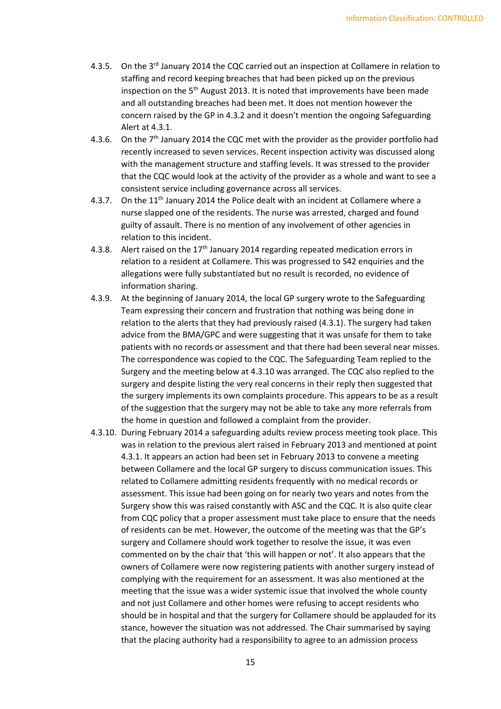- 4.3.5. On the  $3^{rd}$  January 2014 the CQC carried out an inspection at Collamere in relation to staffing and record keeping breaches that had been picked up on the previous inspection on the 5<sup>th</sup> August 2013. It is noted that improvements have been made and all outstanding breaches had been met. It does not mention however the concern raised by the GP in 4.3.2 and it doesn't mention the ongoing Safeguarding Alert at 4.3.1.
- 4.3.6. On the  $7<sup>th</sup>$  January 2014 the CQC met with the provider as the provider portfolio had recently increased to seven services. Recent inspection activity was discussed along with the management structure and staffing levels. It was stressed to the provider that the CQC would look at the activity of the provider as a whole and want to see a consistent service including governance across all services.
- 4.3.7. On the 11<sup>th</sup> January 2014 the Police dealt with an incident at Collamere where a nurse slapped one of the residents. The nurse was arrested, charged and found guilty of assault. There is no mention of any involvement of other agencies in relation to this incident.
- 4.3.8. Alert raised on the  $17<sup>th</sup>$  January 2014 regarding repeated medication errors in relation to a resident at Collamere. This was progressed to S42 enquiries and the allegations were fully substantiated but no result is recorded, no evidence of information sharing.
- 4.3.9. At the beginning of January 2014, the local GP surgery wrote to the Safeguarding Team expressing their concern and frustration that nothing was being done in relation to the alerts that they had previously raised (4.3.1). The surgery had taken advice from the BMA/GPC and were suggesting that it was unsafe for them to take patients with no records or assessment and that there had been several near misses. The correspondence was copied to the CQC. The Safeguarding Team replied to the Surgery and the meeting below at 4.3.10 was arranged. The CQC also replied to the surgery and despite listing the very real concerns in their reply then suggested that the surgery implements its own complaints procedure. This appears to be as a result of the suggestion that the surgery may not be able to take any more referrals from the home in question and followed a complaint from the provider.
- 4.3.10. During February 2014 a safeguarding adults review process meeting took place. This was in relation to the previous alert raised in February 2013 and mentioned at point 4.3.1. It appears an action had been set in February 2013 to convene a meeting between Collamere and the local GP surgery to discuss communication issues. This related to Collamere admitting residents frequently with no medical records or assessment. This issue had been going on for nearly two years and notes from the Surgery show this was raised constantly with ASC and the CQC. It is also quite clear from CQC policy that a proper assessment must take place to ensure that the needs of residents can be met. However, the outcome of the meeting was that the GP's surgery and Collamere should work together to resolve the issue, it was even commented on by the chair that 'this will happen or not'. It also appears that the owners of Collamere were now registering patients with another surgery instead of complying with the requirement for an assessment. It was also mentioned at the meeting that the issue was a wider systemic issue that involved the whole county and not just Collamere and other homes were refusing to accept residents who should be in hospital and that the surgery for Collamere should be applauded for its stance, however the situation was not addressed. The Chair summarised by saying that the placing authority had a responsibility to agree to an admission process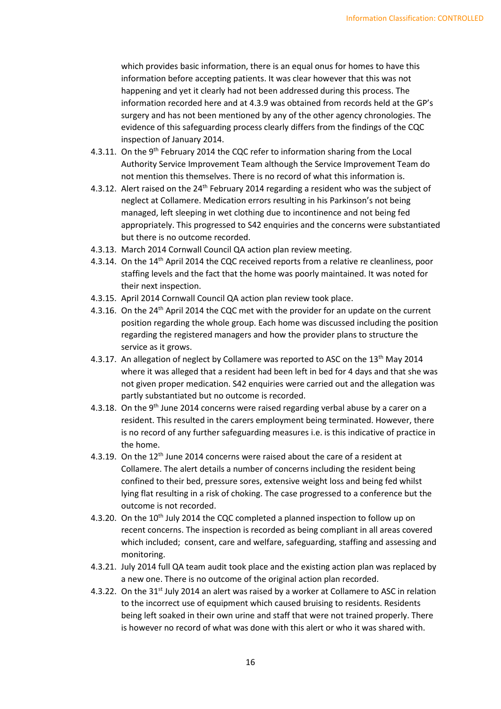which provides basic information, there is an equal onus for homes to have this information before accepting patients. It was clear however that this was not happening and yet it clearly had not been addressed during this process. The information recorded here and at 4.3.9 was obtained from records held at the GP's surgery and has not been mentioned by any of the other agency chronologies. The evidence of this safeguarding process clearly differs from the findings of the CQC inspection of January 2014.

- 4.3.11. On the 9<sup>th</sup> February 2014 the CQC refer to information sharing from the Local Authority Service Improvement Team although the Service Improvement Team do not mention this themselves. There is no record of what this information is.
- 4.3.12. Alert raised on the 24<sup>th</sup> February 2014 regarding a resident who was the subject of neglect at Collamere. Medication errors resulting in his Parkinson's not being managed, left sleeping in wet clothing due to incontinence and not being fed appropriately. This progressed to S42 enquiries and the concerns were substantiated but there is no outcome recorded.
- 4.3.13. March 2014 Cornwall Council QA action plan review meeting.
- 4.3.14. On the 14<sup>th</sup> April 2014 the CQC received reports from a relative re cleanliness, poor staffing levels and the fact that the home was poorly maintained. It was noted for their next inspection.
- 4.3.15. April 2014 Cornwall Council QA action plan review took place.
- 4.3.16. On the 24<sup>th</sup> April 2014 the CQC met with the provider for an update on the current position regarding the whole group. Each home was discussed including the position regarding the registered managers and how the provider plans to structure the service as it grows.
- 4.3.17. An allegation of neglect by Collamere was reported to ASC on the  $13<sup>th</sup>$  May 2014 where it was alleged that a resident had been left in bed for 4 days and that she was not given proper medication. S42 enquiries were carried out and the allegation was partly substantiated but no outcome is recorded.
- 4.3.18. On the 9<sup>th</sup> June 2014 concerns were raised regarding verbal abuse by a carer on a resident. This resulted in the carers employment being terminated. However, there is no record of any further safeguarding measures i.e. is this indicative of practice in the home.
- 4.3.19. On the 12<sup>th</sup> June 2014 concerns were raised about the care of a resident at Collamere. The alert details a number of concerns including the resident being confined to their bed, pressure sores, extensive weight loss and being fed whilst lying flat resulting in a risk of choking. The case progressed to a conference but the outcome is not recorded.
- 4.3.20. On the 10<sup>th</sup> July 2014 the CQC completed a planned inspection to follow up on recent concerns. The inspection is recorded as being compliant in all areas covered which included; consent, care and welfare, safeguarding, staffing and assessing and monitoring.
- 4.3.21. July 2014 full QA team audit took place and the existing action plan was replaced by a new one. There is no outcome of the original action plan recorded.
- 4.3.22. On the 31<sup>st</sup> July 2014 an alert was raised by a worker at Collamere to ASC in relation to the incorrect use of equipment which caused bruising to residents. Residents being left soaked in their own urine and staff that were not trained properly. There is however no record of what was done with this alert or who it was shared with.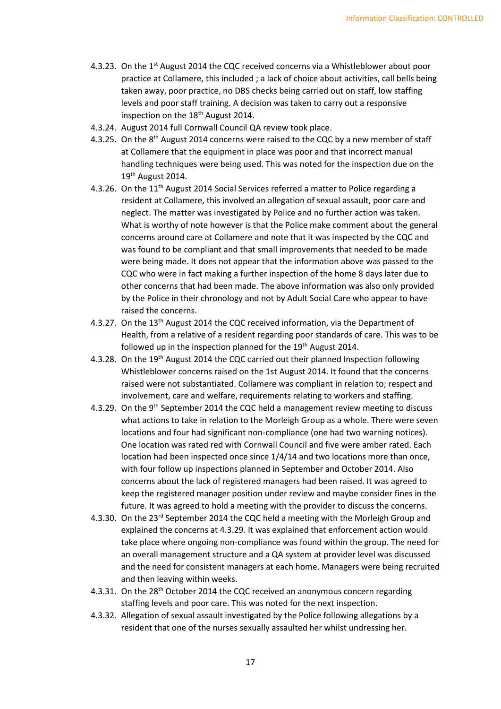- 4.3.23. On the 1<sup>st</sup> August 2014 the CQC received concerns via a Whistleblower about poor practice at Collamere, this included ; a lack of choice about activities, call bells being taken away, poor practice, no DBS checks being carried out on staff, low staffing levels and poor staff training. A decision was taken to carry out a responsive inspection on the 18<sup>th</sup> August 2014.
- 4.3.24. August 2014 full Cornwall Council QA review took place.
- 4.3.25. On the 8<sup>th</sup> August 2014 concerns were raised to the CQC by a new member of staff at Collamere that the equipment in place was poor and that incorrect manual handling techniques were being used. This was noted for the inspection due on the 19<sup>th</sup> August 2014.
- 4.3.26. On the 11<sup>th</sup> August 2014 Social Services referred a matter to Police regarding a resident at Collamere, this involved an allegation of sexual assault, poor care and neglect. The matter was investigated by Police and no further action was taken. What is worthy of note however is that the Police make comment about the general concerns around care at Collamere and note that it was inspected by the CQC and was found to be compliant and that small improvements that needed to be made were being made. It does not appear that the information above was passed to the CQC who were in fact making a further inspection of the home 8 days later due to other concerns that had been made. The above information was also only provided by the Police in their chronology and not by Adult Social Care who appear to have raised the concerns.
- 4.3.27. On the 13<sup>th</sup> August 2014 the CQC received information, via the Department of Health, from a relative of a resident regarding poor standards of care. This was to be followed up in the inspection planned for the 19<sup>th</sup> August 2014.
- 4.3.28. On the 19<sup>th</sup> August 2014 the CQC carried out their planned Inspection following Whistleblower concerns raised on the 1st August 2014. It found that the concerns raised were not substantiated. Collamere was compliant in relation to; respect and involvement, care and welfare, requirements relating to workers and staffing.
- 4.3.29. On the 9<sup>th</sup> September 2014 the CQC held a management review meeting to discuss what actions to take in relation to the Morleigh Group as a whole. There were seven locations and four had significant non-compliance (one had two warning notices). One location was rated red with Cornwall Council and five were amber rated. Each location had been inspected once since 1/4/14 and two locations more than once, with four follow up inspections planned in September and October 2014. Also concerns about the lack of registered managers had been raised. It was agreed to keep the registered manager position under review and maybe consider fines in the future. It was agreed to hold a meeting with the provider to discuss the concerns.
- 4.3.30. On the 23<sup>rd</sup> September 2014 the CQC held a meeting with the Morleigh Group and explained the concerns at 4.3.29. It was explained that enforcement action would take place where ongoing non-compliance was found within the group. The need for an overall management structure and a QA system at provider level was discussed and the need for consistent managers at each home. Managers were being recruited and then leaving within weeks.
- 4.3.31. On the 28<sup>th</sup> October 2014 the CQC received an anonymous concern regarding staffing levels and poor care. This was noted for the next inspection.
- 4.3.32. Allegation of sexual assault investigated by the Police following allegations by a resident that one of the nurses sexually assaulted her whilst undressing her.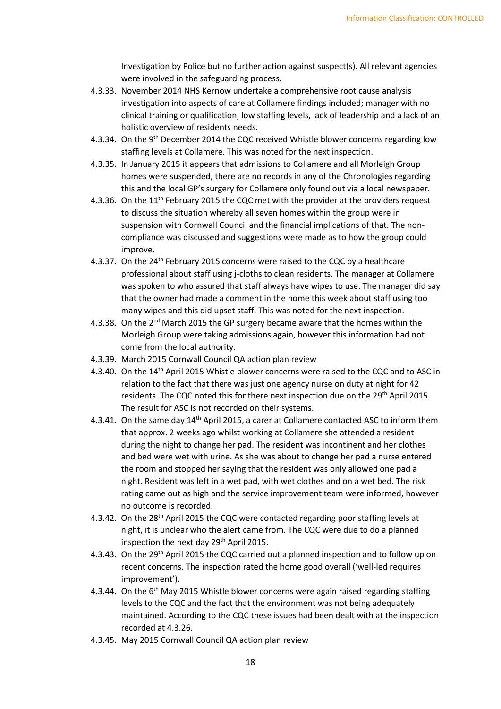Investigation by Police but no further action against suspect(s). All relevant agencies were involved in the safeguarding process.

- 4.3.33. November 2014 NHS Kernow undertake a comprehensive root cause analysis investigation into aspects of care at Collamere findings included; manager with no clinical training or qualification, low staffing levels, lack of leadership and a lack of an holistic overview of residents needs.
- 4.3.34. On the 9<sup>th</sup> December 2014 the CQC received Whistle blower concerns regarding low staffing levels at Collamere. This was noted for the next inspection.
- 4.3.35. In January 2015 it appears that admissions to Collamere and all Morleigh Group homes were suspended, there are no records in any of the Chronologies regarding this and the local GP's surgery for Collamere only found out via a local newspaper.
- 4.3.36. On the 11<sup>th</sup> February 2015 the CQC met with the provider at the providers request to discuss the situation whereby all seven homes within the group were in suspension with Cornwall Council and the financial implications of that. The noncompliance was discussed and suggestions were made as to how the group could improve.
- 4.3.37. On the 24<sup>th</sup> February 2015 concerns were raised to the CQC by a healthcare professional about staff using j-cloths to clean residents. The manager at Collamere was spoken to who assured that staff always have wipes to use. The manager did say that the owner had made a comment in the home this week about staff using too many wipes and this did upset staff. This was noted for the next inspection.
- 4.3.38. On the  $2^{nd}$  March 2015 the GP surgery became aware that the homes within the Morleigh Group were taking admissions again, however this information had not come from the local authority.
- 4.3.39. March 2015 Cornwall Council QA action plan review
- 4.3.40. On the 14<sup>th</sup> April 2015 Whistle blower concerns were raised to the CQC and to ASC in relation to the fact that there was just one agency nurse on duty at night for 42 residents. The CQC noted this for there next inspection due on the 29<sup>th</sup> April 2015. The result for ASC is not recorded on their systems.
- 4.3.41. On the same day 14th April 2015, a carer at Collamere contacted ASC to inform them that approx. 2 weeks ago whilst working at Collamere she attended a resident during the night to change her pad. The resident was incontinent and her clothes and bed were wet with urine. As she was about to change her pad a nurse entered the room and stopped her saying that the resident was only allowed one pad a night. Resident was left in a wet pad, with wet clothes and on a wet bed. The risk rating came out as high and the service improvement team were informed, however no outcome is recorded.
- 4.3.42. On the 28<sup>th</sup> April 2015 the CQC were contacted regarding poor staffing levels at night, it is unclear who the alert came from. The CQC were due to do a planned inspection the next day 29<sup>th</sup> April 2015.
- 4.3.43. On the 29<sup>th</sup> April 2015 the CQC carried out a planned inspection and to follow up on recent concerns. The inspection rated the home good overall ('well-led requires improvement').
- 4.3.44. On the 6<sup>th</sup> May 2015 Whistle blower concerns were again raised regarding staffing levels to the CQC and the fact that the environment was not being adequately maintained. According to the CQC these issues had been dealt with at the inspection recorded at 4.3.26.
- 4.3.45. May 2015 Cornwall Council QA action plan review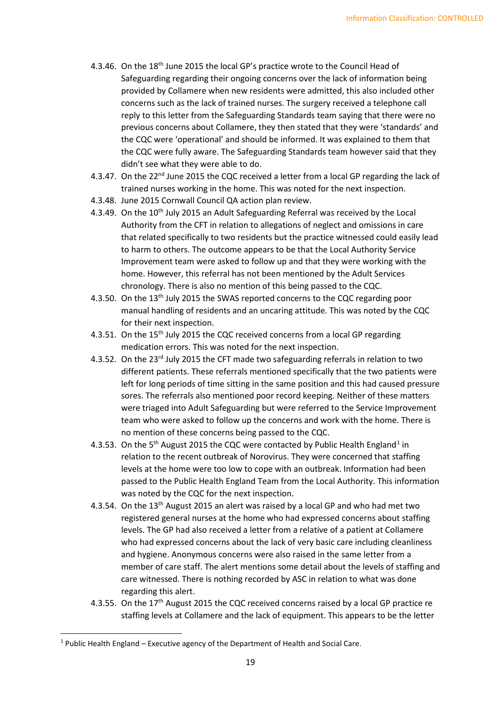- 4.3.46. On the  $18<sup>th</sup>$  June 2015 the local GP's practice wrote to the Council Head of Safeguarding regarding their ongoing concerns over the lack of information being provided by Collamere when new residents were admitted, this also included other concerns such as the lack of trained nurses. The surgery received a telephone call reply to this letter from the Safeguarding Standards team saying that there were no previous concerns about Collamere, they then stated that they were 'standards' and the CQC were 'operational' and should be informed. It was explained to them that the CQC were fully aware. The Safeguarding Standards team however said that they didn't see what they were able to do.
- 4.3.47. On the 22<sup>nd</sup> June 2015 the CQC received a letter from a local GP regarding the lack of trained nurses working in the home. This was noted for the next inspection.
- 4.3.48. June 2015 Cornwall Council QA action plan review.
- 4.3.49. On the 10<sup>th</sup> July 2015 an Adult Safeguarding Referral was received by the Local Authority from the CFT in relation to allegations of neglect and omissions in care that related specifically to two residents but the practice witnessed could easily lead to harm to others. The outcome appears to be that the Local Authority Service Improvement team were asked to follow up and that they were working with the home. However, this referral has not been mentioned by the Adult Services chronology. There is also no mention of this being passed to the CQC.
- 4.3.50. On the 13th July 2015 the SWAS reported concerns to the CQC regarding poor manual handling of residents and an uncaring attitude. This was noted by the CQC for their next inspection.
- 4.3.51. On the 15<sup>th</sup> July 2015 the CQC received concerns from a local GP regarding medication errors. This was noted for the next inspection.
- 4.3.52. On the 23<sup>rd</sup> July 2015 the CFT made two safeguarding referrals in relation to two different patients. These referrals mentioned specifically that the two patients were left for long periods of time sitting in the same position and this had caused pressure sores. The referrals also mentioned poor record keeping. Neither of these matters were triaged into Adult Safeguarding but were referred to the Service Improvement team who were asked to follow up the concerns and work with the home. There is no mention of these concerns being passed to the CQC.
- 4.3.53. On the 5<sup>th</sup> August 20[1](#page-18-0)5 the CQC were contacted by Public Health England<sup>1</sup> in relation to the recent outbreak of Norovirus. They were concerned that staffing levels at the home were too low to cope with an outbreak. Information had been passed to the Public Health England Team from the Local Authority. This information was noted by the CQC for the next inspection.
- 4.3.54. On the 13th August 2015 an alert was raised by a local GP and who had met two registered general nurses at the home who had expressed concerns about staffing levels. The GP had also received a letter from a relative of a patient at Collamere who had expressed concerns about the lack of very basic care including cleanliness and hygiene. Anonymous concerns were also raised in the same letter from a member of care staff. The alert mentions some detail about the levels of staffing and care witnessed. There is nothing recorded by ASC in relation to what was done regarding this alert.
- 4.3.55. On the 17<sup>th</sup> August 2015 the CQC received concerns raised by a local GP practice re staffing levels at Collamere and the lack of equipment. This appears to be the letter

<span id="page-18-0"></span> $1$  Public Health England – Executive agency of the Department of Health and Social Care.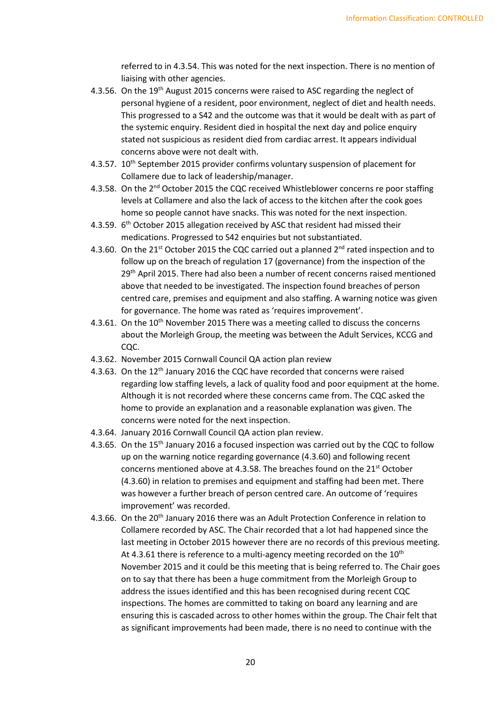referred to in 4.3.54. This was noted for the next inspection. There is no mention of liaising with other agencies.

- 4.3.56. On the 19<sup>th</sup> August 2015 concerns were raised to ASC regarding the neglect of personal hygiene of a resident, poor environment, neglect of diet and health needs. This progressed to a S42 and the outcome was that it would be dealt with as part of the systemic enquiry. Resident died in hospital the next day and police enquiry stated not suspicious as resident died from cardiac arrest. It appears individual concerns above were not dealt with.
- 4.3.57. 10<sup>th</sup> September 2015 provider confirms voluntary suspension of placement for Collamere due to lack of leadership/manager.
- 4.3.58. On the 2<sup>nd</sup> October 2015 the CQC received Whistleblower concerns re poor staffing levels at Collamere and also the lack of access to the kitchen after the cook goes home so people cannot have snacks. This was noted for the next inspection.
- 4.3.59. 6<sup>th</sup> October 2015 allegation received by ASC that resident had missed their medications. Progressed to S42 enquiries but not substantiated.
- 4.3.60. On the 21<sup>st</sup> October 2015 the CQC carried out a planned  $2<sup>nd</sup>$  rated inspection and to follow up on the breach of regulation 17 (governance) from the inspection of the 29<sup>th</sup> April 2015. There had also been a number of recent concerns raised mentioned above that needed to be investigated. The inspection found breaches of person centred care, premises and equipment and also staffing. A warning notice was given for governance. The home was rated as 'requires improvement'.
- 4.3.61. On the  $10<sup>th</sup>$  November 2015 There was a meeting called to discuss the concerns about the Morleigh Group, the meeting was between the Adult Services, KCCG and CQC.
- 4.3.62. November 2015 Cornwall Council QA action plan review
- 4.3.63. On the 12<sup>th</sup> January 2016 the CQC have recorded that concerns were raised regarding low staffing levels, a lack of quality food and poor equipment at the home. Although it is not recorded where these concerns came from. The CQC asked the home to provide an explanation and a reasonable explanation was given. The concerns were noted for the next inspection.
- 4.3.64. January 2016 Cornwall Council QA action plan review.
- 4.3.65. On the 15<sup>th</sup> January 2016 a focused inspection was carried out by the CQC to follow up on the warning notice regarding governance (4.3.60) and following recent concerns mentioned above at 4.3.58. The breaches found on the 21<sup>st</sup> October (4.3.60) in relation to premises and equipment and staffing had been met. There was however a further breach of person centred care. An outcome of 'requires improvement' was recorded.
- 4.3.66. On the 20<sup>th</sup> January 2016 there was an Adult Protection Conference in relation to Collamere recorded by ASC. The Chair recorded that a lot had happened since the last meeting in October 2015 however there are no records of this previous meeting. At 4.3.61 there is reference to a multi-agency meeting recorded on the  $10<sup>th</sup>$ November 2015 and it could be this meeting that is being referred to. The Chair goes on to say that there has been a huge commitment from the Morleigh Group to address the issues identified and this has been recognised during recent CQC inspections. The homes are committed to taking on board any learning and are ensuring this is cascaded across to other homes within the group. The Chair felt that as significant improvements had been made, there is no need to continue with the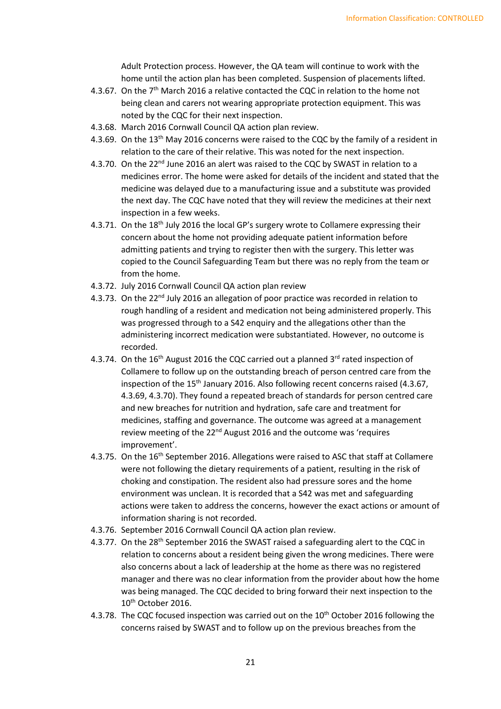Adult Protection process. However, the QA team will continue to work with the home until the action plan has been completed. Suspension of placements lifted.

- 4.3.67. On the  $7<sup>th</sup>$  March 2016 a relative contacted the CQC in relation to the home not being clean and carers not wearing appropriate protection equipment. This was noted by the CQC for their next inspection.
- 4.3.68. March 2016 Cornwall Council QA action plan review.
- 4.3.69. On the 13<sup>th</sup> May 2016 concerns were raised to the CQC by the family of a resident in relation to the care of their relative. This was noted for the next inspection.
- 4.3.70. On the 22<sup>nd</sup> June 2016 an alert was raised to the CQC by SWAST in relation to a medicines error. The home were asked for details of the incident and stated that the medicine was delayed due to a manufacturing issue and a substitute was provided the next day. The CQC have noted that they will review the medicines at their next inspection in a few weeks.
- 4.3.71. On the 18<sup>th</sup> July 2016 the local GP's surgery wrote to Collamere expressing their concern about the home not providing adequate patient information before admitting patients and trying to register then with the surgery. This letter was copied to the Council Safeguarding Team but there was no reply from the team or from the home.
- 4.3.72. July 2016 Cornwall Council QA action plan review
- 4.3.73. On the 22<sup>nd</sup> July 2016 an allegation of poor practice was recorded in relation to rough handling of a resident and medication not being administered properly. This was progressed through to a S42 enquiry and the allegations other than the administering incorrect medication were substantiated. However, no outcome is recorded.
- 4.3.74. On the  $16<sup>th</sup>$  August 2016 the CQC carried out a planned  $3<sup>rd</sup>$  rated inspection of Collamere to follow up on the outstanding breach of person centred care from the inspection of the 15<sup>th</sup> January 2016. Also following recent concerns raised (4.3.67, 4.3.69, 4.3.70). They found a repeated breach of standards for person centred care and new breaches for nutrition and hydration, safe care and treatment for medicines, staffing and governance. The outcome was agreed at a management review meeting of the 22<sup>nd</sup> August 2016 and the outcome was 'requires improvement'.
- 4.3.75. On the 16<sup>th</sup> September 2016. Allegations were raised to ASC that staff at Collamere were not following the dietary requirements of a patient, resulting in the risk of choking and constipation. The resident also had pressure sores and the home environment was unclean. It is recorded that a S42 was met and safeguarding actions were taken to address the concerns, however the exact actions or amount of information sharing is not recorded.
- 4.3.76. September 2016 Cornwall Council QA action plan review.
- 4.3.77. On the 28<sup>th</sup> September 2016 the SWAST raised a safeguarding alert to the CQC in relation to concerns about a resident being given the wrong medicines. There were also concerns about a lack of leadership at the home as there was no registered manager and there was no clear information from the provider about how the home was being managed. The CQC decided to bring forward their next inspection to the 10<sup>th</sup> October 2016.
- 4.3.78. The CQC focused inspection was carried out on the 10<sup>th</sup> October 2016 following the concerns raised by SWAST and to follow up on the previous breaches from the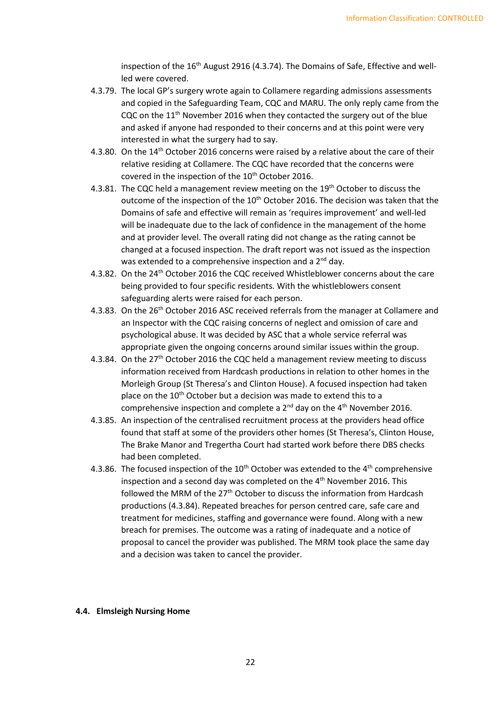inspection of the  $16<sup>th</sup>$  August 2916 (4.3.74). The Domains of Safe, Effective and wellled were covered.

- 4.3.79. The local GP's surgery wrote again to Collamere regarding admissions assessments and copied in the Safeguarding Team, CQC and MARU. The only reply came from the CQC on the  $11<sup>th</sup>$  November 2016 when they contacted the surgery out of the blue and asked if anyone had responded to their concerns and at this point were very interested in what the surgery had to say.
- 4.3.80. On the 14<sup>th</sup> October 2016 concerns were raised by a relative about the care of their relative residing at Collamere. The CQC have recorded that the concerns were covered in the inspection of the 10<sup>th</sup> October 2016.
- 4.3.81. The CQC held a management review meeting on the 19<sup>th</sup> October to discuss the outcome of the inspection of the  $10<sup>th</sup>$  October 2016. The decision was taken that the Domains of safe and effective will remain as 'requires improvement' and well-led will be inadequate due to the lack of confidence in the management of the home and at provider level. The overall rating did not change as the rating cannot be changed at a focused inspection. The draft report was not issued as the inspection was extended to a comprehensive inspection and a 2<sup>nd</sup> day.
- 4.3.82. On the 24th October 2016 the CQC received Whistleblower concerns about the care being provided to four specific residents. With the whistleblowers consent safeguarding alerts were raised for each person.
- 4.3.83. On the 26<sup>th</sup> October 2016 ASC received referrals from the manager at Collamere and an Inspector with the CQC raising concerns of neglect and omission of care and psychological abuse. It was decided by ASC that a whole service referral was appropriate given the ongoing concerns around similar issues within the group.
- 4.3.84. On the 27<sup>th</sup> October 2016 the CQC held a management review meeting to discuss information received from Hardcash productions in relation to other homes in the Morleigh Group (St Theresa's and Clinton House). A focused inspection had taken place on the 10<sup>th</sup> October but a decision was made to extend this to a comprehensive inspection and complete a  $2^{nd}$  day on the  $4^{th}$  November 2016.
- 4.3.85. An inspection of the centralised recruitment process at the providers head office found that staff at some of the providers other homes (St Theresa's, Clinton House, The Brake Manor and Tregertha Court had started work before there DBS checks had been completed.
- 4.3.86. The focused inspection of the  $10^{th}$  October was extended to the  $4^{th}$  comprehensive inspection and a second day was completed on the 4<sup>th</sup> November 2016. This followed the MRM of the 27<sup>th</sup> October to discuss the information from Hardcash productions (4.3.84). Repeated breaches for person centred care, safe care and treatment for medicines, staffing and governance were found. Along with a new breach for premises. The outcome was a rating of inadequate and a notice of proposal to cancel the provider was published. The MRM took place the same day and a decision was taken to cancel the provider.

#### **4.4. Elmsleigh Nursing Home**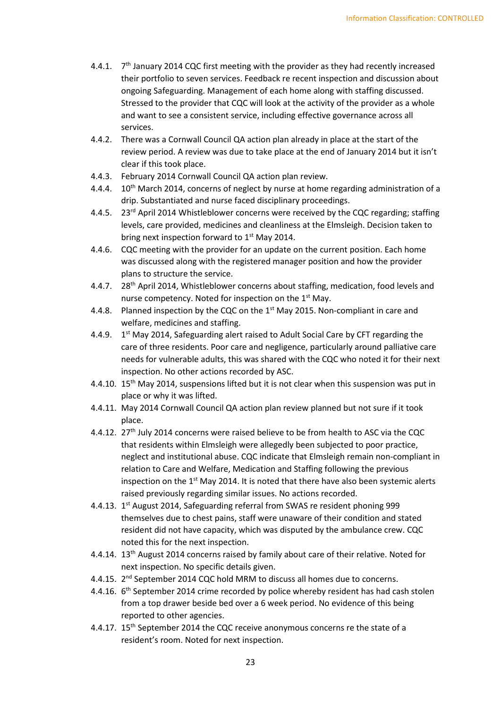- 4.4.1.  $7<sup>th</sup>$  January 2014 CQC first meeting with the provider as they had recently increased their portfolio to seven services. Feedback re recent inspection and discussion about ongoing Safeguarding. Management of each home along with staffing discussed. Stressed to the provider that CQC will look at the activity of the provider as a whole and want to see a consistent service, including effective governance across all services.
- 4.4.2. There was a Cornwall Council QA action plan already in place at the start of the review period. A review was due to take place at the end of January 2014 but it isn't clear if this took place.
- 4.4.3. February 2014 Cornwall Council QA action plan review.
- 4.4.4. 10<sup>th</sup> March 2014, concerns of neglect by nurse at home regarding administration of a drip. Substantiated and nurse faced disciplinary proceedings.
- 4.4.5. 23<sup>rd</sup> April 2014 Whistleblower concerns were received by the CQC regarding; staffing levels, care provided, medicines and cleanliness at the Elmsleigh. Decision taken to bring next inspection forward to  $1<sup>st</sup>$  May 2014.
- 4.4.6. CQC meeting with the provider for an update on the current position. Each home was discussed along with the registered manager position and how the provider plans to structure the service.
- 4.4.7. 28<sup>th</sup> April 2014, Whistleblower concerns about staffing, medication, food levels and nurse competency. Noted for inspection on the  $1<sup>st</sup>$  May.
- 4.4.8. Planned inspection by the CQC on the  $1<sup>st</sup>$  May 2015. Non-compliant in care and welfare, medicines and staffing.
- 4.4.9.  $1<sup>st</sup>$  May 2014, Safeguarding alert raised to Adult Social Care by CFT regarding the care of three residents. Poor care and negligence, particularly around palliative care needs for vulnerable adults, this was shared with the CQC who noted it for their next inspection. No other actions recorded by ASC.
- 4.4.10. 15<sup>th</sup> May 2014, suspensions lifted but it is not clear when this suspension was put in place or why it was lifted.
- 4.4.11. May 2014 Cornwall Council QA action plan review planned but not sure if it took place.
- 4.4.12. 27<sup>th</sup> July 2014 concerns were raised believe to be from health to ASC via the CQC that residents within Elmsleigh were allegedly been subjected to poor practice, neglect and institutional abuse. CQC indicate that Elmsleigh remain non-compliant in relation to Care and Welfare, Medication and Staffing following the previous inspection on the  $1<sup>st</sup>$  May 2014. It is noted that there have also been systemic alerts raised previously regarding similar issues. No actions recorded.
- 4.4.13. 1<sup>st</sup> August 2014, Safeguarding referral from SWAS re resident phoning 999 themselves due to chest pains, staff were unaware of their condition and stated resident did not have capacity, which was disputed by the ambulance crew. CQC noted this for the next inspection.
- 4.4.14. 13<sup>th</sup> August 2014 concerns raised by family about care of their relative. Noted for next inspection. No specific details given.
- 4.4.15. 2<sup>nd</sup> September 2014 CQC hold MRM to discuss all homes due to concerns.
- 4.4.16. 6<sup>th</sup> September 2014 crime recorded by police whereby resident has had cash stolen from a top drawer beside bed over a 6 week period. No evidence of this being reported to other agencies.
- 4.4.17. 15<sup>th</sup> September 2014 the CQC receive anonymous concerns re the state of a resident's room. Noted for next inspection.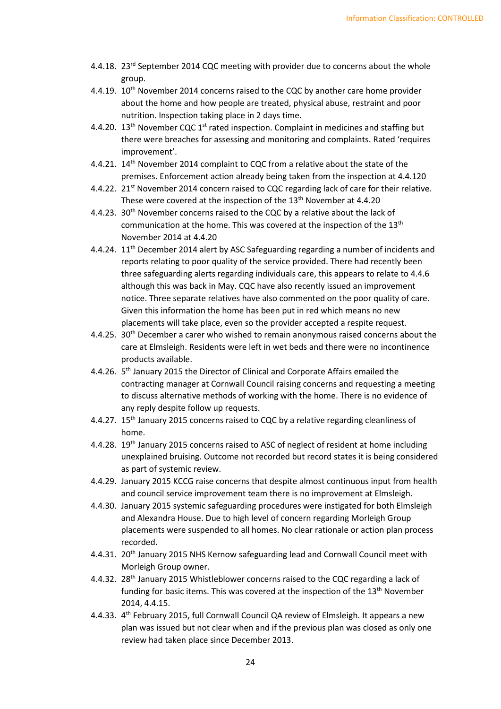- 4.4.18. 23<sup>rd</sup> September 2014 CQC meeting with provider due to concerns about the whole group.
- 4.4.19. 10<sup>th</sup> November 2014 concerns raised to the CQC by another care home provider about the home and how people are treated, physical abuse, restraint and poor nutrition. Inspection taking place in 2 days time.
- 4.4.20.  $13<sup>th</sup>$  November CQC  $1<sup>st</sup>$  rated inspection. Complaint in medicines and staffing but there were breaches for assessing and monitoring and complaints. Rated 'requires improvement'.
- 4.4.21. 14<sup>th</sup> November 2014 complaint to CQC from a relative about the state of the premises. Enforcement action already being taken from the inspection at 4.4.120
- 4.4.22. 21<sup>st</sup> November 2014 concern raised to CQC regarding lack of care for their relative. These were covered at the inspection of the  $13<sup>th</sup>$  November at 4.4.20
- 4.4.23. 30<sup>th</sup> November concerns raised to the CQC by a relative about the lack of communication at the home. This was covered at the inspection of the 13<sup>th</sup> November 2014 at 4.4.20
- 4.4.24. 11<sup>th</sup> December 2014 alert by ASC Safeguarding regarding a number of incidents and reports relating to poor quality of the service provided. There had recently been three safeguarding alerts regarding individuals care, this appears to relate to 4.4.6 although this was back in May. CQC have also recently issued an improvement notice. Three separate relatives have also commented on the poor quality of care. Given this information the home has been put in red which means no new placements will take place, even so the provider accepted a respite request.
- 4.4.25. 30<sup>th</sup> December a carer who wished to remain anonymous raised concerns about the care at Elmsleigh. Residents were left in wet beds and there were no incontinence products available.
- 4.4.26. 5<sup>th</sup> January 2015 the Director of Clinical and Corporate Affairs emailed the contracting manager at Cornwall Council raising concerns and requesting a meeting to discuss alternative methods of working with the home. There is no evidence of any reply despite follow up requests.
- 4.4.27. 15<sup>th</sup> January 2015 concerns raised to CQC by a relative regarding cleanliness of home.
- 4.4.28. 19<sup>th</sup> January 2015 concerns raised to ASC of neglect of resident at home including unexplained bruising. Outcome not recorded but record states it is being considered as part of systemic review.
- 4.4.29. January 2015 KCCG raise concerns that despite almost continuous input from health and council service improvement team there is no improvement at Elmsleigh.
- 4.4.30. January 2015 systemic safeguarding procedures were instigated for both Elmsleigh and Alexandra House. Due to high level of concern regarding Morleigh Group placements were suspended to all homes. No clear rationale or action plan process recorded.
- 4.4.31. 20<sup>th</sup> January 2015 NHS Kernow safeguarding lead and Cornwall Council meet with Morleigh Group owner.
- 4.4.32. 28th January 2015 Whistleblower concerns raised to the CQC regarding a lack of funding for basic items. This was covered at the inspection of the 13<sup>th</sup> November 2014, 4.4.15.
- 4.4.33. 4th February 2015, full Cornwall Council QA review of Elmsleigh. It appears a new plan was issued but not clear when and if the previous plan was closed as only one review had taken place since December 2013.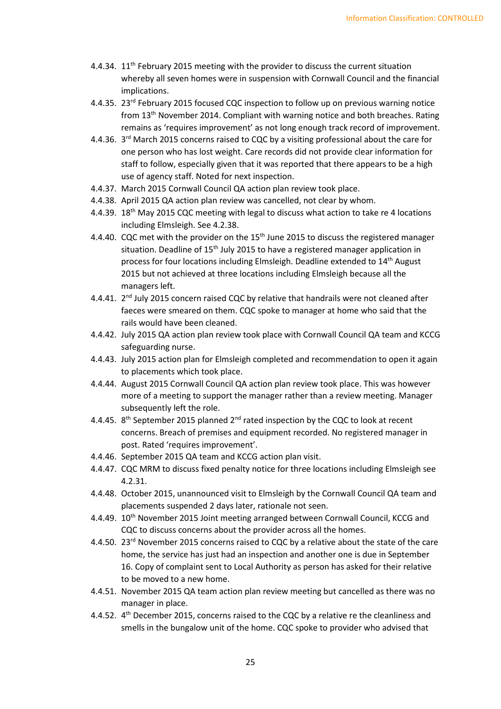- 4.4.34.  $11<sup>th</sup>$  February 2015 meeting with the provider to discuss the current situation whereby all seven homes were in suspension with Cornwall Council and the financial implications.
- 4.4.35. 23<sup>rd</sup> February 2015 focused CQC inspection to follow up on previous warning notice from 13th November 2014. Compliant with warning notice and both breaches. Rating remains as 'requires improvement' as not long enough track record of improvement.
- 4.4.36. 3<sup>rd</sup> March 2015 concerns raised to CQC by a visiting professional about the care for one person who has lost weight. Care records did not provide clear information for staff to follow, especially given that it was reported that there appears to be a high use of agency staff. Noted for next inspection.
- 4.4.37. March 2015 Cornwall Council QA action plan review took place.
- 4.4.38. April 2015 QA action plan review was cancelled, not clear by whom.
- 4.4.39. 18<sup>th</sup> May 2015 CQC meeting with legal to discuss what action to take re 4 locations including Elmsleigh. See 4.2.38.
- 4.4.40. CQC met with the provider on the 15<sup>th</sup> June 2015 to discuss the registered manager situation. Deadline of  $15<sup>th</sup>$  July 2015 to have a registered manager application in process for four locations including Elmsleigh. Deadline extended to 14<sup>th</sup> August 2015 but not achieved at three locations including Elmsleigh because all the managers left.
- 4.4.41.  $2<sup>nd</sup>$  July 2015 concern raised CQC by relative that handrails were not cleaned after faeces were smeared on them. CQC spoke to manager at home who said that the rails would have been cleaned.
- 4.4.42. July 2015 QA action plan review took place with Cornwall Council QA team and KCCG safeguarding nurse.
- 4.4.43. July 2015 action plan for Elmsleigh completed and recommendation to open it again to placements which took place.
- 4.4.44. August 2015 Cornwall Council QA action plan review took place. This was however more of a meeting to support the manager rather than a review meeting. Manager subsequently left the role.
- 4.4.45.  $8<sup>th</sup>$  September 2015 planned 2<sup>nd</sup> rated inspection by the CQC to look at recent concerns. Breach of premises and equipment recorded. No registered manager in post. Rated 'requires improvement'.
- 4.4.46. September 2015 QA team and KCCG action plan visit.
- 4.4.47. CQC MRM to discuss fixed penalty notice for three locations including Elmsleigh see 4.2.31.
- 4.4.48. October 2015, unannounced visit to Elmsleigh by the Cornwall Council QA team and placements suspended 2 days later, rationale not seen.
- 4.4.49. 10<sup>th</sup> November 2015 Joint meeting arranged between Cornwall Council, KCCG and CQC to discuss concerns about the provider across all the homes.
- 4.4.50. 23<sup>rd</sup> November 2015 concerns raised to CQC by a relative about the state of the care home, the service has just had an inspection and another one is due in September 16. Copy of complaint sent to Local Authority as person has asked for their relative to be moved to a new home.
- 4.4.51. November 2015 QA team action plan review meeting but cancelled as there was no manager in place.
- 4.4.52. 4<sup>th</sup> December 2015, concerns raised to the CQC by a relative re the cleanliness and smells in the bungalow unit of the home. CQC spoke to provider who advised that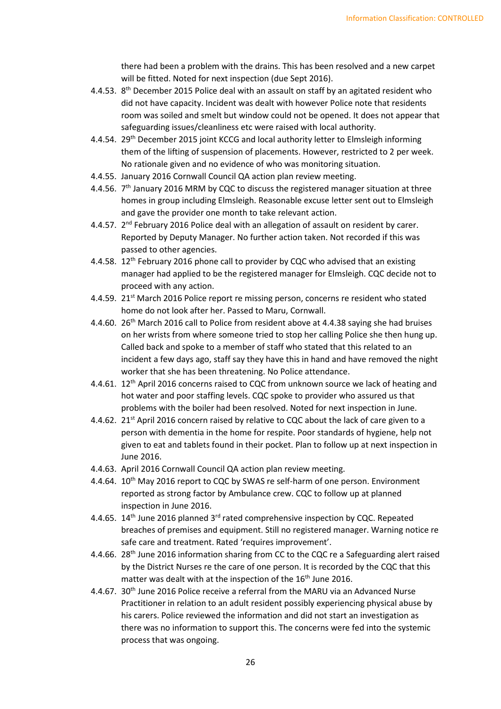there had been a problem with the drains. This has been resolved and a new carpet will be fitted. Noted for next inspection (due Sept 2016).

- 4.4.53. 8<sup>th</sup> December 2015 Police deal with an assault on staff by an agitated resident who did not have capacity. Incident was dealt with however Police note that residents room was soiled and smelt but window could not be opened. It does not appear that safeguarding issues/cleanliness etc were raised with local authority.
- 4.4.54. 29<sup>th</sup> December 2015 joint KCCG and local authority letter to Elmsleigh informing them of the lifting of suspension of placements. However, restricted to 2 per week. No rationale given and no evidence of who was monitoring situation.
- 4.4.55. January 2016 Cornwall Council QA action plan review meeting.
- 4.4.56. 7<sup>th</sup> January 2016 MRM by CQC to discuss the registered manager situation at three homes in group including Elmsleigh. Reasonable excuse letter sent out to Elmsleigh and gave the provider one month to take relevant action.
- 4.4.57. 2<sup>nd</sup> February 2016 Police deal with an allegation of assault on resident by carer. Reported by Deputy Manager. No further action taken. Not recorded if this was passed to other agencies.
- 4.4.58. 12<sup>th</sup> February 2016 phone call to provider by CQC who advised that an existing manager had applied to be the registered manager for Elmsleigh. CQC decide not to proceed with any action.
- 4.4.59. 21<sup>st</sup> March 2016 Police report re missing person, concerns re resident who stated home do not look after her. Passed to Maru, Cornwall.
- 4.4.60. 26th March 2016 call to Police from resident above at 4.4.38 saying she had bruises on her wrists from where someone tried to stop her calling Police she then hung up. Called back and spoke to a member of staff who stated that this related to an incident a few days ago, staff say they have this in hand and have removed the night worker that she has been threatening. No Police attendance.
- 4.4.61. 12<sup>th</sup> April 2016 concerns raised to CQC from unknown source we lack of heating and hot water and poor staffing levels. CQC spoke to provider who assured us that problems with the boiler had been resolved. Noted for next inspection in June.
- 4.4.62. 21<sup>st</sup> April 2016 concern raised by relative to CQC about the lack of care given to a person with dementia in the home for respite. Poor standards of hygiene, help not given to eat and tablets found in their pocket. Plan to follow up at next inspection in June 2016.
- 4.4.63. April 2016 Cornwall Council QA action plan review meeting.
- 4.4.64. 10<sup>th</sup> May 2016 report to CQC by SWAS re self-harm of one person. Environment reported as strong factor by Ambulance crew. CQC to follow up at planned inspection in June 2016.
- 4.4.65.  $14<sup>th</sup>$  June 2016 planned 3<sup>rd</sup> rated comprehensive inspection by CQC. Repeated breaches of premises and equipment. Still no registered manager. Warning notice re safe care and treatment. Rated 'requires improvement'.
- 4.4.66. 28<sup>th</sup> June 2016 information sharing from CC to the CQC re a Safeguarding alert raised by the District Nurses re the care of one person. It is recorded by the CQC that this matter was dealt with at the inspection of the 16<sup>th</sup> June 2016.
- 4.4.67. 30th June 2016 Police receive a referral from the MARU via an Advanced Nurse Practitioner in relation to an adult resident possibly experiencing physical abuse by his carers. Police reviewed the information and did not start an investigation as there was no information to support this. The concerns were fed into the systemic process that was ongoing.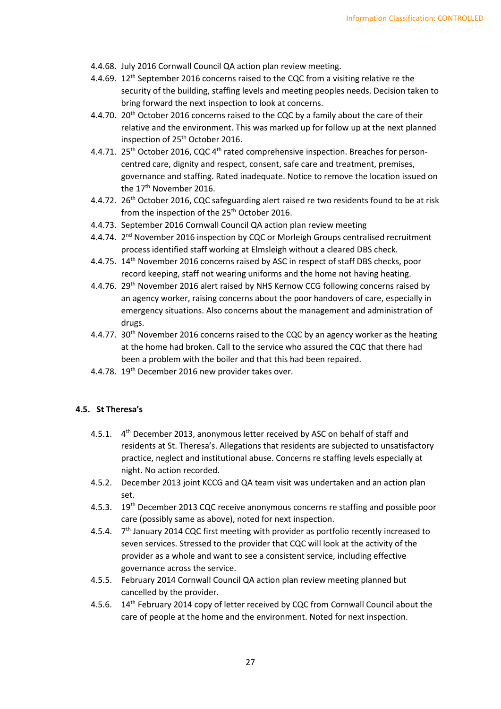- 4.4.68. July 2016 Cornwall Council QA action plan review meeting.
- 4.4.69. 12<sup>th</sup> September 2016 concerns raised to the CQC from a visiting relative re the security of the building, staffing levels and meeting peoples needs. Decision taken to bring forward the next inspection to look at concerns.
- 4.4.70. 20<sup>th</sup> October 2016 concerns raised to the CQC by a family about the care of their relative and the environment. This was marked up for follow up at the next planned inspection of 25<sup>th</sup> October 2016.
- 4.4.71. 25<sup>th</sup> October 2016, CQC 4<sup>th</sup> rated comprehensive inspection. Breaches for personcentred care, dignity and respect, consent, safe care and treatment, premises, governance and staffing. Rated inadequate. Notice to remove the location issued on the 17<sup>th</sup> November 2016.
- 4.4.72. 26<sup>th</sup> October 2016, CQC safeguarding alert raised re two residents found to be at risk from the inspection of the 25<sup>th</sup> October 2016.
- 4.4.73. September 2016 Cornwall Council QA action plan review meeting
- 4.4.74. 2<sup>nd</sup> November 2016 inspection by CQC or Morleigh Groups centralised recruitment process identified staff working at Elmsleigh without a cleared DBS check.
- 4.4.75. 14th November 2016 concerns raised by ASC in respect of staff DBS checks, poor record keeping, staff not wearing uniforms and the home not having heating.
- 4.4.76. 29<sup>th</sup> November 2016 alert raised by NHS Kernow CCG following concerns raised by an agency worker, raising concerns about the poor handovers of care, especially in emergency situations. Also concerns about the management and administration of drugs.
- 4.4.77. 30<sup>th</sup> November 2016 concerns raised to the CQC by an agency worker as the heating at the home had broken. Call to the service who assured the CQC that there had been a problem with the boiler and that this had been repaired.
- 4.4.78. 19<sup>th</sup> December 2016 new provider takes over.

#### **4.5. St Theresa's**

- 4.5.1. 4<sup>th</sup> December 2013, anonymous letter received by ASC on behalf of staff and residents at St. Theresa's. Allegations that residents are subjected to unsatisfactory practice, neglect and institutional abuse. Concerns re staffing levels especially at night. No action recorded.
- 4.5.2. December 2013 joint KCCG and QA team visit was undertaken and an action plan set.
- 4.5.3. 19<sup>th</sup> December 2013 CQC receive anonymous concerns re staffing and possible poor care (possibly same as above), noted for next inspection.
- 4.5.4. 7<sup>th</sup> January 2014 CQC first meeting with provider as portfolio recently increased to seven services. Stressed to the provider that CQC will look at the activity of the provider as a whole and want to see a consistent service, including effective governance across the service.
- 4.5.5. February 2014 Cornwall Council QA action plan review meeting planned but cancelled by the provider.
- 4.5.6. 14th February 2014 copy of letter received by CQC from Cornwall Council about the care of people at the home and the environment. Noted for next inspection.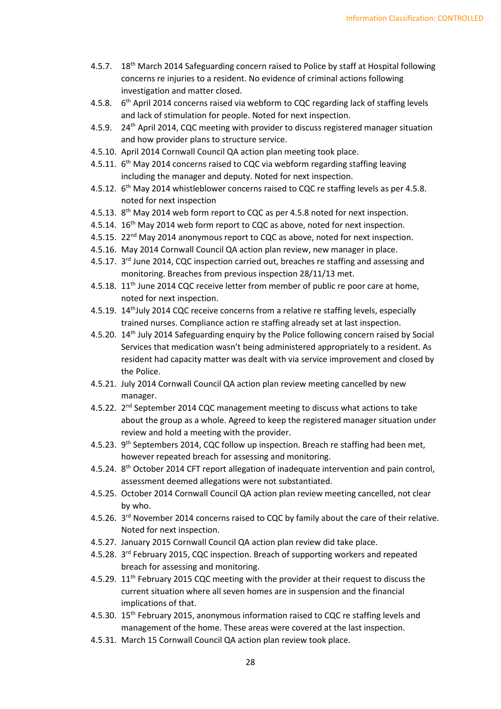- 4.5.7. 18<sup>th</sup> March 2014 Safeguarding concern raised to Police by staff at Hospital following concerns re injuries to a resident. No evidence of criminal actions following investigation and matter closed.
- 4.5.8. 6<sup>th</sup> April 2014 concerns raised via webform to CQC regarding lack of staffing levels and lack of stimulation for people. Noted for next inspection.
- 4.5.9. 24th April 2014, CQC meeting with provider to discuss registered manager situation and how provider plans to structure service.
- 4.5.10. April 2014 Cornwall Council QA action plan meeting took place.
- 4.5.11. 6<sup>th</sup> May 2014 concerns raised to CQC via webform regarding staffing leaving including the manager and deputy. Noted for next inspection.
- 4.5.12. 6<sup>th</sup> May 2014 whistleblower concerns raised to CQC re staffing levels as per 4.5.8. noted for next inspection
- 4.5.13. 8<sup>th</sup> May 2014 web form report to CQC as per 4.5.8 noted for next inspection.
- 4.5.14. 16<sup>th</sup> May 2014 web form report to CQC as above, noted for next inspection.
- 4.5.15. 22<sup>nd</sup> May 2014 anonymous report to CQC as above, noted for next inspection.
- 4.5.16. May 2014 Cornwall Council QA action plan review, new manager in place.
- 4.5.17.  $3<sup>rd</sup>$  June 2014, CQC inspection carried out, breaches re staffing and assessing and monitoring. Breaches from previous inspection 28/11/13 met.
- 4.5.18.  $11<sup>th</sup>$  June 2014 CQC receive letter from member of public re poor care at home, noted for next inspection.
- 4.5.19. 14<sup>th</sup>July 2014 CQC receive concerns from a relative re staffing levels, especially trained nurses. Compliance action re staffing already set at last inspection.
- 4.5.20. 14<sup>th</sup> July 2014 Safeguarding enquiry by the Police following concern raised by Social Services that medication wasn't being administered appropriately to a resident. As resident had capacity matter was dealt with via service improvement and closed by the Police.
- 4.5.21. July 2014 Cornwall Council QA action plan review meeting cancelled by new manager.
- 4.5.22.  $2^{nd}$  September 2014 CQC management meeting to discuss what actions to take about the group as a whole. Agreed to keep the registered manager situation under review and hold a meeting with the provider.
- 4.5.23. 9<sup>th</sup> Septembers 2014, CQC follow up inspection. Breach re staffing had been met, however repeated breach for assessing and monitoring.
- 4.5.24. 8<sup>th</sup> October 2014 CFT report allegation of inadequate intervention and pain control, assessment deemed allegations were not substantiated.
- 4.5.25. October 2014 Cornwall Council QA action plan review meeting cancelled, not clear by who.
- 4.5.26. 3<sup>rd</sup> November 2014 concerns raised to CQC by family about the care of their relative. Noted for next inspection.
- 4.5.27. January 2015 Cornwall Council QA action plan review did take place.
- 4.5.28. 3<sup>rd</sup> February 2015, CQC inspection. Breach of supporting workers and repeated breach for assessing and monitoring.
- 4.5.29. 11<sup>th</sup> February 2015 CQC meeting with the provider at their request to discuss the current situation where all seven homes are in suspension and the financial implications of that.
- 4.5.30. 15<sup>th</sup> February 2015, anonymous information raised to CQC re staffing levels and management of the home. These areas were covered at the last inspection.
- 4.5.31. March 15 Cornwall Council QA action plan review took place.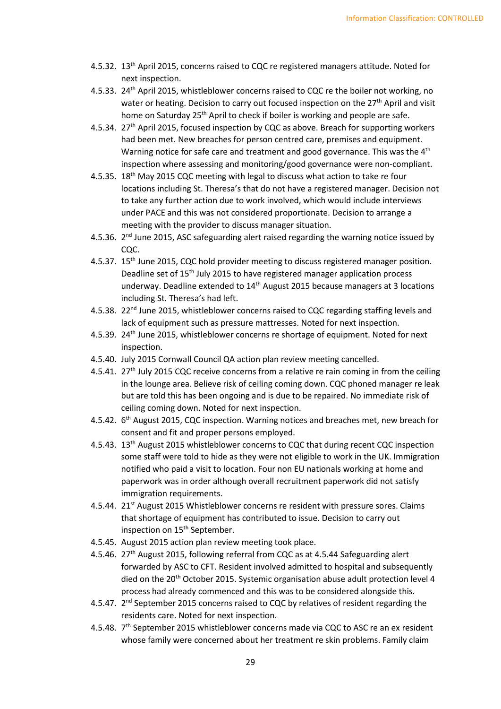- 4.5.32. 13th April 2015, concerns raised to CQC re registered managers attitude. Noted for next inspection.
- 4.5.33. 24<sup>th</sup> April 2015, whistleblower concerns raised to CQC re the boiler not working, no water or heating. Decision to carry out focused inspection on the 27<sup>th</sup> April and visit home on Saturday 25<sup>th</sup> April to check if boiler is working and people are safe.
- 4.5.34. 27<sup>th</sup> April 2015, focused inspection by CQC as above. Breach for supporting workers had been met. New breaches for person centred care, premises and equipment. Warning notice for safe care and treatment and good governance. This was the 4<sup>th</sup> inspection where assessing and monitoring/good governance were non-compliant.
- 4.5.35. 18<sup>th</sup> May 2015 CQC meeting with legal to discuss what action to take re four locations including St. Theresa's that do not have a registered manager. Decision not to take any further action due to work involved, which would include interviews under PACE and this was not considered proportionate. Decision to arrange a meeting with the provider to discuss manager situation.
- 4.5.36. 2<sup>nd</sup> June 2015, ASC safeguarding alert raised regarding the warning notice issued by CQC.
- 4.5.37. 15<sup>th</sup> June 2015, CQC hold provider meeting to discuss registered manager position. Deadline set of 15<sup>th</sup> July 2015 to have registered manager application process underway. Deadline extended to 14<sup>th</sup> August 2015 because managers at 3 locations including St. Theresa's had left.
- 4.5.38. 22<sup>nd</sup> June 2015, whistleblower concerns raised to CQC regarding staffing levels and lack of equipment such as pressure mattresses. Noted for next inspection.
- 4.5.39. 24<sup>th</sup> June 2015, whistleblower concerns re shortage of equipment. Noted for next inspection.
- 4.5.40. July 2015 Cornwall Council QA action plan review meeting cancelled.
- 4.5.41. 27<sup>th</sup> July 2015 CQC receive concerns from a relative re rain coming in from the ceiling in the lounge area. Believe risk of ceiling coming down. CQC phoned manager re leak but are told this has been ongoing and is due to be repaired. No immediate risk of ceiling coming down. Noted for next inspection.
- 4.5.42. 6<sup>th</sup> August 2015, CQC inspection. Warning notices and breaches met, new breach for consent and fit and proper persons employed.
- 4.5.43. 13<sup>th</sup> August 2015 whistleblower concerns to CQC that during recent CQC inspection some staff were told to hide as they were not eligible to work in the UK. Immigration notified who paid a visit to location. Four non EU nationals working at home and paperwork was in order although overall recruitment paperwork did not satisfy immigration requirements.
- 4.5.44. 21<sup>st</sup> August 2015 Whistleblower concerns re resident with pressure sores. Claims that shortage of equipment has contributed to issue. Decision to carry out inspection on 15<sup>th</sup> September.
- 4.5.45. August 2015 action plan review meeting took place.
- 4.5.46. 27th August 2015, following referral from CQC as at 4.5.44 Safeguarding alert forwarded by ASC to CFT. Resident involved admitted to hospital and subsequently died on the 20<sup>th</sup> October 2015. Systemic organisation abuse adult protection level 4 process had already commenced and this was to be considered alongside this.
- 4.5.47. 2<sup>nd</sup> September 2015 concerns raised to CQC by relatives of resident regarding the residents care. Noted for next inspection.
- 4.5.48. 7<sup>th</sup> September 2015 whistleblower concerns made via CQC to ASC re an ex resident whose family were concerned about her treatment re skin problems. Family claim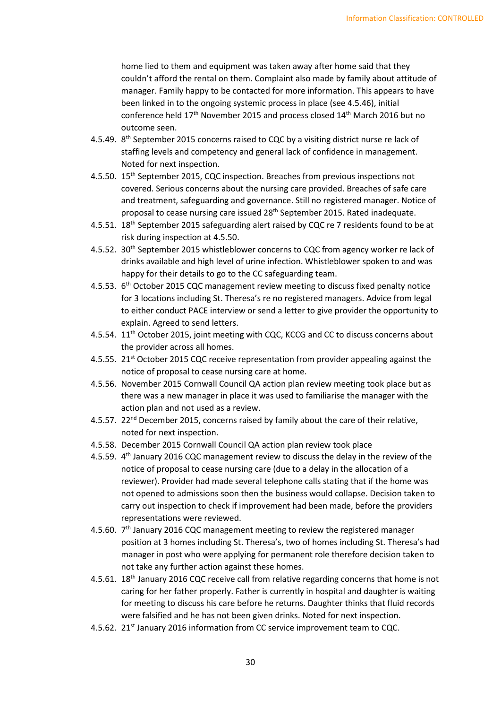home lied to them and equipment was taken away after home said that they couldn't afford the rental on them. Complaint also made by family about attitude of manager. Family happy to be contacted for more information. This appears to have been linked in to the ongoing systemic process in place (see 4.5.46), initial conference held 17<sup>th</sup> November 2015 and process closed 14<sup>th</sup> March 2016 but no outcome seen.

- 4.5.49. 8<sup>th</sup> September 2015 concerns raised to CQC by a visiting district nurse re lack of staffing levels and competency and general lack of confidence in management. Noted for next inspection.
- 4.5.50. 15<sup>th</sup> September 2015, CQC inspection. Breaches from previous inspections not covered. Serious concerns about the nursing care provided. Breaches of safe care and treatment, safeguarding and governance. Still no registered manager. Notice of proposal to cease nursing care issued 28<sup>th</sup> September 2015. Rated inadequate.
- 4.5.51. 18<sup>th</sup> September 2015 safeguarding alert raised by CQC re 7 residents found to be at risk during inspection at 4.5.50.
- 4.5.52. 30<sup>th</sup> September 2015 whistleblower concerns to CQC from agency worker re lack of drinks available and high level of urine infection. Whistleblower spoken to and was happy for their details to go to the CC safeguarding team.
- 4.5.53. 6<sup>th</sup> October 2015 CQC management review meeting to discuss fixed penalty notice for 3 locations including St. Theresa's re no registered managers. Advice from legal to either conduct PACE interview or send a letter to give provider the opportunity to explain. Agreed to send letters.
- 4.5.54. 11<sup>th</sup> October 2015, joint meeting with CQC, KCCG and CC to discuss concerns about the provider across all homes.
- 4.5.55. 21<sup>st</sup> October 2015 CQC receive representation from provider appealing against the notice of proposal to cease nursing care at home.
- 4.5.56. November 2015 Cornwall Council QA action plan review meeting took place but as there was a new manager in place it was used to familiarise the manager with the action plan and not used as a review.
- 4.5.57. 22<sup>nd</sup> December 2015, concerns raised by family about the care of their relative, noted for next inspection.
- 4.5.58. December 2015 Cornwall Council QA action plan review took place
- 4.5.59. 4<sup>th</sup> January 2016 CQC management review to discuss the delay in the review of the notice of proposal to cease nursing care (due to a delay in the allocation of a reviewer). Provider had made several telephone calls stating that if the home was not opened to admissions soon then the business would collapse. Decision taken to carry out inspection to check if improvement had been made, before the providers representations were reviewed.
- 4.5.60.  $7<sup>th</sup>$  January 2016 CQC management meeting to review the registered manager position at 3 homes including St. Theresa's, two of homes including St. Theresa's had manager in post who were applying for permanent role therefore decision taken to not take any further action against these homes.
- 4.5.61. 18th January 2016 CQC receive call from relative regarding concerns that home is not caring for her father properly. Father is currently in hospital and daughter is waiting for meeting to discuss his care before he returns. Daughter thinks that fluid records were falsified and he has not been given drinks. Noted for next inspection.
- 4.5.62. 21<sup>st</sup> January 2016 information from CC service improvement team to CQC.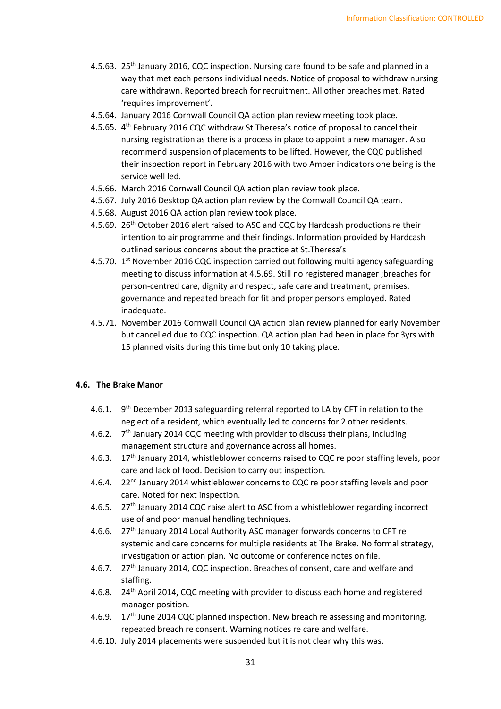- 4.5.63. 25th January 2016, CQC inspection. Nursing care found to be safe and planned in a way that met each persons individual needs. Notice of proposal to withdraw nursing care withdrawn. Reported breach for recruitment. All other breaches met. Rated 'requires improvement'.
- 4.5.64. January 2016 Cornwall Council QA action plan review meeting took place.
- 4.5.65. 4th February 2016 CQC withdraw St Theresa's notice of proposal to cancel their nursing registration as there is a process in place to appoint a new manager. Also recommend suspension of placements to be lifted. However, the CQC published their inspection report in February 2016 with two Amber indicators one being is the service well led.
- 4.5.66. March 2016 Cornwall Council QA action plan review took place.
- 4.5.67. July 2016 Desktop QA action plan review by the Cornwall Council QA team.
- 4.5.68. August 2016 QA action plan review took place.
- 4.5.69. 26<sup>th</sup> October 2016 alert raised to ASC and CQC by Hardcash productions re their intention to air programme and their findings. Information provided by Hardcash outlined serious concerns about the practice at St.Theresa's
- 4.5.70.  $1<sup>st</sup>$  November 2016 CQC inspection carried out following multi agency safeguarding meeting to discuss information at 4.5.69. Still no registered manager ;breaches for person-centred care, dignity and respect, safe care and treatment, premises, governance and repeated breach for fit and proper persons employed. Rated inadequate.
- 4.5.71. November 2016 Cornwall Council QA action plan review planned for early November but cancelled due to CQC inspection. QA action plan had been in place for 3yrs with 15 planned visits during this time but only 10 taking place.

#### **4.6. The Brake Manor**

- 4.6.1. 9<sup>th</sup> December 2013 safeguarding referral reported to LA by CFT in relation to the neglect of a resident, which eventually led to concerns for 2 other residents.
- 4.6.2.  $7<sup>th</sup>$  January 2014 CQC meeting with provider to discuss their plans, including management structure and governance across all homes.
- 4.6.3. 17<sup>th</sup> January 2014, whistleblower concerns raised to CQC re poor staffing levels, poor care and lack of food. Decision to carry out inspection.
- 4.6.4. 22<sup>nd</sup> January 2014 whistleblower concerns to CQC re poor staffing levels and poor care. Noted for next inspection.
- 4.6.5. 27<sup>th</sup> January 2014 CQC raise alert to ASC from a whistleblower regarding incorrect use of and poor manual handling techniques.
- 4.6.6. 27th January 2014 Local Authority ASC manager forwards concerns to CFT re systemic and care concerns for multiple residents at The Brake. No formal strategy, investigation or action plan. No outcome or conference notes on file.
- 4.6.7. 27th January 2014, CQC inspection. Breaches of consent, care and welfare and staffing.
- 4.6.8. 24th April 2014, CQC meeting with provider to discuss each home and registered manager position.
- 4.6.9.  $17<sup>th</sup>$  June 2014 CQC planned inspection. New breach re assessing and monitoring, repeated breach re consent. Warning notices re care and welfare.
- 4.6.10. July 2014 placements were suspended but it is not clear why this was.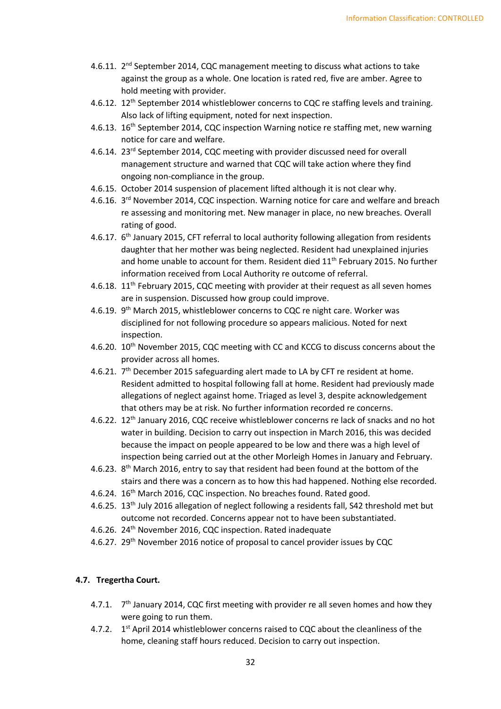- 4.6.11. 2<sup>nd</sup> September 2014, CQC management meeting to discuss what actions to take against the group as a whole. One location is rated red, five are amber. Agree to hold meeting with provider.
- 4.6.12. 12<sup>th</sup> September 2014 whistleblower concerns to CQC re staffing levels and training. Also lack of lifting equipment, noted for next inspection.
- 4.6.13. 16<sup>th</sup> September 2014, CQC inspection Warning notice re staffing met, new warning notice for care and welfare.
- 4.6.14. 23rd September 2014, CQC meeting with provider discussed need for overall management structure and warned that CQC will take action where they find ongoing non-compliance in the group.
- 4.6.15. October 2014 suspension of placement lifted although it is not clear why.
- 4.6.16. 3<sup>rd</sup> November 2014, CQC inspection. Warning notice for care and welfare and breach re assessing and monitoring met. New manager in place, no new breaches. Overall rating of good.
- 4.6.17. 6<sup>th</sup> January 2015, CFT referral to local authority following allegation from residents daughter that her mother was being neglected. Resident had unexplained injuries and home unable to account for them. Resident died  $11<sup>th</sup>$  February 2015. No further information received from Local Authority re outcome of referral.
- 4.6.18.  $11^{\text{th}}$  February 2015, CQC meeting with provider at their request as all seven homes are in suspension. Discussed how group could improve.
- 4.6.19. 9<sup>th</sup> March 2015, whistleblower concerns to CQC re night care. Worker was disciplined for not following procedure so appears malicious. Noted for next inspection.
- 4.6.20. 10<sup>th</sup> November 2015, CQC meeting with CC and KCCG to discuss concerns about the provider across all homes.
- 4.6.21. 7<sup>th</sup> December 2015 safeguarding alert made to LA by CFT re resident at home. Resident admitted to hospital following fall at home. Resident had previously made allegations of neglect against home. Triaged as level 3, despite acknowledgement that others may be at risk. No further information recorded re concerns.
- 4.6.22. 12<sup>th</sup> January 2016, CQC receive whistleblower concerns re lack of snacks and no hot water in building. Decision to carry out inspection in March 2016, this was decided because the impact on people appeared to be low and there was a high level of inspection being carried out at the other Morleigh Homes in January and February.
- 4.6.23. 8<sup>th</sup> March 2016, entry to say that resident had been found at the bottom of the stairs and there was a concern as to how this had happened. Nothing else recorded.
- 4.6.24. 16th March 2016, CQC inspection. No breaches found. Rated good.
- 4.6.25. 13th July 2016 allegation of neglect following a residents fall, S42 threshold met but outcome not recorded. Concerns appear not to have been substantiated.
- 4.6.26. 24th November 2016, CQC inspection. Rated inadequate
- 4.6.27. 29<sup>th</sup> November 2016 notice of proposal to cancel provider issues by CQC

## **4.7. Tregertha Court.**

- 4.7.1.  $7<sup>th</sup>$  January 2014, CQC first meeting with provider re all seven homes and how they were going to run them.
- 4.7.2. 1<sup>st</sup> April 2014 whistleblower concerns raised to CQC about the cleanliness of the home, cleaning staff hours reduced. Decision to carry out inspection.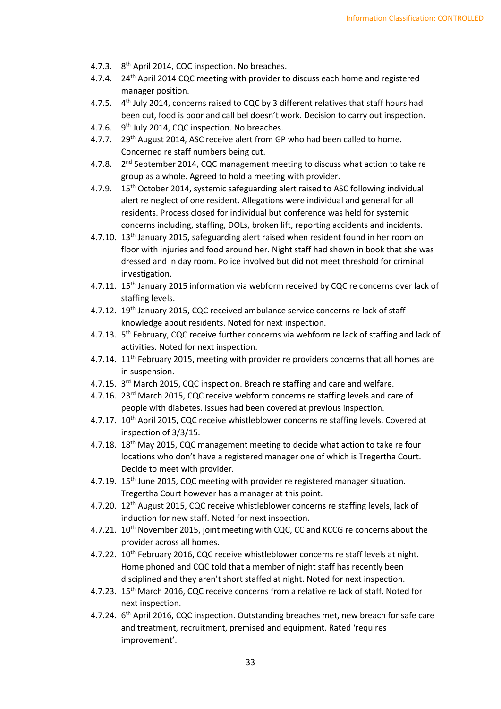- 4.7.3. 8<sup>th</sup> April 2014, CQC inspection. No breaches.
- 4.7.4. 24<sup>th</sup> April 2014 CQC meeting with provider to discuss each home and registered manager position.
- 4.7.5. 4<sup>th</sup> July 2014, concerns raised to CQC by 3 different relatives that staff hours had been cut, food is poor and call bel doesn't work. Decision to carry out inspection.
- 4.7.6. 9<sup>th</sup> July 2014, CQC inspection. No breaches.
- 4.7.7. 29<sup>th</sup> August 2014, ASC receive alert from GP who had been called to home. Concerned re staff numbers being cut.
- 4.7.8. 2<sup>nd</sup> September 2014, CQC management meeting to discuss what action to take re group as a whole. Agreed to hold a meeting with provider.
- 4.7.9. 15<sup>th</sup> October 2014, systemic safeguarding alert raised to ASC following individual alert re neglect of one resident. Allegations were individual and general for all residents. Process closed for individual but conference was held for systemic concerns including, staffing, DOLs, broken lift, reporting accidents and incidents.
- 4.7.10. 13th January 2015, safeguarding alert raised when resident found in her room on floor with injuries and food around her. Night staff had shown in book that she was dressed and in day room. Police involved but did not meet threshold for criminal investigation.
- 4.7.11. 15<sup>th</sup> January 2015 information via webform received by CQC re concerns over lack of staffing levels.
- 4.7.12. 19th January 2015, CQC received ambulance service concerns re lack of staff knowledge about residents. Noted for next inspection.
- 4.7.13. 5<sup>th</sup> February, CQC receive further concerns via webform re lack of staffing and lack of activities. Noted for next inspection.
- 4.7.14. 11<sup>th</sup> February 2015, meeting with provider re providers concerns that all homes are in suspension.
- 4.7.15. 3<sup>rd</sup> March 2015, CQC inspection. Breach re staffing and care and welfare.
- 4.7.16. 23<sup>rd</sup> March 2015, CQC receive webform concerns re staffing levels and care of people with diabetes. Issues had been covered at previous inspection.
- 4.7.17. 10<sup>th</sup> April 2015, CQC receive whistleblower concerns re staffing levels. Covered at inspection of 3/3/15.
- 4.7.18. 18<sup>th</sup> May 2015, CQC management meeting to decide what action to take re four locations who don't have a registered manager one of which is Tregertha Court. Decide to meet with provider.
- 4.7.19. 15<sup>th</sup> June 2015, CQC meeting with provider re registered manager situation. Tregertha Court however has a manager at this point.
- 4.7.20. 12<sup>th</sup> August 2015, CQC receive whistleblower concerns re staffing levels, lack of induction for new staff. Noted for next inspection.
- 4.7.21. 10<sup>th</sup> November 2015, joint meeting with CQC, CC and KCCG re concerns about the provider across all homes.
- 4.7.22. 10<sup>th</sup> February 2016, CQC receive whistleblower concerns re staff levels at night. Home phoned and CQC told that a member of night staff has recently been disciplined and they aren't short staffed at night. Noted for next inspection.
- 4.7.23. 15<sup>th</sup> March 2016, CQC receive concerns from a relative re lack of staff. Noted for next inspection.
- 4.7.24. 6<sup>th</sup> April 2016, CQC inspection. Outstanding breaches met, new breach for safe care and treatment, recruitment, premised and equipment. Rated 'requires improvement'.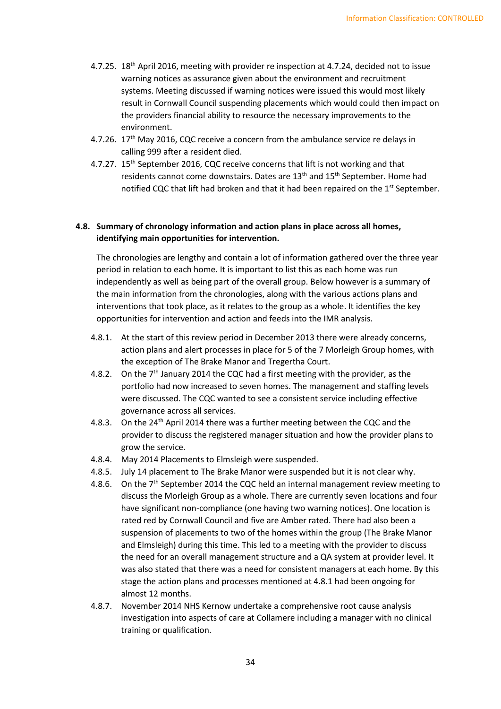- 4.7.25. 18<sup>th</sup> April 2016, meeting with provider re inspection at 4.7.24, decided not to issue warning notices as assurance given about the environment and recruitment systems. Meeting discussed if warning notices were issued this would most likely result in Cornwall Council suspending placements which would could then impact on the providers financial ability to resource the necessary improvements to the environment.
- 4.7.26.  $17<sup>th</sup>$  May 2016, CQC receive a concern from the ambulance service re delays in calling 999 after a resident died.
- 4.7.27. 15<sup>th</sup> September 2016, CQC receive concerns that lift is not working and that residents cannot come downstairs. Dates are 13<sup>th</sup> and 15<sup>th</sup> September. Home had notified CQC that lift had broken and that it had been repaired on the 1<sup>st</sup> September.

# **4.8. Summary of chronology information and action plans in place across all homes, identifying main opportunities for intervention.**

The chronologies are lengthy and contain a lot of information gathered over the three year period in relation to each home. It is important to list this as each home was run independently as well as being part of the overall group. Below however is a summary of the main information from the chronologies, along with the various actions plans and interventions that took place, as it relates to the group as a whole. It identifies the key opportunities for intervention and action and feeds into the IMR analysis.

- 4.8.1. At the start of this review period in December 2013 there were already concerns, action plans and alert processes in place for 5 of the 7 Morleigh Group homes, with the exception of The Brake Manor and Tregertha Court.
- 4.8.2. On the  $7<sup>th</sup>$  January 2014 the CQC had a first meeting with the provider, as the portfolio had now increased to seven homes. The management and staffing levels were discussed. The CQC wanted to see a consistent service including effective governance across all services.
- 4.8.3. On the 24<sup>th</sup> April 2014 there was a further meeting between the CQC and the provider to discuss the registered manager situation and how the provider plans to grow the service.
- 4.8.4. May 2014 Placements to Elmsleigh were suspended.
- 4.8.5. July 14 placement to The Brake Manor were suspended but it is not clear why.
- 4.8.6. On the  $7<sup>th</sup>$  September 2014 the CQC held an internal management review meeting to discuss the Morleigh Group as a whole. There are currently seven locations and four have significant non-compliance (one having two warning notices). One location is rated red by Cornwall Council and five are Amber rated. There had also been a suspension of placements to two of the homes within the group (The Brake Manor and Elmsleigh) during this time. This led to a meeting with the provider to discuss the need for an overall management structure and a QA system at provider level. It was also stated that there was a need for consistent managers at each home. By this stage the action plans and processes mentioned at 4.8.1 had been ongoing for almost 12 months.
- 4.8.7. November 2014 NHS Kernow undertake a comprehensive root cause analysis investigation into aspects of care at Collamere including a manager with no clinical training or qualification.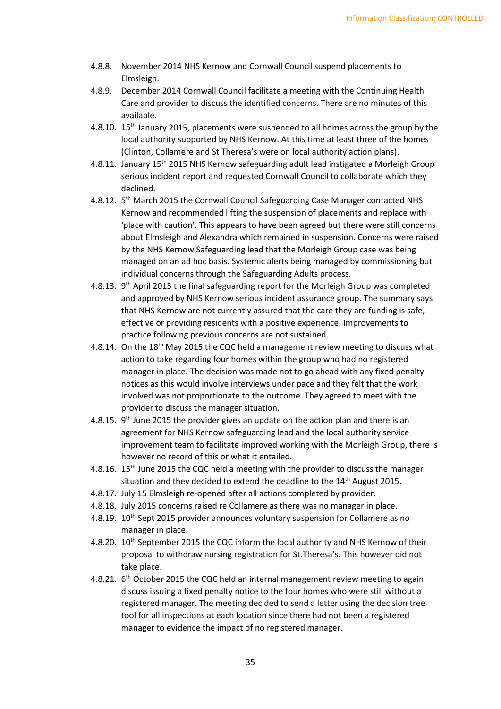- 4.8.8. November 2014 NHS Kernow and Cornwall Council suspend placements to Elmsleigh.
- 4.8.9. December 2014 Cornwall Council facilitate a meeting with the Continuing Health Care and provider to discuss the identified concerns. There are no minutes of this available.
- 4.8.10. 15<sup>th</sup> January 2015, placements were suspended to all homes across the group by the local authority supported by NHS Kernow. At this time at least three of the homes (Clinton, Collamere and St Theresa's were on local authority action plans).
- 4.8.11. January 15<sup>th</sup> 2015 NHS Kernow safeguarding adult lead instigated a Morleigh Group serious incident report and requested Cornwall Council to collaborate which they declined.
- 4.8.12. 5<sup>th</sup> March 2015 the Cornwall Council Safeguarding Case Manager contacted NHS Kernow and recommended lifting the suspension of placements and replace with 'place with caution'. This appears to have been agreed but there were still concerns about Elmsleigh and Alexandra which remained in suspension. Concerns were raised by the NHS Kernow Safeguarding lead that the Morleigh Group case was being managed on an ad hoc basis. Systemic alerts being managed by commissioning but individual concerns through the Safeguarding Adults process.
- 4.8.13. 9<sup>th</sup> April 2015 the final safeguarding report for the Morleigh Group was completed and approved by NHS Kernow serious incident assurance group. The summary says that NHS Kernow are not currently assured that the care they are funding is safe, effective or providing residents with a positive experience. Improvements to practice following previous concerns are not sustained.
- 4.8.14. On the 18<sup>th</sup> May 2015 the CQC held a management review meeting to discuss what action to take regarding four homes within the group who had no registered manager in place. The decision was made not to go ahead with any fixed penalty notices as this would involve interviews under pace and they felt that the work involved was not proportionate to the outcome. They agreed to meet with the provider to discuss the manager situation.
- 4.8.15.  $9<sup>th</sup>$  June 2015 the provider gives an update on the action plan and there is an agreement for NHS Kernow safeguarding lead and the local authority service improvement team to facilitate improved working with the Morleigh Group, there is however no record of this or what it entailed.
- 4.8.16. 15<sup>th</sup> June 2015 the CQC held a meeting with the provider to discuss the manager situation and they decided to extend the deadline to the 14<sup>th</sup> August 2015.
- 4.8.17. July 15 Elmsleigh re-opened after all actions completed by provider.
- 4.8.18. July 2015 concerns raised re Collamere as there was no manager in place.
- 4.8.19. 10<sup>th</sup> Sept 2015 provider announces voluntary suspension for Collamere as no manager in place.
- 4.8.20. 10<sup>th</sup> September 2015 the CQC inform the local authority and NHS Kernow of their proposal to withdraw nursing registration for St.Theresa's. This however did not take place.
- 4.8.21.  $6<sup>th</sup>$  October 2015 the CQC held an internal management review meeting to again discuss issuing a fixed penalty notice to the four homes who were still without a registered manager. The meeting decided to send a letter using the decision tree tool for all inspections at each location since there had not been a registered manager to evidence the impact of no registered manager.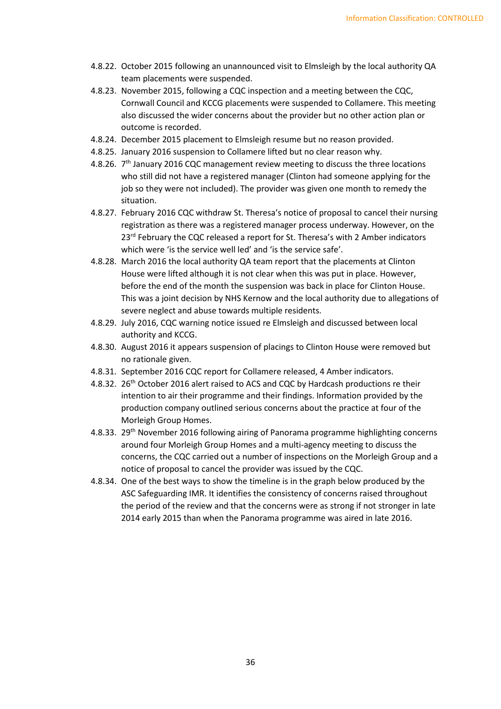- 4.8.22. October 2015 following an unannounced visit to Elmsleigh by the local authority QA team placements were suspended.
- 4.8.23. November 2015, following a CQC inspection and a meeting between the CQC, Cornwall Council and KCCG placements were suspended to Collamere. This meeting also discussed the wider concerns about the provider but no other action plan or outcome is recorded.
- 4.8.24. December 2015 placement to Elmsleigh resume but no reason provided.
- 4.8.25. January 2016 suspension to Collamere lifted but no clear reason why.
- 4.8.26.  $7<sup>th</sup>$  January 2016 CQC management review meeting to discuss the three locations who still did not have a registered manager (Clinton had someone applying for the job so they were not included). The provider was given one month to remedy the situation.
- 4.8.27. February 2016 CQC withdraw St. Theresa's notice of proposal to cancel their nursing registration as there was a registered manager process underway. However, on the 23<sup>rd</sup> February the CQC released a report for St. Theresa's with 2 Amber indicators which were 'is the service well led' and 'is the service safe'.
- 4.8.28. March 2016 the local authority QA team report that the placements at Clinton House were lifted although it is not clear when this was put in place. However, before the end of the month the suspension was back in place for Clinton House. This was a joint decision by NHS Kernow and the local authority due to allegations of severe neglect and abuse towards multiple residents.
- 4.8.29. July 2016, CQC warning notice issued re Elmsleigh and discussed between local authority and KCCG.
- 4.8.30. August 2016 it appears suspension of placings to Clinton House were removed but no rationale given.
- 4.8.31. September 2016 CQC report for Collamere released, 4 Amber indicators.
- 4.8.32. 26<sup>th</sup> October 2016 alert raised to ACS and CQC by Hardcash productions re their intention to air their programme and their findings. Information provided by the production company outlined serious concerns about the practice at four of the Morleigh Group Homes.
- 4.8.33. 29<sup>th</sup> November 2016 following airing of Panorama programme highlighting concerns around four Morleigh Group Homes and a multi-agency meeting to discuss the concerns, the CQC carried out a number of inspections on the Morleigh Group and a notice of proposal to cancel the provider was issued by the CQC.
- 4.8.34. One of the best ways to show the timeline is in the graph below produced by the ASC Safeguarding IMR. It identifies the consistency of concerns raised throughout the period of the review and that the concerns were as strong if not stronger in late 2014 early 2015 than when the Panorama programme was aired in late 2016.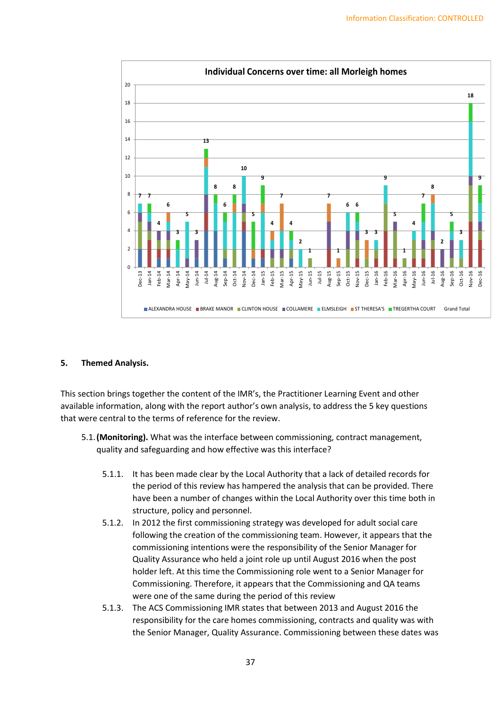

## **5. Themed Analysis.**

This section brings together the content of the IMR's, the Practitioner Learning Event and other available information, along with the report author's own analysis, to address the 5 key questions that were central to the terms of reference for the review.

- 5.1.**(Monitoring).** What was the interface between commissioning, contract management, quality and safeguarding and how effective was this interface?
	- 5.1.1. It has been made clear by the Local Authority that a lack of detailed records for the period of this review has hampered the analysis that can be provided. There have been a number of changes within the Local Authority over this time both in structure, policy and personnel.
	- 5.1.2. In 2012 the first commissioning strategy was developed for adult social care following the creation of the commissioning team. However, it appears that the commissioning intentions were the responsibility of the Senior Manager for Quality Assurance who held a joint role up until August 2016 when the post holder left. At this time the Commissioning role went to a Senior Manager for Commissioning. Therefore, it appears that the Commissioning and QA teams were one of the same during the period of this review
	- 5.1.3. The ACS Commissioning IMR states that between 2013 and August 2016 the responsibility for the care homes commissioning, contracts and quality was with the Senior Manager, Quality Assurance. Commissioning between these dates was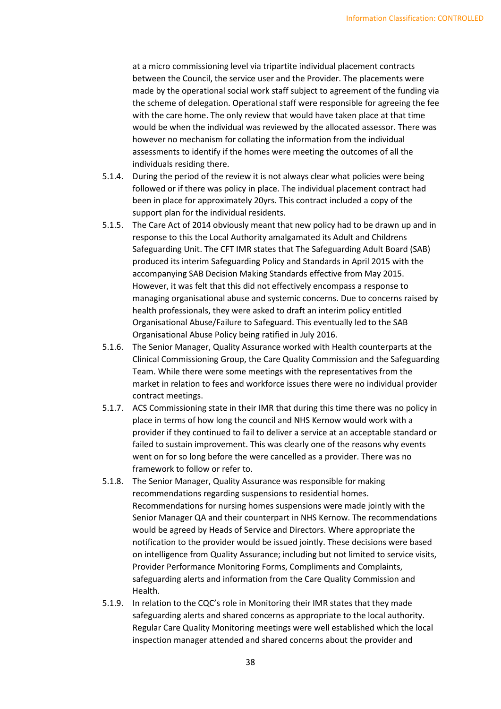at a micro commissioning level via tripartite individual placement contracts between the Council, the service user and the Provider. The placements were made by the operational social work staff subject to agreement of the funding via the scheme of delegation. Operational staff were responsible for agreeing the fee with the care home. The only review that would have taken place at that time would be when the individual was reviewed by the allocated assessor. There was however no mechanism for collating the information from the individual assessments to identify if the homes were meeting the outcomes of all the individuals residing there.

- 5.1.4. During the period of the review it is not always clear what policies were being followed or if there was policy in place. The individual placement contract had been in place for approximately 20yrs. This contract included a copy of the support plan for the individual residents.
- 5.1.5. The Care Act of 2014 obviously meant that new policy had to be drawn up and in response to this the Local Authority amalgamated its Adult and Childrens Safeguarding Unit. The CFT IMR states that The Safeguarding Adult Board (SAB) produced its interim Safeguarding Policy and Standards in April 2015 with the accompanying SAB Decision Making Standards effective from May 2015. However, it was felt that this did not effectively encompass a response to managing organisational abuse and systemic concerns. Due to concerns raised by health professionals, they were asked to draft an interim policy entitled Organisational Abuse/Failure to Safeguard. This eventually led to the SAB Organisational Abuse Policy being ratified in July 2016.
- 5.1.6. The Senior Manager, Quality Assurance worked with Health counterparts at the Clinical Commissioning Group, the Care Quality Commission and the Safeguarding Team. While there were some meetings with the representatives from the market in relation to fees and workforce issues there were no individual provider contract meetings.
- 5.1.7. ACS Commissioning state in their IMR that during this time there was no policy in place in terms of how long the council and NHS Kernow would work with a provider if they continued to fail to deliver a service at an acceptable standard or failed to sustain improvement. This was clearly one of the reasons why events went on for so long before the were cancelled as a provider. There was no framework to follow or refer to.
- 5.1.8. The Senior Manager, Quality Assurance was responsible for making recommendations regarding suspensions to residential homes. Recommendations for nursing homes suspensions were made jointly with the Senior Manager QA and their counterpart in NHS Kernow. The recommendations would be agreed by Heads of Service and Directors. Where appropriate the notification to the provider would be issued jointly. These decisions were based on intelligence from Quality Assurance; including but not limited to service visits, Provider Performance Monitoring Forms, Compliments and Complaints, safeguarding alerts and information from the Care Quality Commission and Health.
- 5.1.9. In relation to the CQC's role in Monitoring their IMR states that they made safeguarding alerts and shared concerns as appropriate to the local authority. Regular Care Quality Monitoring meetings were well established which the local inspection manager attended and shared concerns about the provider and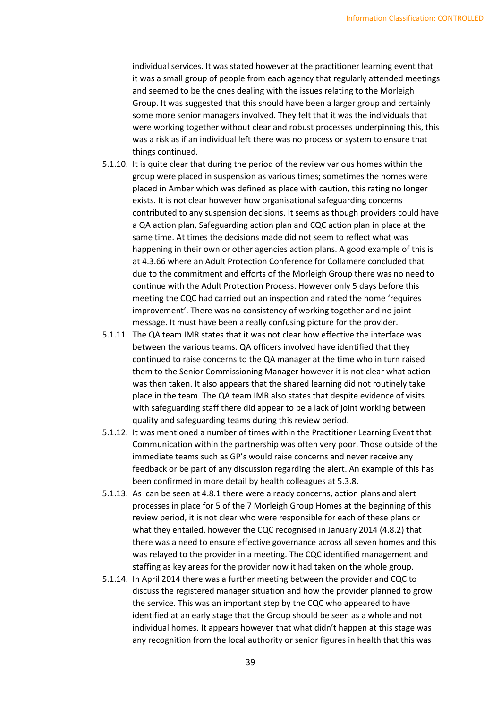individual services. It was stated however at the practitioner learning event that it was a small group of people from each agency that regularly attended meetings and seemed to be the ones dealing with the issues relating to the Morleigh Group. It was suggested that this should have been a larger group and certainly some more senior managers involved. They felt that it was the individuals that were working together without clear and robust processes underpinning this, this was a risk as if an individual left there was no process or system to ensure that things continued.

- 5.1.10. It is quite clear that during the period of the review various homes within the group were placed in suspension as various times; sometimes the homes were placed in Amber which was defined as place with caution, this rating no longer exists. It is not clear however how organisational safeguarding concerns contributed to any suspension decisions. It seems as though providers could have a QA action plan, Safeguarding action plan and CQC action plan in place at the same time. At times the decisions made did not seem to reflect what was happening in their own or other agencies action plans. A good example of this is at 4.3.66 where an Adult Protection Conference for Collamere concluded that due to the commitment and efforts of the Morleigh Group there was no need to continue with the Adult Protection Process. However only 5 days before this meeting the CQC had carried out an inspection and rated the home 'requires improvement'. There was no consistency of working together and no joint message. It must have been a really confusing picture for the provider.
- 5.1.11. The QA team IMR states that it was not clear how effective the interface was between the various teams. QA officers involved have identified that they continued to raise concerns to the QA manager at the time who in turn raised them to the Senior Commissioning Manager however it is not clear what action was then taken. It also appears that the shared learning did not routinely take place in the team. The QA team IMR also states that despite evidence of visits with safeguarding staff there did appear to be a lack of joint working between quality and safeguarding teams during this review period.
- 5.1.12. It was mentioned a number of times within the Practitioner Learning Event that Communication within the partnership was often very poor. Those outside of the immediate teams such as GP's would raise concerns and never receive any feedback or be part of any discussion regarding the alert. An example of this has been confirmed in more detail by health colleagues at 5.3.8.
- 5.1.13. As can be seen at 4.8.1 there were already concerns, action plans and alert processes in place for 5 of the 7 Morleigh Group Homes at the beginning of this review period, it is not clear who were responsible for each of these plans or what they entailed, however the CQC recognised in January 2014 (4.8.2) that there was a need to ensure effective governance across all seven homes and this was relayed to the provider in a meeting. The CQC identified management and staffing as key areas for the provider now it had taken on the whole group.
- 5.1.14. In April 2014 there was a further meeting between the provider and CQC to discuss the registered manager situation and how the provider planned to grow the service. This was an important step by the CQC who appeared to have identified at an early stage that the Group should be seen as a whole and not individual homes. It appears however that what didn't happen at this stage was any recognition from the local authority or senior figures in health that this was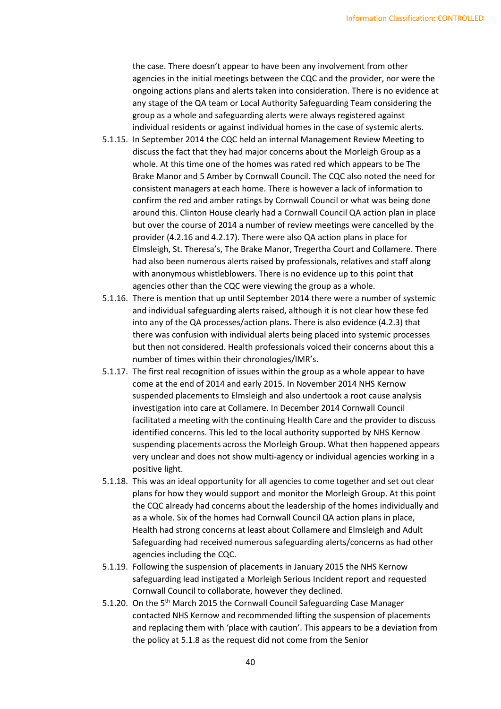the case. There doesn't appear to have been any involvement from other agencies in the initial meetings between the CQC and the provider, nor were the ongoing actions plans and alerts taken into consideration. There is no evidence at any stage of the QA team or Local Authority Safeguarding Team considering the group as a whole and safeguarding alerts were always registered against individual residents or against individual homes in the case of systemic alerts.

- 5.1.15. In September 2014 the CQC held an internal Management Review Meeting to discuss the fact that they had major concerns about the Morleigh Group as a whole. At this time one of the homes was rated red which appears to be The Brake Manor and 5 Amber by Cornwall Council. The CQC also noted the need for consistent managers at each home. There is however a lack of information to confirm the red and amber ratings by Cornwall Council or what was being done around this. Clinton House clearly had a Cornwall Council QA action plan in place but over the course of 2014 a number of review meetings were cancelled by the provider (4.2.16 and 4.2.17). There were also QA action plans in place for Elmsleigh, St. Theresa's, The Brake Manor, Tregertha Court and Collamere. There had also been numerous alerts raised by professionals, relatives and staff along with anonymous whistleblowers. There is no evidence up to this point that agencies other than the CQC were viewing the group as a whole.
- 5.1.16. There is mention that up until September 2014 there were a number of systemic and individual safeguarding alerts raised, although it is not clear how these fed into any of the QA processes/action plans. There is also evidence (4.2.3) that there was confusion with individual alerts being placed into systemic processes but then not considered. Health professionals voiced their concerns about this a number of times within their chronologies/IMR's.
- 5.1.17. The first real recognition of issues within the group as a whole appear to have come at the end of 2014 and early 2015. In November 2014 NHS Kernow suspended placements to Elmsleigh and also undertook a root cause analysis investigation into care at Collamere. In December 2014 Cornwall Council facilitated a meeting with the continuing Health Care and the provider to discuss identified concerns. This led to the local authority supported by NHS Kernow suspending placements across the Morleigh Group. What then happened appears very unclear and does not show multi-agency or individual agencies working in a positive light.
- 5.1.18. This was an ideal opportunity for all agencies to come together and set out clear plans for how they would support and monitor the Morleigh Group. At this point the CQC already had concerns about the leadership of the homes individually and as a whole. Six of the homes had Cornwall Council QA action plans in place, Health had strong concerns at least about Collamere and Elmsleigh and Adult Safeguarding had received numerous safeguarding alerts/concerns as had other agencies including the CQC.
- 5.1.19. Following the suspension of placements in January 2015 the NHS Kernow safeguarding lead instigated a Morleigh Serious Incident report and requested Cornwall Council to collaborate, however they declined.
- 5.1.20. On the 5<sup>th</sup> March 2015 the Cornwall Council Safeguarding Case Manager contacted NHS Kernow and recommended lifting the suspension of placements and replacing them with 'place with caution'. This appears to be a deviation from the policy at 5.1.8 as the request did not come from the Senior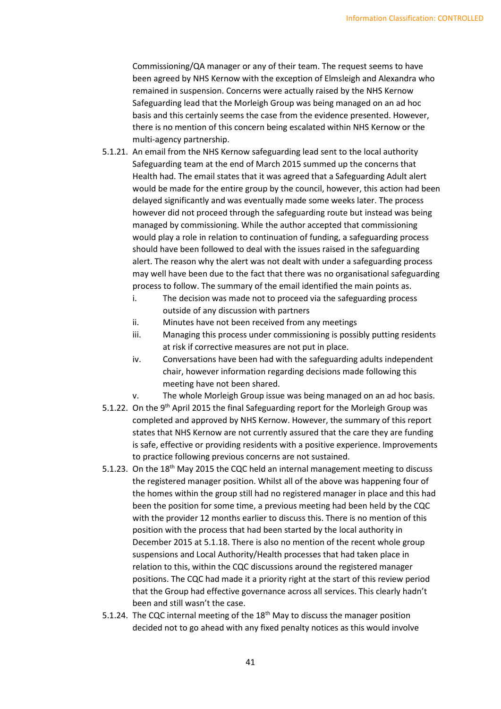Commissioning/QA manager or any of their team. The request seems to have been agreed by NHS Kernow with the exception of Elmsleigh and Alexandra who remained in suspension. Concerns were actually raised by the NHS Kernow Safeguarding lead that the Morleigh Group was being managed on an ad hoc basis and this certainly seems the case from the evidence presented. However, there is no mention of this concern being escalated within NHS Kernow or the multi-agency partnership.

- 5.1.21. An email from the NHS Kernow safeguarding lead sent to the local authority Safeguarding team at the end of March 2015 summed up the concerns that Health had. The email states that it was agreed that a Safeguarding Adult alert would be made for the entire group by the council, however, this action had been delayed significantly and was eventually made some weeks later. The process however did not proceed through the safeguarding route but instead was being managed by commissioning. While the author accepted that commissioning would play a role in relation to continuation of funding, a safeguarding process should have been followed to deal with the issues raised in the safeguarding alert. The reason why the alert was not dealt with under a safeguarding process may well have been due to the fact that there was no organisational safeguarding process to follow. The summary of the email identified the main points as.
	- i. The decision was made not to proceed via the safeguarding process outside of any discussion with partners
	- ii. Minutes have not been received from any meetings
	- iii. Managing this process under commissioning is possibly putting residents at risk if corrective measures are not put in place.
	- iv. Conversations have been had with the safeguarding adults independent chair, however information regarding decisions made following this meeting have not been shared.
	- v. The whole Morleigh Group issue was being managed on an ad hoc basis.
- 5.1.22. On the 9<sup>th</sup> April 2015 the final Safeguarding report for the Morleigh Group was completed and approved by NHS Kernow. However, the summary of this report states that NHS Kernow are not currently assured that the care they are funding is safe, effective or providing residents with a positive experience. Improvements to practice following previous concerns are not sustained.
- 5.1.23. On the 18<sup>th</sup> May 2015 the CQC held an internal management meeting to discuss the registered manager position. Whilst all of the above was happening four of the homes within the group still had no registered manager in place and this had been the position for some time, a previous meeting had been held by the CQC with the provider 12 months earlier to discuss this. There is no mention of this position with the process that had been started by the local authority in December 2015 at 5.1.18. There is also no mention of the recent whole group suspensions and Local Authority/Health processes that had taken place in relation to this, within the CQC discussions around the registered manager positions. The CQC had made it a priority right at the start of this review period that the Group had effective governance across all services. This clearly hadn't been and still wasn't the case.
- 5.1.24. The CQC internal meeting of the 18<sup>th</sup> May to discuss the manager position decided not to go ahead with any fixed penalty notices as this would involve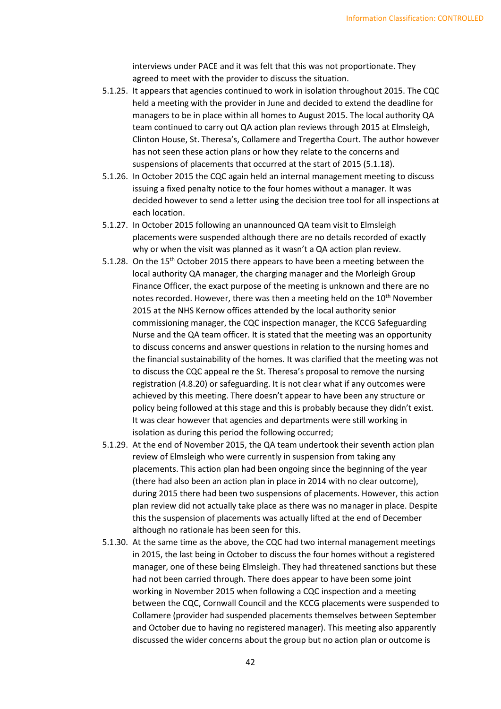interviews under PACE and it was felt that this was not proportionate. They agreed to meet with the provider to discuss the situation.

- 5.1.25. It appears that agencies continued to work in isolation throughout 2015. The CQC held a meeting with the provider in June and decided to extend the deadline for managers to be in place within all homes to August 2015. The local authority QA team continued to carry out QA action plan reviews through 2015 at Elmsleigh, Clinton House, St. Theresa's, Collamere and Tregertha Court. The author however has not seen these action plans or how they relate to the concerns and suspensions of placements that occurred at the start of 2015 (5.1.18).
- 5.1.26. In October 2015 the CQC again held an internal management meeting to discuss issuing a fixed penalty notice to the four homes without a manager. It was decided however to send a letter using the decision tree tool for all inspections at each location.
- 5.1.27. In October 2015 following an unannounced QA team visit to Elmsleigh placements were suspended although there are no details recorded of exactly why or when the visit was planned as it wasn't a QA action plan review.
- 5.1.28. On the 15<sup>th</sup> October 2015 there appears to have been a meeting between the local authority QA manager, the charging manager and the Morleigh Group Finance Officer, the exact purpose of the meeting is unknown and there are no notes recorded. However, there was then a meeting held on the 10<sup>th</sup> November 2015 at the NHS Kernow offices attended by the local authority senior commissioning manager, the CQC inspection manager, the KCCG Safeguarding Nurse and the QA team officer. It is stated that the meeting was an opportunity to discuss concerns and answer questions in relation to the nursing homes and the financial sustainability of the homes. It was clarified that the meeting was not to discuss the CQC appeal re the St. Theresa's proposal to remove the nursing registration (4.8.20) or safeguarding. It is not clear what if any outcomes were achieved by this meeting. There doesn't appear to have been any structure or policy being followed at this stage and this is probably because they didn't exist. It was clear however that agencies and departments were still working in isolation as during this period the following occurred;
- 5.1.29. At the end of November 2015, the QA team undertook their seventh action plan review of Elmsleigh who were currently in suspension from taking any placements. This action plan had been ongoing since the beginning of the year (there had also been an action plan in place in 2014 with no clear outcome), during 2015 there had been two suspensions of placements. However, this action plan review did not actually take place as there was no manager in place. Despite this the suspension of placements was actually lifted at the end of December although no rationale has been seen for this.
- 5.1.30. At the same time as the above, the CQC had two internal management meetings in 2015, the last being in October to discuss the four homes without a registered manager, one of these being Elmsleigh. They had threatened sanctions but these had not been carried through. There does appear to have been some joint working in November 2015 when following a CQC inspection and a meeting between the CQC, Cornwall Council and the KCCG placements were suspended to Collamere (provider had suspended placements themselves between September and October due to having no registered manager). This meeting also apparently discussed the wider concerns about the group but no action plan or outcome is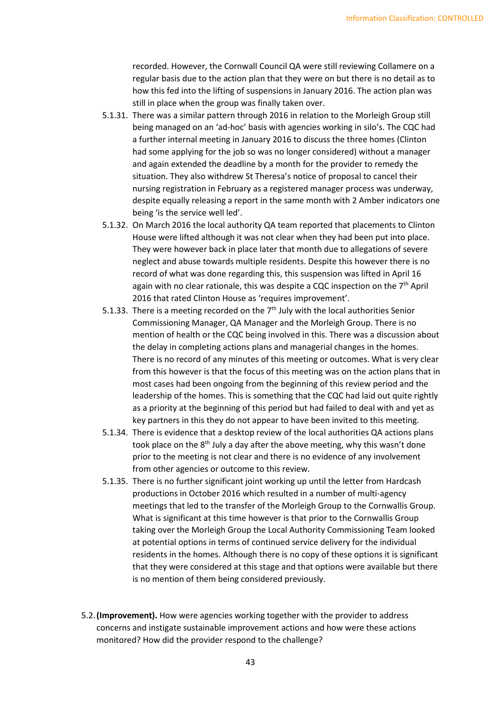recorded. However, the Cornwall Council QA were still reviewing Collamere on a regular basis due to the action plan that they were on but there is no detail as to how this fed into the lifting of suspensions in January 2016. The action plan was still in place when the group was finally taken over.

- 5.1.31. There was a similar pattern through 2016 in relation to the Morleigh Group still being managed on an 'ad-hoc' basis with agencies working in silo's. The CQC had a further internal meeting in January 2016 to discuss the three homes (Clinton had some applying for the job so was no longer considered) without a manager and again extended the deadline by a month for the provider to remedy the situation. They also withdrew St Theresa's notice of proposal to cancel their nursing registration in February as a registered manager process was underway, despite equally releasing a report in the same month with 2 Amber indicators one being 'is the service well led'.
- 5.1.32. On March 2016 the local authority QA team reported that placements to Clinton House were lifted although it was not clear when they had been put into place. They were however back in place later that month due to allegations of severe neglect and abuse towards multiple residents. Despite this however there is no record of what was done regarding this, this suspension was lifted in April 16 again with no clear rationale, this was despite a CQC inspection on the  $7<sup>th</sup>$  April 2016 that rated Clinton House as 'requires improvement'.
- 5.1.33. There is a meeting recorded on the  $7<sup>th</sup>$  July with the local authorities Senior Commissioning Manager, QA Manager and the Morleigh Group. There is no mention of health or the CQC being involved in this. There was a discussion about the delay in completing actions plans and managerial changes in the homes. There is no record of any minutes of this meeting or outcomes. What is very clear from this however is that the focus of this meeting was on the action plans that in most cases had been ongoing from the beginning of this review period and the leadership of the homes. This is something that the CQC had laid out quite rightly as a priority at the beginning of this period but had failed to deal with and yet as key partners in this they do not appear to have been invited to this meeting.
- 5.1.34. There is evidence that a desktop review of the local authorities QA actions plans took place on the 8<sup>th</sup> July a day after the above meeting, why this wasn't done prior to the meeting is not clear and there is no evidence of any involvement from other agencies or outcome to this review.
- 5.1.35. There is no further significant joint working up until the letter from Hardcash productions in October 2016 which resulted in a number of multi-agency meetings that led to the transfer of the Morleigh Group to the Cornwallis Group. What is significant at this time however is that prior to the Cornwallis Group taking over the Morleigh Group the Local Authority Commissioning Team looked at potential options in terms of continued service delivery for the individual residents in the homes. Although there is no copy of these options it is significant that they were considered at this stage and that options were available but there is no mention of them being considered previously.
- 5.2.**(Improvement).** How were agencies working together with the provider to address concerns and instigate sustainable improvement actions and how were these actions monitored? How did the provider respond to the challenge?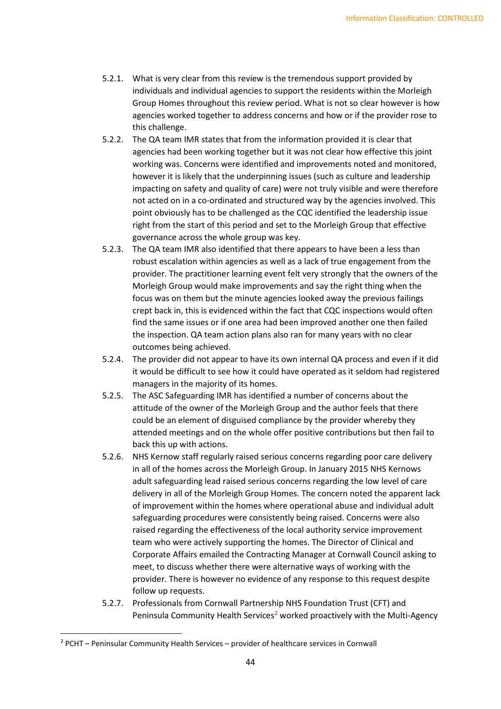- 5.2.1. What is very clear from this review is the tremendous support provided by individuals and individual agencies to support the residents within the Morleigh Group Homes throughout this review period. What is not so clear however is how agencies worked together to address concerns and how or if the provider rose to this challenge.
- 5.2.2. The QA team IMR states that from the information provided it is clear that agencies had been working together but it was not clear how effective this joint working was. Concerns were identified and improvements noted and monitored, however it is likely that the underpinning issues (such as culture and leadership impacting on safety and quality of care) were not truly visible and were therefore not acted on in a co-ordinated and structured way by the agencies involved. This point obviously has to be challenged as the CQC identified the leadership issue right from the start of this period and set to the Morleigh Group that effective governance across the whole group was key.
- 5.2.3. The QA team IMR also identified that there appears to have been a less than robust escalation within agencies as well as a lack of true engagement from the provider. The practitioner learning event felt very strongly that the owners of the Morleigh Group would make improvements and say the right thing when the focus was on them but the minute agencies looked away the previous failings crept back in, this is evidenced within the fact that CQC inspections would often find the same issues or if one area had been improved another one then failed the inspection. QA team action plans also ran for many years with no clear outcomes being achieved.
- 5.2.4. The provider did not appear to have its own internal QA process and even if it did it would be difficult to see how it could have operated as it seldom had registered managers in the majority of its homes.
- 5.2.5. The ASC Safeguarding IMR has identified a number of concerns about the attitude of the owner of the Morleigh Group and the author feels that there could be an element of disguised compliance by the provider whereby they attended meetings and on the whole offer positive contributions but then fail to back this up with actions.
- 5.2.6. NHS Kernow staff regularly raised serious concerns regarding poor care delivery in all of the homes across the Morleigh Group. In January 2015 NHS Kernows adult safeguarding lead raised serious concerns regarding the low level of care delivery in all of the Morleigh Group Homes. The concern noted the apparent lack of improvement within the homes where operational abuse and individual adult safeguarding procedures were consistently being raised. Concerns were also raised regarding the effectiveness of the local authority service improvement team who were actively supporting the homes. The Director of Clinical and Corporate Affairs emailed the Contracting Manager at Cornwall Council asking to meet, to discuss whether there were alternative ways of working with the provider. There is however no evidence of any response to this request despite follow up requests.
- 5.2.7. Professionals from Cornwall Partnership NHS Foundation Trust (CFT) and Peninsula Community Health Services<sup>[2](#page-43-0)</sup> worked proactively with the Multi-Agency

<span id="page-43-0"></span> $2$  PCHT – Peninsular Community Health Services – provider of healthcare services in Cornwall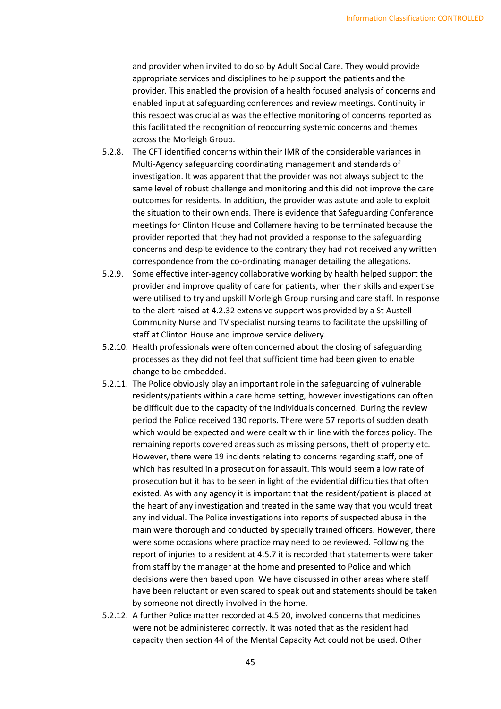and provider when invited to do so by Adult Social Care. They would provide appropriate services and disciplines to help support the patients and the provider. This enabled the provision of a health focused analysis of concerns and enabled input at safeguarding conferences and review meetings. Continuity in this respect was crucial as was the effective monitoring of concerns reported as this facilitated the recognition of reoccurring systemic concerns and themes across the Morleigh Group.

- 5.2.8. The CFT identified concerns within their IMR of the considerable variances in Multi-Agency safeguarding coordinating management and standards of investigation. It was apparent that the provider was not always subject to the same level of robust challenge and monitoring and this did not improve the care outcomes for residents. In addition, the provider was astute and able to exploit the situation to their own ends. There is evidence that Safeguarding Conference meetings for Clinton House and Collamere having to be terminated because the provider reported that they had not provided a response to the safeguarding concerns and despite evidence to the contrary they had not received any written correspondence from the co-ordinating manager detailing the allegations.
- 5.2.9. Some effective inter-agency collaborative working by health helped support the provider and improve quality of care for patients, when their skills and expertise were utilised to try and upskill Morleigh Group nursing and care staff. In response to the alert raised at 4.2.32 extensive support was provided by a St Austell Community Nurse and TV specialist nursing teams to facilitate the upskilling of staff at Clinton House and improve service delivery.
- 5.2.10. Health professionals were often concerned about the closing of safeguarding processes as they did not feel that sufficient time had been given to enable change to be embedded.
- 5.2.11. The Police obviously play an important role in the safeguarding of vulnerable residents/patients within a care home setting, however investigations can often be difficult due to the capacity of the individuals concerned. During the review period the Police received 130 reports. There were 57 reports of sudden death which would be expected and were dealt with in line with the forces policy. The remaining reports covered areas such as missing persons, theft of property etc. However, there were 19 incidents relating to concerns regarding staff, one of which has resulted in a prosecution for assault. This would seem a low rate of prosecution but it has to be seen in light of the evidential difficulties that often existed. As with any agency it is important that the resident/patient is placed at the heart of any investigation and treated in the same way that you would treat any individual. The Police investigations into reports of suspected abuse in the main were thorough and conducted by specially trained officers. However, there were some occasions where practice may need to be reviewed. Following the report of injuries to a resident at 4.5.7 it is recorded that statements were taken from staff by the manager at the home and presented to Police and which decisions were then based upon. We have discussed in other areas where staff have been reluctant or even scared to speak out and statements should be taken by someone not directly involved in the home.
- 5.2.12. A further Police matter recorded at 4.5.20, involved concerns that medicines were not be administered correctly. It was noted that as the resident had capacity then section 44 of the Mental Capacity Act could not be used. Other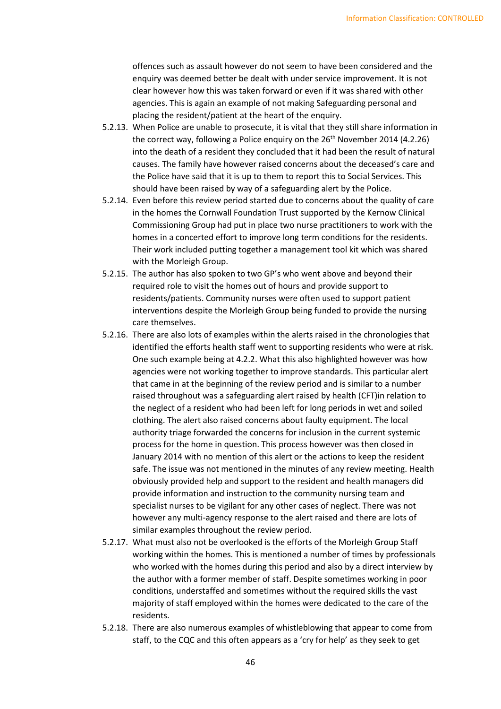offences such as assault however do not seem to have been considered and the enquiry was deemed better be dealt with under service improvement. It is not clear however how this was taken forward or even if it was shared with other agencies. This is again an example of not making Safeguarding personal and placing the resident/patient at the heart of the enquiry.

- 5.2.13. When Police are unable to prosecute, it is vital that they still share information in the correct way, following a Police enquiry on the  $26<sup>th</sup>$  November 2014 (4.2.26) into the death of a resident they concluded that it had been the result of natural causes. The family have however raised concerns about the deceased's care and the Police have said that it is up to them to report this to Social Services. This should have been raised by way of a safeguarding alert by the Police.
- 5.2.14. Even before this review period started due to concerns about the quality of care in the homes the Cornwall Foundation Trust supported by the Kernow Clinical Commissioning Group had put in place two nurse practitioners to work with the homes in a concerted effort to improve long term conditions for the residents. Their work included putting together a management tool kit which was shared with the Morleigh Group.
- 5.2.15. The author has also spoken to two GP's who went above and beyond their required role to visit the homes out of hours and provide support to residents/patients. Community nurses were often used to support patient interventions despite the Morleigh Group being funded to provide the nursing care themselves.
- 5.2.16. There are also lots of examples within the alerts raised in the chronologies that identified the efforts health staff went to supporting residents who were at risk. One such example being at 4.2.2. What this also highlighted however was how agencies were not working together to improve standards. This particular alert that came in at the beginning of the review period and is similar to a number raised throughout was a safeguarding alert raised by health (CFT)in relation to the neglect of a resident who had been left for long periods in wet and soiled clothing. The alert also raised concerns about faulty equipment. The local authority triage forwarded the concerns for inclusion in the current systemic process for the home in question. This process however was then closed in January 2014 with no mention of this alert or the actions to keep the resident safe. The issue was not mentioned in the minutes of any review meeting. Health obviously provided help and support to the resident and health managers did provide information and instruction to the community nursing team and specialist nurses to be vigilant for any other cases of neglect. There was not however any multi-agency response to the alert raised and there are lots of similar examples throughout the review period.
- 5.2.17. What must also not be overlooked is the efforts of the Morleigh Group Staff working within the homes. This is mentioned a number of times by professionals who worked with the homes during this period and also by a direct interview by the author with a former member of staff. Despite sometimes working in poor conditions, understaffed and sometimes without the required skills the vast majority of staff employed within the homes were dedicated to the care of the residents.
- 5.2.18. There are also numerous examples of whistleblowing that appear to come from staff, to the CQC and this often appears as a 'cry for help' as they seek to get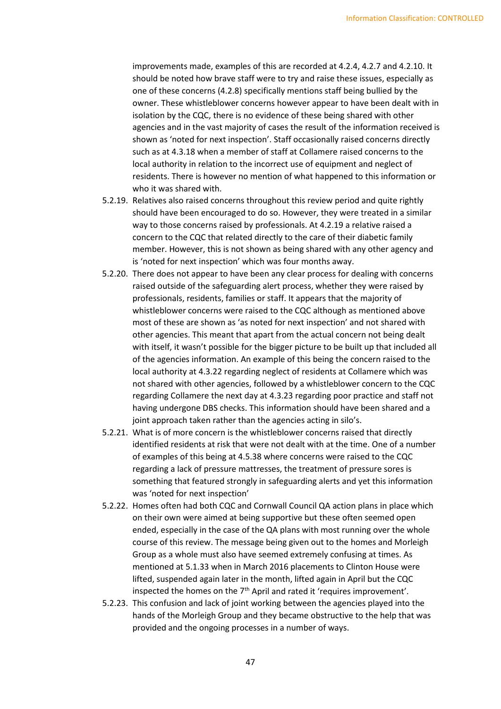improvements made, examples of this are recorded at 4.2.4, 4.2.7 and 4.2.10. It should be noted how brave staff were to try and raise these issues, especially as one of these concerns (4.2.8) specifically mentions staff being bullied by the owner. These whistleblower concerns however appear to have been dealt with in isolation by the CQC, there is no evidence of these being shared with other agencies and in the vast majority of cases the result of the information received is shown as 'noted for next inspection'. Staff occasionally raised concerns directly such as at 4.3.18 when a member of staff at Collamere raised concerns to the local authority in relation to the incorrect use of equipment and neglect of residents. There is however no mention of what happened to this information or who it was shared with.

- 5.2.19. Relatives also raised concerns throughout this review period and quite rightly should have been encouraged to do so. However, they were treated in a similar way to those concerns raised by professionals. At 4.2.19 a relative raised a concern to the CQC that related directly to the care of their diabetic family member. However, this is not shown as being shared with any other agency and is 'noted for next inspection' which was four months away.
- 5.2.20. There does not appear to have been any clear process for dealing with concerns raised outside of the safeguarding alert process, whether they were raised by professionals, residents, families or staff. It appears that the majority of whistleblower concerns were raised to the CQC although as mentioned above most of these are shown as 'as noted for next inspection' and not shared with other agencies. This meant that apart from the actual concern not being dealt with itself, it wasn't possible for the bigger picture to be built up that included all of the agencies information. An example of this being the concern raised to the local authority at 4.3.22 regarding neglect of residents at Collamere which was not shared with other agencies, followed by a whistleblower concern to the CQC regarding Collamere the next day at 4.3.23 regarding poor practice and staff not having undergone DBS checks. This information should have been shared and a joint approach taken rather than the agencies acting in silo's.
- 5.2.21. What is of more concern is the whistleblower concerns raised that directly identified residents at risk that were not dealt with at the time. One of a number of examples of this being at 4.5.38 where concerns were raised to the CQC regarding a lack of pressure mattresses, the treatment of pressure sores is something that featured strongly in safeguarding alerts and yet this information was 'noted for next inspection'
- 5.2.22. Homes often had both CQC and Cornwall Council QA action plans in place which on their own were aimed at being supportive but these often seemed open ended, especially in the case of the QA plans with most running over the whole course of this review. The message being given out to the homes and Morleigh Group as a whole must also have seemed extremely confusing at times. As mentioned at 5.1.33 when in March 2016 placements to Clinton House were lifted, suspended again later in the month, lifted again in April but the CQC inspected the homes on the  $7<sup>th</sup>$  April and rated it 'requires improvement'.
- 5.2.23. This confusion and lack of joint working between the agencies played into the hands of the Morleigh Group and they became obstructive to the help that was provided and the ongoing processes in a number of ways.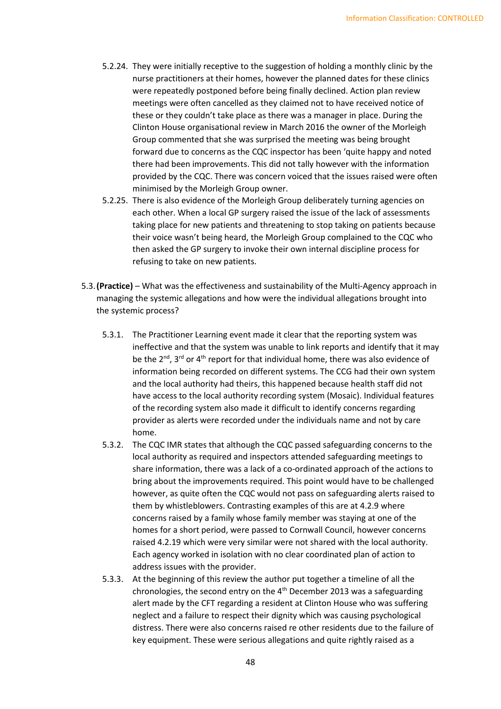- 5.2.24. They were initially receptive to the suggestion of holding a monthly clinic by the nurse practitioners at their homes, however the planned dates for these clinics were repeatedly postponed before being finally declined. Action plan review meetings were often cancelled as they claimed not to have received notice of these or they couldn't take place as there was a manager in place. During the Clinton House organisational review in March 2016 the owner of the Morleigh Group commented that she was surprised the meeting was being brought forward due to concerns as the CQC inspector has been 'quite happy and noted there had been improvements. This did not tally however with the information provided by the CQC. There was concern voiced that the issues raised were often minimised by the Morleigh Group owner.
- 5.2.25. There is also evidence of the Morleigh Group deliberately turning agencies on each other. When a local GP surgery raised the issue of the lack of assessments taking place for new patients and threatening to stop taking on patients because their voice wasn't being heard, the Morleigh Group complained to the CQC who then asked the GP surgery to invoke their own internal discipline process for refusing to take on new patients.
- 5.3.**(Practice)** What was the effectiveness and sustainability of the Multi-Agency approach in managing the systemic allegations and how were the individual allegations brought into the systemic process?
	- 5.3.1. The Practitioner Learning event made it clear that the reporting system was ineffective and that the system was unable to link reports and identify that it may be the  $2^{nd}$ ,  $3^{rd}$  or  $4^{th}$  report for that individual home, there was also evidence of information being recorded on different systems. The CCG had their own system and the local authority had theirs, this happened because health staff did not have access to the local authority recording system (Mosaic). Individual features of the recording system also made it difficult to identify concerns regarding provider as alerts were recorded under the individuals name and not by care home.
	- 5.3.2. The CQC IMR states that although the CQC passed safeguarding concerns to the local authority as required and inspectors attended safeguarding meetings to share information, there was a lack of a co-ordinated approach of the actions to bring about the improvements required. This point would have to be challenged however, as quite often the CQC would not pass on safeguarding alerts raised to them by whistleblowers. Contrasting examples of this are at 4.2.9 where concerns raised by a family whose family member was staying at one of the homes for a short period, were passed to Cornwall Council, however concerns raised 4.2.19 which were very similar were not shared with the local authority. Each agency worked in isolation with no clear coordinated plan of action to address issues with the provider.
	- 5.3.3. At the beginning of this review the author put together a timeline of all the chronologies, the second entry on the 4th December 2013 was a safeguarding alert made by the CFT regarding a resident at Clinton House who was suffering neglect and a failure to respect their dignity which was causing psychological distress. There were also concerns raised re other residents due to the failure of key equipment. These were serious allegations and quite rightly raised as a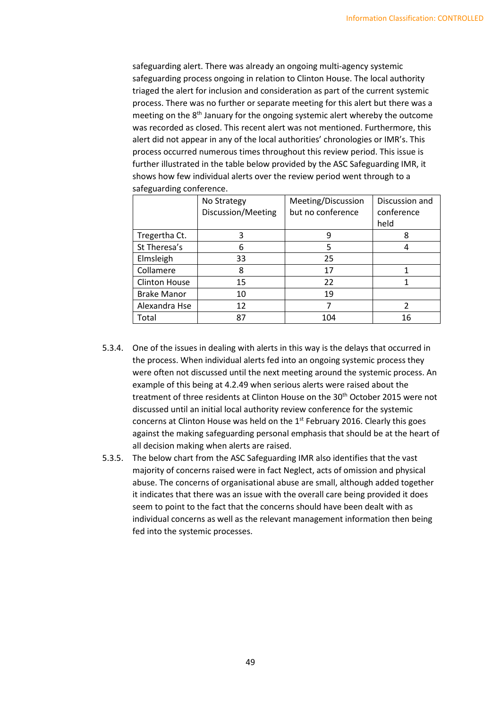safeguarding alert. There was already an ongoing multi-agency systemic safeguarding process ongoing in relation to Clinton House. The local authority triaged the alert for inclusion and consideration as part of the current systemic process. There was no further or separate meeting for this alert but there was a meeting on the  $8<sup>th</sup>$  January for the ongoing systemic alert whereby the outcome was recorded as closed. This recent alert was not mentioned. Furthermore, this alert did not appear in any of the local authorities' chronologies or IMR's. This process occurred numerous times throughout this review period. This issue is further illustrated in the table below provided by the ASC Safeguarding IMR, it shows how few individual alerts over the review period went through to a safeguarding conference.

|                      | No Strategy<br>Discussion/Meeting | Meeting/Discussion<br>but no conference | Discussion and<br>conference<br>held |  |
|----------------------|-----------------------------------|-----------------------------------------|--------------------------------------|--|
| Tregertha Ct.        | 3                                 | 9                                       | 8                                    |  |
| St Theresa's         | 6                                 | 5                                       |                                      |  |
| Elmsleigh            | 33                                | 25                                      |                                      |  |
| Collamere            | 8                                 | 17                                      |                                      |  |
| <b>Clinton House</b> | 15                                | 22                                      |                                      |  |
| <b>Brake Manor</b>   | 10                                | 19                                      |                                      |  |
| Alexandra Hse        | 12                                |                                         | 2                                    |  |
| Total                | 87                                | 104                                     | 16                                   |  |

- 5.3.4. One of the issues in dealing with alerts in this way is the delays that occurred in the process. When individual alerts fed into an ongoing systemic process they were often not discussed until the next meeting around the systemic process. An example of this being at 4.2.49 when serious alerts were raised about the treatment of three residents at Clinton House on the 30<sup>th</sup> October 2015 were not discussed until an initial local authority review conference for the systemic concerns at Clinton House was held on the 1<sup>st</sup> February 2016. Clearly this goes against the making safeguarding personal emphasis that should be at the heart of all decision making when alerts are raised.
- 5.3.5. The below chart from the ASC Safeguarding IMR also identifies that the vast majority of concerns raised were in fact Neglect, acts of omission and physical abuse. The concerns of organisational abuse are small, although added together it indicates that there was an issue with the overall care being provided it does seem to point to the fact that the concerns should have been dealt with as individual concerns as well as the relevant management information then being fed into the systemic processes.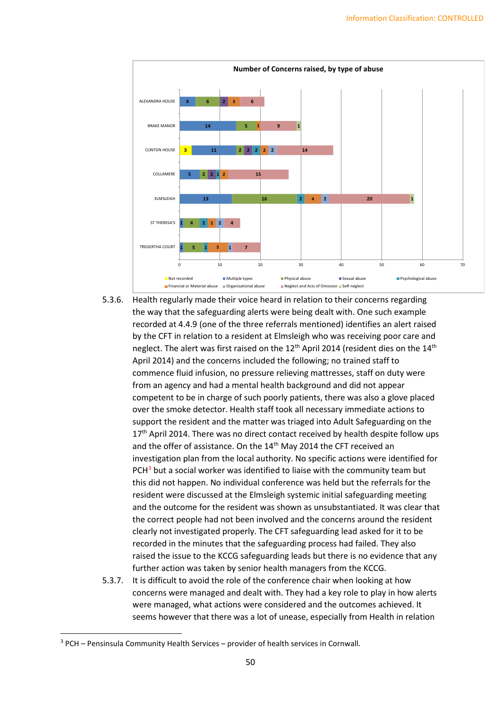

- 5.3.6. Health regularly made their voice heard in relation to their concerns regarding the way that the safeguarding alerts were being dealt with. One such example recorded at 4.4.9 (one of the three referrals mentioned) identifies an alert raised by the CFT in relation to a resident at Elmsleigh who was receiving poor care and neglect. The alert was first raised on the  $12<sup>th</sup>$  April 2014 (resident dies on the  $14<sup>th</sup>$ April 2014) and the concerns included the following; no trained staff to commence fluid infusion, no pressure relieving mattresses, staff on duty were from an agency and had a mental health background and did not appear competent to be in charge of such poorly patients, there was also a glove placed over the smoke detector. Health staff took all necessary immediate actions to support the resident and the matter was triaged into Adult Safeguarding on the 17<sup>th</sup> April 2014. There was no direct contact received by health despite follow ups and the offer of assistance. On the 14<sup>th</sup> May 2014 the CFT received an investigation plan from the local authority. No specific actions were identified for  $PCH<sup>3</sup>$  $PCH<sup>3</sup>$  $PCH<sup>3</sup>$  but a social worker was identified to liaise with the community team but this did not happen. No individual conference was held but the referrals for the resident were discussed at the Elmsleigh systemic initial safeguarding meeting and the outcome for the resident was shown as unsubstantiated. It was clear that the correct people had not been involved and the concerns around the resident clearly not investigated properly. The CFT safeguarding lead asked for it to be recorded in the minutes that the safeguarding process had failed. They also raised the issue to the KCCG safeguarding leads but there is no evidence that any further action was taken by senior health managers from the KCCG.
- 5.3.7. It is difficult to avoid the role of the conference chair when looking at how concerns were managed and dealt with. They had a key role to play in how alerts were managed, what actions were considered and the outcomes achieved. It seems however that there was a lot of unease, especially from Health in relation

<span id="page-49-0"></span><sup>3</sup> PCH – Pensinsula Community Health Services – provider of health services in Cornwall.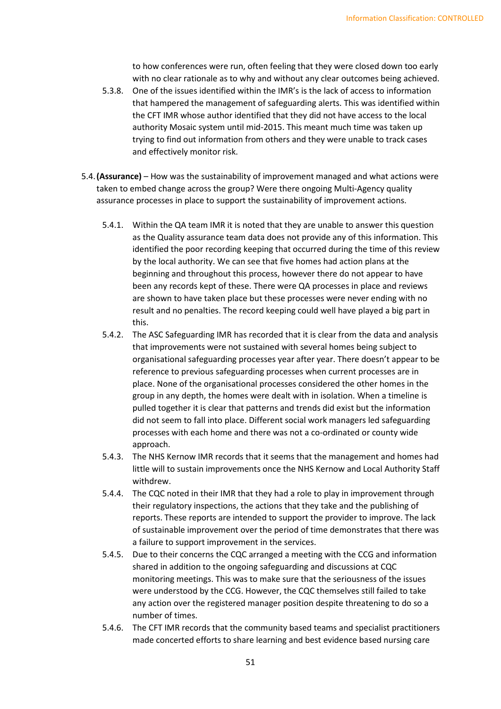to how conferences were run, often feeling that they were closed down too early with no clear rationale as to why and without any clear outcomes being achieved.

- 5.3.8. One of the issues identified within the IMR's is the lack of access to information that hampered the management of safeguarding alerts. This was identified within the CFT IMR whose author identified that they did not have access to the local authority Mosaic system until mid-2015. This meant much time was taken up trying to find out information from others and they were unable to track cases and effectively monitor risk.
- 5.4.**(Assurance)** How was the sustainability of improvement managed and what actions were taken to embed change across the group? Were there ongoing Multi-Agency quality assurance processes in place to support the sustainability of improvement actions.
	- 5.4.1. Within the QA team IMR it is noted that they are unable to answer this question as the Quality assurance team data does not provide any of this information. This identified the poor recording keeping that occurred during the time of this review by the local authority. We can see that five homes had action plans at the beginning and throughout this process, however there do not appear to have been any records kept of these. There were QA processes in place and reviews are shown to have taken place but these processes were never ending with no result and no penalties. The record keeping could well have played a big part in this.
	- 5.4.2. The ASC Safeguarding IMR has recorded that it is clear from the data and analysis that improvements were not sustained with several homes being subject to organisational safeguarding processes year after year. There doesn't appear to be reference to previous safeguarding processes when current processes are in place. None of the organisational processes considered the other homes in the group in any depth, the homes were dealt with in isolation. When a timeline is pulled together it is clear that patterns and trends did exist but the information did not seem to fall into place. Different social work managers led safeguarding processes with each home and there was not a co-ordinated or county wide approach.
	- 5.4.3. The NHS Kernow IMR records that it seems that the management and homes had little will to sustain improvements once the NHS Kernow and Local Authority Staff withdrew.
	- 5.4.4. The CQC noted in their IMR that they had a role to play in improvement through their regulatory inspections, the actions that they take and the publishing of reports. These reports are intended to support the provider to improve. The lack of sustainable improvement over the period of time demonstrates that there was a failure to support improvement in the services.
	- 5.4.5. Due to their concerns the CQC arranged a meeting with the CCG and information shared in addition to the ongoing safeguarding and discussions at CQC monitoring meetings. This was to make sure that the seriousness of the issues were understood by the CCG. However, the CQC themselves still failed to take any action over the registered manager position despite threatening to do so a number of times.
	- 5.4.6. The CFT IMR records that the community based teams and specialist practitioners made concerted efforts to share learning and best evidence based nursing care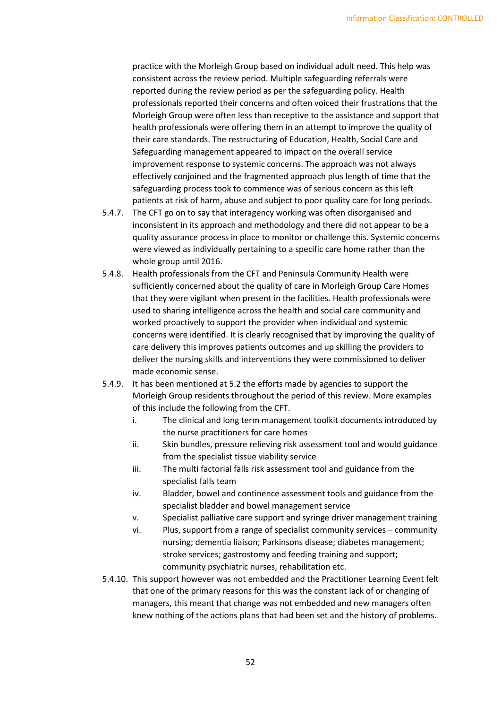practice with the Morleigh Group based on individual adult need. This help was consistent across the review period. Multiple safeguarding referrals were reported during the review period as per the safeguarding policy. Health professionals reported their concerns and often voiced their frustrations that the Morleigh Group were often less than receptive to the assistance and support that health professionals were offering them in an attempt to improve the quality of their care standards. The restructuring of Education, Health, Social Care and Safeguarding management appeared to impact on the overall service improvement response to systemic concerns. The approach was not always effectively conjoined and the fragmented approach plus length of time that the safeguarding process took to commence was of serious concern as this left patients at risk of harm, abuse and subject to poor quality care for long periods.

- 5.4.7. The CFT go on to say that interagency working was often disorganised and inconsistent in its approach and methodology and there did not appear to be a quality assurance process in place to monitor or challenge this. Systemic concerns were viewed as individually pertaining to a specific care home rather than the whole group until 2016.
- 5.4.8. Health professionals from the CFT and Peninsula Community Health were sufficiently concerned about the quality of care in Morleigh Group Care Homes that they were vigilant when present in the facilities. Health professionals were used to sharing intelligence across the health and social care community and worked proactively to support the provider when individual and systemic concerns were identified. It is clearly recognised that by improving the quality of care delivery this improves patients outcomes and up skilling the providers to deliver the nursing skills and interventions they were commissioned to deliver made economic sense.
- 5.4.9. It has been mentioned at 5.2 the efforts made by agencies to support the Morleigh Group residents throughout the period of this review. More examples of this include the following from the CFT.
	- i. The clinical and long term management toolkit documents introduced by the nurse practitioners for care homes
	- ii. Skin bundles, pressure relieving risk assessment tool and would guidance from the specialist tissue viability service
	- iii. The multi factorial falls risk assessment tool and guidance from the specialist falls team
	- iv. Bladder, bowel and continence assessment tools and guidance from the specialist bladder and bowel management service
	- v. Specialist palliative care support and syringe driver management training
	- vi. Plus, support from a range of specialist community services community nursing; dementia liaison; Parkinsons disease; diabetes management; stroke services; gastrostomy and feeding training and support; community psychiatric nurses, rehabilitation etc.
- 5.4.10. This support however was not embedded and the Practitioner Learning Event felt that one of the primary reasons for this was the constant lack of or changing of managers, this meant that change was not embedded and new managers often knew nothing of the actions plans that had been set and the history of problems.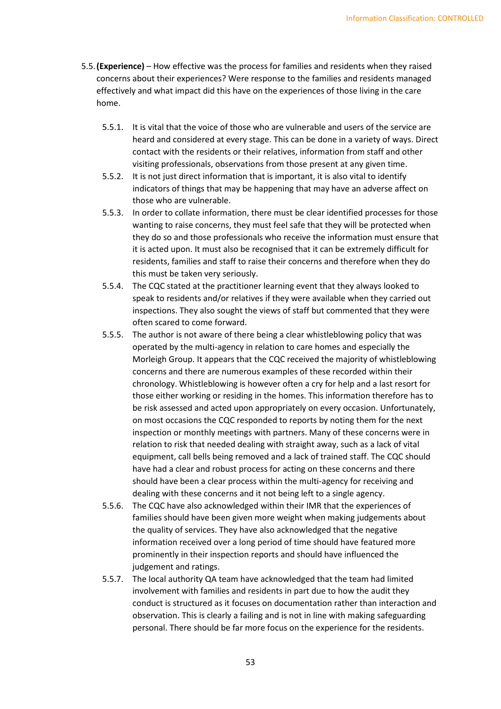- 5.5.**(Experience)** How effective was the process for families and residents when they raised concerns about their experiences? Were response to the families and residents managed effectively and what impact did this have on the experiences of those living in the care home.
	- 5.5.1. It is vital that the voice of those who are vulnerable and users of the service are heard and considered at every stage. This can be done in a variety of ways. Direct contact with the residents or their relatives, information from staff and other visiting professionals, observations from those present at any given time.
	- 5.5.2. It is not just direct information that is important, it is also vital to identify indicators of things that may be happening that may have an adverse affect on those who are vulnerable.
	- 5.5.3. In order to collate information, there must be clear identified processes for those wanting to raise concerns, they must feel safe that they will be protected when they do so and those professionals who receive the information must ensure that it is acted upon. It must also be recognised that it can be extremely difficult for residents, families and staff to raise their concerns and therefore when they do this must be taken very seriously.
	- 5.5.4. The CQC stated at the practitioner learning event that they always looked to speak to residents and/or relatives if they were available when they carried out inspections. They also sought the views of staff but commented that they were often scared to come forward.
	- 5.5.5. The author is not aware of there being a clear whistleblowing policy that was operated by the multi-agency in relation to care homes and especially the Morleigh Group. It appears that the CQC received the majority of whistleblowing concerns and there are numerous examples of these recorded within their chronology. Whistleblowing is however often a cry for help and a last resort for those either working or residing in the homes. This information therefore has to be risk assessed and acted upon appropriately on every occasion. Unfortunately, on most occasions the CQC responded to reports by noting them for the next inspection or monthly meetings with partners. Many of these concerns were in relation to risk that needed dealing with straight away, such as a lack of vital equipment, call bells being removed and a lack of trained staff. The CQC should have had a clear and robust process for acting on these concerns and there should have been a clear process within the multi-agency for receiving and dealing with these concerns and it not being left to a single agency.
	- 5.5.6. The CQC have also acknowledged within their IMR that the experiences of families should have been given more weight when making judgements about the quality of services. They have also acknowledged that the negative information received over a long period of time should have featured more prominently in their inspection reports and should have influenced the judgement and ratings.
	- 5.5.7. The local authority QA team have acknowledged that the team had limited involvement with families and residents in part due to how the audit they conduct is structured as it focuses on documentation rather than interaction and observation. This is clearly a failing and is not in line with making safeguarding personal. There should be far more focus on the experience for the residents.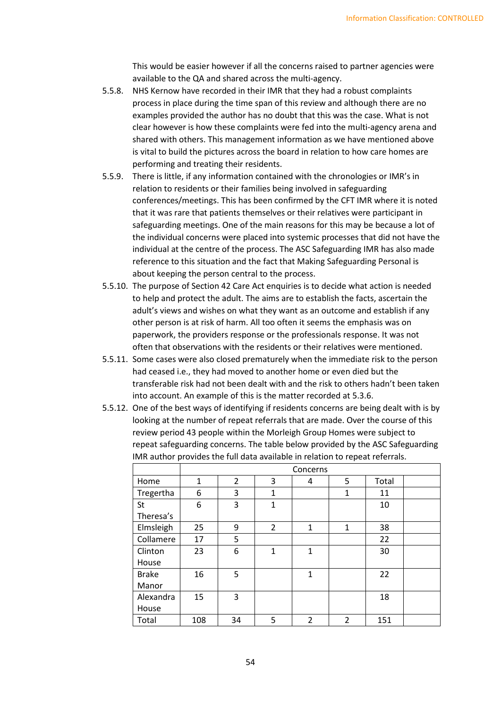This would be easier however if all the concerns raised to partner agencies were available to the QA and shared across the multi-agency.

- 5.5.8. NHS Kernow have recorded in their IMR that they had a robust complaints process in place during the time span of this review and although there are no examples provided the author has no doubt that this was the case. What is not clear however is how these complaints were fed into the multi-agency arena and shared with others. This management information as we have mentioned above is vital to build the pictures across the board in relation to how care homes are performing and treating their residents.
- 5.5.9. There is little, if any information contained with the chronologies or IMR's in relation to residents or their families being involved in safeguarding conferences/meetings. This has been confirmed by the CFT IMR where it is noted that it was rare that patients themselves or their relatives were participant in safeguarding meetings. One of the main reasons for this may be because a lot of the individual concerns were placed into systemic processes that did not have the individual at the centre of the process. The ASC Safeguarding IMR has also made reference to this situation and the fact that Making Safeguarding Personal is about keeping the person central to the process.
- 5.5.10. The purpose of Section 42 Care Act enquiries is to decide what action is needed to help and protect the adult. The aims are to establish the facts, ascertain the adult's views and wishes on what they want as an outcome and establish if any other person is at risk of harm. All too often it seems the emphasis was on paperwork, the providers response or the professionals response. It was not often that observations with the residents or their relatives were mentioned.
- 5.5.11. Some cases were also closed prematurely when the immediate risk to the person had ceased i.e., they had moved to another home or even died but the transferable risk had not been dealt with and the risk to others hadn't been taken into account. An example of this is the matter recorded at 5.3.6.
- 5.5.12. One of the best ways of identifying if residents concerns are being dealt with is by looking at the number of repeat referrals that are made. Over the course of this review period 43 people within the Morleigh Group Homes were subject to repeat safeguarding concerns. The table below provided by the ASC Safeguarding IMR author provides the full data available in relation to repeat referrals.

|              | Concerns     |                |                |                |              |       |  |
|--------------|--------------|----------------|----------------|----------------|--------------|-------|--|
| Home         | $\mathbf{1}$ | $\overline{2}$ | 3              | 4              | 5            | Total |  |
| Tregertha    | 6            | 3              | $\mathbf{1}$   |                | $\mathbf{1}$ | 11    |  |
| St           | 6            | 3              | $\mathbf{1}$   |                |              | 10    |  |
| Theresa's    |              |                |                |                |              |       |  |
| Elmsleigh    | 25           | 9              | $\overline{2}$ | $\mathbf{1}$   | 1            | 38    |  |
| Collamere    | 17           | 5              |                |                |              | 22    |  |
| Clinton      | 23           | 6              | $\mathbf{1}$   | $\mathbf{1}$   |              | 30    |  |
| House        |              |                |                |                |              |       |  |
| <b>Brake</b> | 16           | 5              |                | $\mathbf{1}$   |              | 22    |  |
| Manor        |              |                |                |                |              |       |  |
| Alexandra    | 15           | 3              |                |                |              | 18    |  |
| House        |              |                |                |                |              |       |  |
| Total        | 108          | 34             | 5              | $\overline{2}$ | 2            | 151   |  |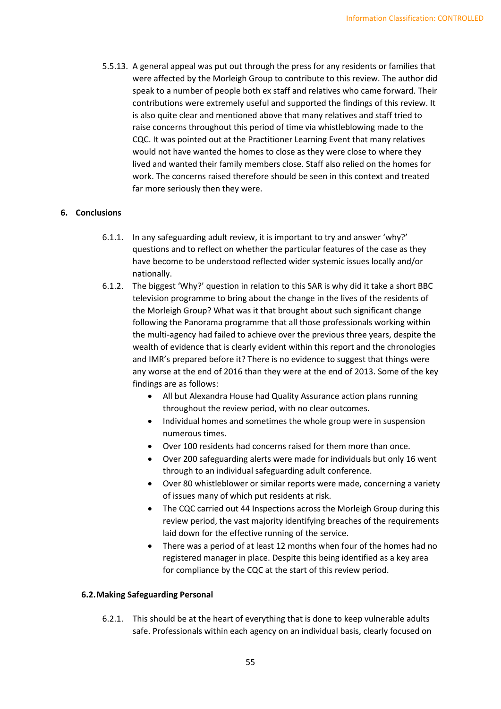5.5.13. A general appeal was put out through the press for any residents or families that were affected by the Morleigh Group to contribute to this review. The author did speak to a number of people both ex staff and relatives who came forward. Their contributions were extremely useful and supported the findings of this review. It is also quite clear and mentioned above that many relatives and staff tried to raise concerns throughout this period of time via whistleblowing made to the CQC. It was pointed out at the Practitioner Learning Event that many relatives would not have wanted the homes to close as they were close to where they lived and wanted their family members close. Staff also relied on the homes for work. The concerns raised therefore should be seen in this context and treated far more seriously then they were.

## **6. Conclusions**

- 6.1.1. In any safeguarding adult review, it is important to try and answer 'why?' questions and to reflect on whether the particular features of the case as they have become to be understood reflected wider systemic issues locally and/or nationally.
- 6.1.2. The biggest 'Why?' question in relation to this SAR is why did it take a short BBC television programme to bring about the change in the lives of the residents of the Morleigh Group? What was it that brought about such significant change following the Panorama programme that all those professionals working within the multi-agency had failed to achieve over the previous three years, despite the wealth of evidence that is clearly evident within this report and the chronologies and IMR's prepared before it? There is no evidence to suggest that things were any worse at the end of 2016 than they were at the end of 2013. Some of the key findings are as follows:
	- All but Alexandra House had Quality Assurance action plans running throughout the review period, with no clear outcomes.
	- Individual homes and sometimes the whole group were in suspension numerous times.
	- Over 100 residents had concerns raised for them more than once.
	- Over 200 safeguarding alerts were made for individuals but only 16 went through to an individual safeguarding adult conference.
	- Over 80 whistleblower or similar reports were made, concerning a variety of issues many of which put residents at risk.
	- The CQC carried out 44 Inspections across the Morleigh Group during this review period, the vast majority identifying breaches of the requirements laid down for the effective running of the service.
	- There was a period of at least 12 months when four of the homes had no registered manager in place. Despite this being identified as a key area for compliance by the CQC at the start of this review period.

## **6.2.Making Safeguarding Personal**

6.2.1. This should be at the heart of everything that is done to keep vulnerable adults safe. Professionals within each agency on an individual basis, clearly focused on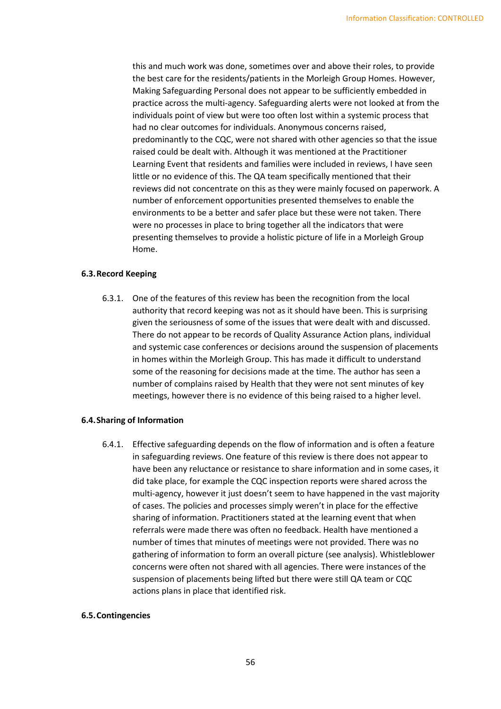this and much work was done, sometimes over and above their roles, to provide the best care for the residents/patients in the Morleigh Group Homes. However, Making Safeguarding Personal does not appear to be sufficiently embedded in practice across the multi-agency. Safeguarding alerts were not looked at from the individuals point of view but were too often lost within a systemic process that had no clear outcomes for individuals. Anonymous concerns raised, predominantly to the CQC, were not shared with other agencies so that the issue raised could be dealt with. Although it was mentioned at the Practitioner Learning Event that residents and families were included in reviews, I have seen little or no evidence of this. The QA team specifically mentioned that their reviews did not concentrate on this as they were mainly focused on paperwork. A number of enforcement opportunities presented themselves to enable the environments to be a better and safer place but these were not taken. There were no processes in place to bring together all the indicators that were presenting themselves to provide a holistic picture of life in a Morleigh Group Home.

#### **6.3.Record Keeping**

6.3.1. One of the features of this review has been the recognition from the local authority that record keeping was not as it should have been. This is surprising given the seriousness of some of the issues that were dealt with and discussed. There do not appear to be records of Quality Assurance Action plans, individual and systemic case conferences or decisions around the suspension of placements in homes within the Morleigh Group. This has made it difficult to understand some of the reasoning for decisions made at the time. The author has seen a number of complains raised by Health that they were not sent minutes of key meetings, however there is no evidence of this being raised to a higher level.

## **6.4.Sharing of Information**

6.4.1. Effective safeguarding depends on the flow of information and is often a feature in safeguarding reviews. One feature of this review is there does not appear to have been any reluctance or resistance to share information and in some cases, it did take place, for example the CQC inspection reports were shared across the multi-agency, however it just doesn't seem to have happened in the vast majority of cases. The policies and processes simply weren't in place for the effective sharing of information. Practitioners stated at the learning event that when referrals were made there was often no feedback. Health have mentioned a number of times that minutes of meetings were not provided. There was no gathering of information to form an overall picture (see analysis). Whistleblower concerns were often not shared with all agencies. There were instances of the suspension of placements being lifted but there were still QA team or CQC actions plans in place that identified risk.

#### **6.5.Contingencies**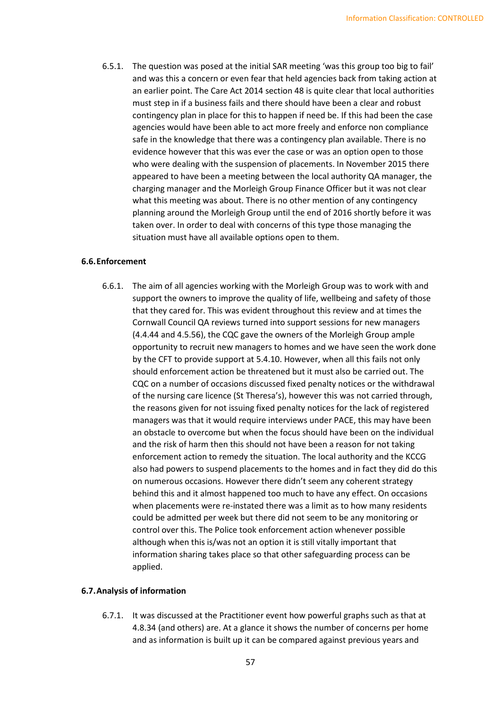6.5.1. The question was posed at the initial SAR meeting 'was this group too big to fail' and was this a concern or even fear that held agencies back from taking action at an earlier point. The Care Act 2014 section 48 is quite clear that local authorities must step in if a business fails and there should have been a clear and robust contingency plan in place for this to happen if need be. If this had been the case agencies would have been able to act more freely and enforce non compliance safe in the knowledge that there was a contingency plan available. There is no evidence however that this was ever the case or was an option open to those who were dealing with the suspension of placements. In November 2015 there appeared to have been a meeting between the local authority QA manager, the charging manager and the Morleigh Group Finance Officer but it was not clear what this meeting was about. There is no other mention of any contingency planning around the Morleigh Group until the end of 2016 shortly before it was taken over. In order to deal with concerns of this type those managing the situation must have all available options open to them.

#### **6.6.Enforcement**

6.6.1. The aim of all agencies working with the Morleigh Group was to work with and support the owners to improve the quality of life, wellbeing and safety of those that they cared for. This was evident throughout this review and at times the Cornwall Council QA reviews turned into support sessions for new managers (4.4.44 and 4.5.56), the CQC gave the owners of the Morleigh Group ample opportunity to recruit new managers to homes and we have seen the work done by the CFT to provide support at 5.4.10. However, when all this fails not only should enforcement action be threatened but it must also be carried out. The CQC on a number of occasions discussed fixed penalty notices or the withdrawal of the nursing care licence (St Theresa's), however this was not carried through, the reasons given for not issuing fixed penalty notices for the lack of registered managers was that it would require interviews under PACE, this may have been an obstacle to overcome but when the focus should have been on the individual and the risk of harm then this should not have been a reason for not taking enforcement action to remedy the situation. The local authority and the KCCG also had powers to suspend placements to the homes and in fact they did do this on numerous occasions. However there didn't seem any coherent strategy behind this and it almost happened too much to have any effect. On occasions when placements were re-instated there was a limit as to how many residents could be admitted per week but there did not seem to be any monitoring or control over this. The Police took enforcement action whenever possible although when this is/was not an option it is still vitally important that information sharing takes place so that other safeguarding process can be applied.

## **6.7.Analysis of information**

6.7.1. It was discussed at the Practitioner event how powerful graphs such as that at 4.8.34 (and others) are. At a glance it shows the number of concerns per home and as information is built up it can be compared against previous years and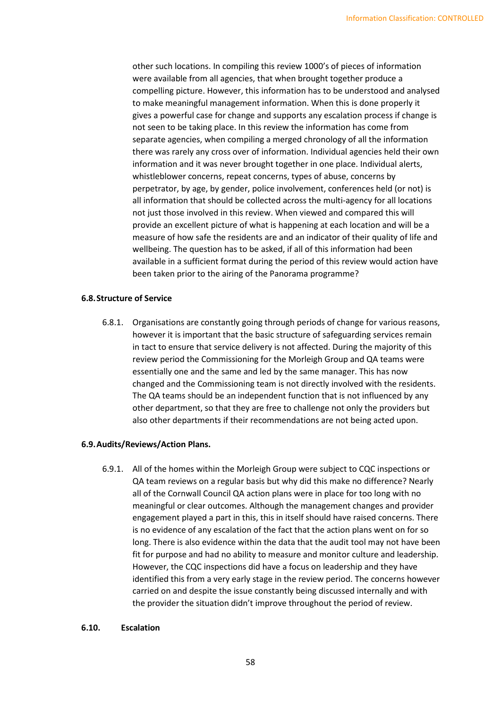other such locations. In compiling this review 1000's of pieces of information were available from all agencies, that when brought together produce a compelling picture. However, this information has to be understood and analysed to make meaningful management information. When this is done properly it gives a powerful case for change and supports any escalation process if change is not seen to be taking place. In this review the information has come from separate agencies, when compiling a merged chronology of all the information there was rarely any cross over of information. Individual agencies held their own information and it was never brought together in one place. Individual alerts, whistleblower concerns, repeat concerns, types of abuse, concerns by perpetrator, by age, by gender, police involvement, conferences held (or not) is all information that should be collected across the multi-agency for all locations not just those involved in this review. When viewed and compared this will provide an excellent picture of what is happening at each location and will be a measure of how safe the residents are and an indicator of their quality of life and wellbeing. The question has to be asked, if all of this information had been available in a sufficient format during the period of this review would action have been taken prior to the airing of the Panorama programme?

## **6.8.Structure of Service**

6.8.1. Organisations are constantly going through periods of change for various reasons, however it is important that the basic structure of safeguarding services remain in tact to ensure that service delivery is not affected. During the majority of this review period the Commissioning for the Morleigh Group and QA teams were essentially one and the same and led by the same manager. This has now changed and the Commissioning team is not directly involved with the residents. The QA teams should be an independent function that is not influenced by any other department, so that they are free to challenge not only the providers but also other departments if their recommendations are not being acted upon.

# **6.9.Audits/Reviews/Action Plans.**

6.9.1. All of the homes within the Morleigh Group were subject to CQC inspections or QA team reviews on a regular basis but why did this make no difference? Nearly all of the Cornwall Council QA action plans were in place for too long with no meaningful or clear outcomes. Although the management changes and provider engagement played a part in this, this in itself should have raised concerns. There is no evidence of any escalation of the fact that the action plans went on for so long. There is also evidence within the data that the audit tool may not have been fit for purpose and had no ability to measure and monitor culture and leadership. However, the CQC inspections did have a focus on leadership and they have identified this from a very early stage in the review period. The concerns however carried on and despite the issue constantly being discussed internally and with the provider the situation didn't improve throughout the period of review.

## **6.10. Escalation**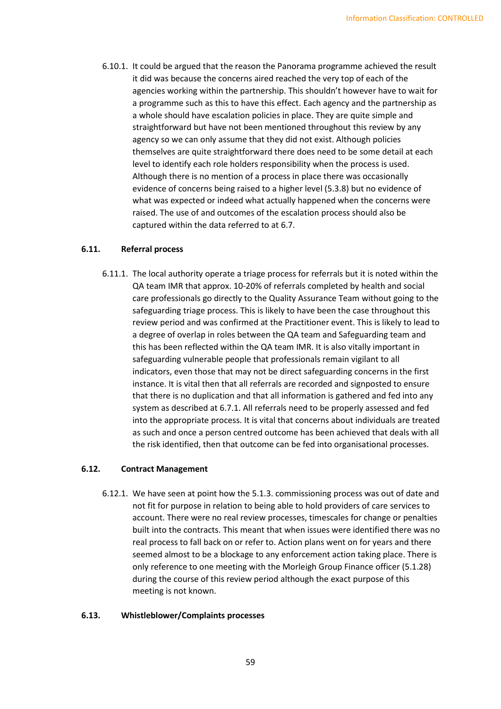6.10.1. It could be argued that the reason the Panorama programme achieved the result it did was because the concerns aired reached the very top of each of the agencies working within the partnership. This shouldn't however have to wait for a programme such as this to have this effect. Each agency and the partnership as a whole should have escalation policies in place. They are quite simple and straightforward but have not been mentioned throughout this review by any agency so we can only assume that they did not exist. Although policies themselves are quite straightforward there does need to be some detail at each level to identify each role holders responsibility when the process is used. Although there is no mention of a process in place there was occasionally evidence of concerns being raised to a higher level (5.3.8) but no evidence of what was expected or indeed what actually happened when the concerns were raised. The use of and outcomes of the escalation process should also be captured within the data referred to at 6.7.

# **6.11. Referral process**

6.11.1. The local authority operate a triage process for referrals but it is noted within the QA team IMR that approx. 10-20% of referrals completed by health and social care professionals go directly to the Quality Assurance Team without going to the safeguarding triage process. This is likely to have been the case throughout this review period and was confirmed at the Practitioner event. This is likely to lead to a degree of overlap in roles between the QA team and Safeguarding team and this has been reflected within the QA team IMR. It is also vitally important in safeguarding vulnerable people that professionals remain vigilant to all indicators, even those that may not be direct safeguarding concerns in the first instance. It is vital then that all referrals are recorded and signposted to ensure that there is no duplication and that all information is gathered and fed into any system as described at 6.7.1. All referrals need to be properly assessed and fed into the appropriate process. It is vital that concerns about individuals are treated as such and once a person centred outcome has been achieved that deals with all the risk identified, then that outcome can be fed into organisational processes.

# **6.12. Contract Management**

6.12.1. We have seen at point how the 5.1.3. commissioning process was out of date and not fit for purpose in relation to being able to hold providers of care services to account. There were no real review processes, timescales for change or penalties built into the contracts. This meant that when issues were identified there was no real process to fall back on or refer to. Action plans went on for years and there seemed almost to be a blockage to any enforcement action taking place. There is only reference to one meeting with the Morleigh Group Finance officer (5.1.28) during the course of this review period although the exact purpose of this meeting is not known.

## **6.13. Whistleblower/Complaints processes**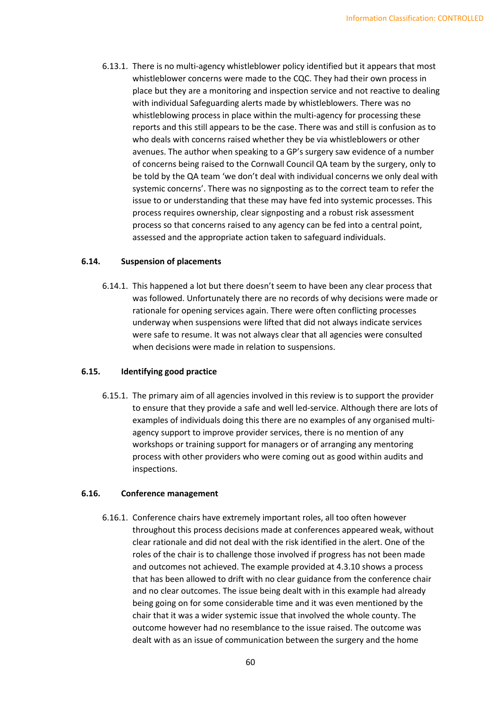6.13.1. There is no multi-agency whistleblower policy identified but it appears that most whistleblower concerns were made to the CQC. They had their own process in place but they are a monitoring and inspection service and not reactive to dealing with individual Safeguarding alerts made by whistleblowers. There was no whistleblowing process in place within the multi-agency for processing these reports and this still appears to be the case. There was and still is confusion as to who deals with concerns raised whether they be via whistleblowers or other avenues. The author when speaking to a GP's surgery saw evidence of a number of concerns being raised to the Cornwall Council QA team by the surgery, only to be told by the QA team 'we don't deal with individual concerns we only deal with systemic concerns'. There was no signposting as to the correct team to refer the issue to or understanding that these may have fed into systemic processes. This process requires ownership, clear signposting and a robust risk assessment process so that concerns raised to any agency can be fed into a central point, assessed and the appropriate action taken to safeguard individuals.

## **6.14. Suspension of placements**

6.14.1. This happened a lot but there doesn't seem to have been any clear process that was followed. Unfortunately there are no records of why decisions were made or rationale for opening services again. There were often conflicting processes underway when suspensions were lifted that did not always indicate services were safe to resume. It was not always clear that all agencies were consulted when decisions were made in relation to suspensions.

## **6.15. Identifying good practice**

6.15.1. The primary aim of all agencies involved in this review is to support the provider to ensure that they provide a safe and well led-service. Although there are lots of examples of individuals doing this there are no examples of any organised multiagency support to improve provider services, there is no mention of any workshops or training support for managers or of arranging any mentoring process with other providers who were coming out as good within audits and inspections.

## **6.16. Conference management**

6.16.1. Conference chairs have extremely important roles, all too often however throughout this process decisions made at conferences appeared weak, without clear rationale and did not deal with the risk identified in the alert. One of the roles of the chair is to challenge those involved if progress has not been made and outcomes not achieved. The example provided at 4.3.10 shows a process that has been allowed to drift with no clear guidance from the conference chair and no clear outcomes. The issue being dealt with in this example had already being going on for some considerable time and it was even mentioned by the chair that it was a wider systemic issue that involved the whole county. The outcome however had no resemblance to the issue raised. The outcome was dealt with as an issue of communication between the surgery and the home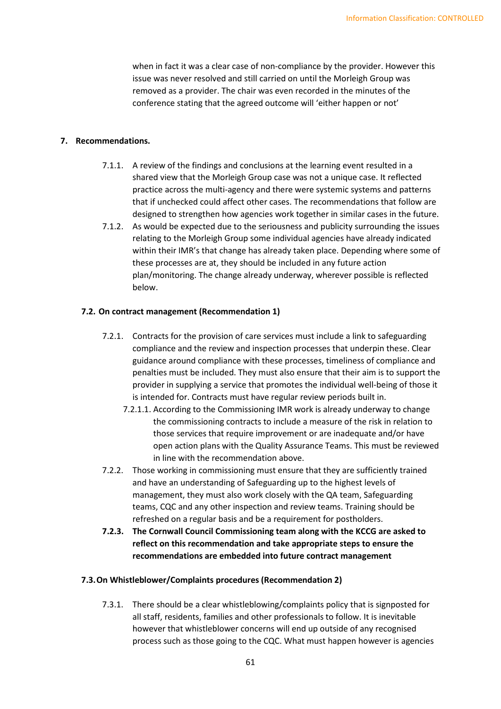when in fact it was a clear case of non-compliance by the provider. However this issue was never resolved and still carried on until the Morleigh Group was removed as a provider. The chair was even recorded in the minutes of the conference stating that the agreed outcome will 'either happen or not'

#### **7. Recommendations.**

- 7.1.1. A review of the findings and conclusions at the learning event resulted in a shared view that the Morleigh Group case was not a unique case. It reflected practice across the multi-agency and there were systemic systems and patterns that if unchecked could affect other cases. The recommendations that follow are designed to strengthen how agencies work together in similar cases in the future.
- 7.1.2. As would be expected due to the seriousness and publicity surrounding the issues relating to the Morleigh Group some individual agencies have already indicated within their IMR's that change has already taken place. Depending where some of these processes are at, they should be included in any future action plan/monitoring. The change already underway, wherever possible is reflected below.

#### **7.2. On contract management (Recommendation 1)**

- 7.2.1. Contracts for the provision of care services must include a link to safeguarding compliance and the review and inspection processes that underpin these. Clear guidance around compliance with these processes, timeliness of compliance and penalties must be included. They must also ensure that their aim is to support the provider in supplying a service that promotes the individual well-being of those it is intended for. Contracts must have regular review periods built in.
	- 7.2.1.1. According to the Commissioning IMR work is already underway to change the commissioning contracts to include a measure of the risk in relation to those services that require improvement or are inadequate and/or have open action plans with the Quality Assurance Teams. This must be reviewed in line with the recommendation above.
- 7.2.2. Those working in commissioning must ensure that they are sufficiently trained and have an understanding of Safeguarding up to the highest levels of management, they must also work closely with the QA team, Safeguarding teams, CQC and any other inspection and review teams. Training should be refreshed on a regular basis and be a requirement for postholders.
- **7.2.3. The Cornwall Council Commissioning team along with the KCCG are asked to reflect on this recommendation and take appropriate steps to ensure the recommendations are embedded into future contract management**

## **7.3.On Whistleblower/Complaints procedures (Recommendation 2)**

7.3.1. There should be a clear whistleblowing/complaints policy that is signposted for all staff, residents, families and other professionals to follow. It is inevitable however that whistleblower concerns will end up outside of any recognised process such as those going to the CQC. What must happen however is agencies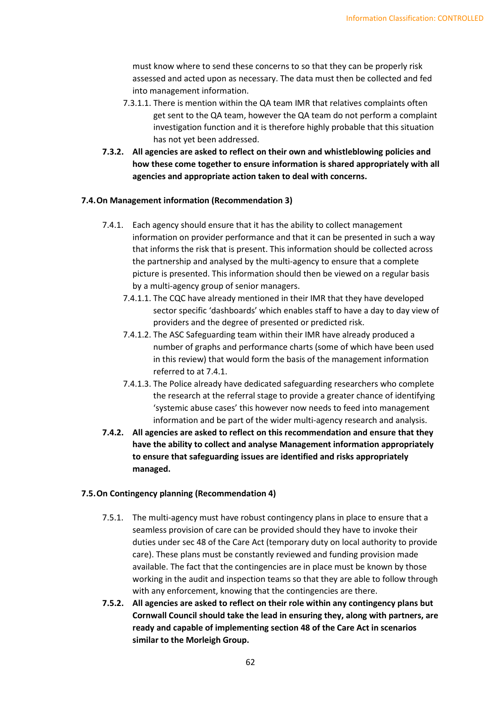must know where to send these concerns to so that they can be properly risk assessed and acted upon as necessary. The data must then be collected and fed into management information.

- 7.3.1.1. There is mention within the QA team IMR that relatives complaints often get sent to the QA team, however the QA team do not perform a complaint investigation function and it is therefore highly probable that this situation has not yet been addressed.
- **7.3.2. All agencies are asked to reflect on their own and whistleblowing policies and how these come together to ensure information is shared appropriately with all agencies and appropriate action taken to deal with concerns.**

#### **7.4.On Management information (Recommendation 3)**

- 7.4.1. Each agency should ensure that it has the ability to collect management information on provider performance and that it can be presented in such a way that informs the risk that is present. This information should be collected across the partnership and analysed by the multi-agency to ensure that a complete picture is presented. This information should then be viewed on a regular basis by a multi-agency group of senior managers.
	- 7.4.1.1. The CQC have already mentioned in their IMR that they have developed sector specific 'dashboards' which enables staff to have a day to day view of providers and the degree of presented or predicted risk.
	- 7.4.1.2. The ASC Safeguarding team within their IMR have already produced a number of graphs and performance charts (some of which have been used in this review) that would form the basis of the management information referred to at 7.4.1.
	- 7.4.1.3. The Police already have dedicated safeguarding researchers who complete the research at the referral stage to provide a greater chance of identifying 'systemic abuse cases' this however now needs to feed into management information and be part of the wider multi-agency research and analysis.
- **7.4.2. All agencies are asked to reflect on this recommendation and ensure that they have the ability to collect and analyse Management information appropriately to ensure that safeguarding issues are identified and risks appropriately managed.**

#### **7.5.On Contingency planning (Recommendation 4)**

- 7.5.1. The multi-agency must have robust contingency plans in place to ensure that a seamless provision of care can be provided should they have to invoke their duties under sec 48 of the Care Act (temporary duty on local authority to provide care). These plans must be constantly reviewed and funding provision made available. The fact that the contingencies are in place must be known by those working in the audit and inspection teams so that they are able to follow through with any enforcement, knowing that the contingencies are there.
- **7.5.2. All agencies are asked to reflect on their role within any contingency plans but Cornwall Council should take the lead in ensuring they, along with partners, are ready and capable of implementing section 48 of the Care Act in scenarios similar to the Morleigh Group.**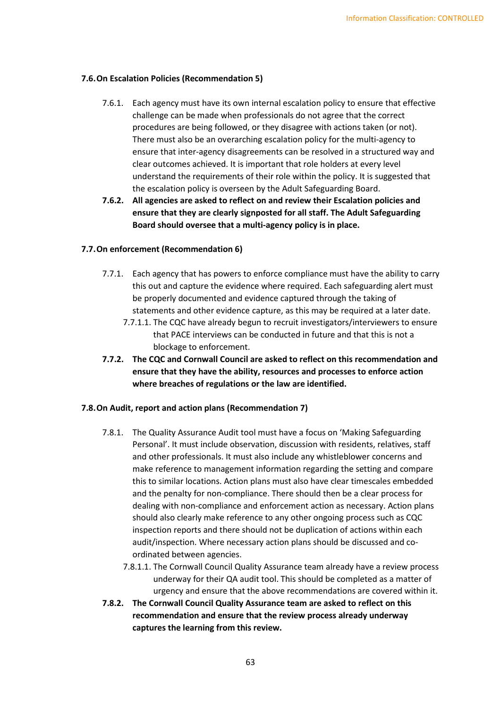#### **7.6.On Escalation Policies (Recommendation 5)**

- 7.6.1. Each agency must have its own internal escalation policy to ensure that effective challenge can be made when professionals do not agree that the correct procedures are being followed, or they disagree with actions taken (or not). There must also be an overarching escalation policy for the multi-agency to ensure that inter-agency disagreements can be resolved in a structured way and clear outcomes achieved. It is important that role holders at every level understand the requirements of their role within the policy. It is suggested that the escalation policy is overseen by the Adult Safeguarding Board.
- **7.6.2. All agencies are asked to reflect on and review their Escalation policies and ensure that they are clearly signposted for all staff. The Adult Safeguarding Board should oversee that a multi-agency policy is in place.**

#### **7.7.On enforcement (Recommendation 6)**

- 7.7.1. Each agency that has powers to enforce compliance must have the ability to carry this out and capture the evidence where required. Each safeguarding alert must be properly documented and evidence captured through the taking of statements and other evidence capture, as this may be required at a later date.
	- 7.7.1.1. The CQC have already begun to recruit investigators/interviewers to ensure that PACE interviews can be conducted in future and that this is not a blockage to enforcement.
- **7.7.2. The CQC and Cornwall Council are asked to reflect on this recommendation and ensure that they have the ability, resources and processes to enforce action where breaches of regulations or the law are identified.**

#### **7.8.On Audit, report and action plans (Recommendation 7)**

- 7.8.1. The Quality Assurance Audit tool must have a focus on 'Making Safeguarding Personal'. It must include observation, discussion with residents, relatives, staff and other professionals. It must also include any whistleblower concerns and make reference to management information regarding the setting and compare this to similar locations. Action plans must also have clear timescales embedded and the penalty for non-compliance. There should then be a clear process for dealing with non-compliance and enforcement action as necessary. Action plans should also clearly make reference to any other ongoing process such as CQC inspection reports and there should not be duplication of actions within each audit/inspection. Where necessary action plans should be discussed and coordinated between agencies.
	- 7.8.1.1. The Cornwall Council Quality Assurance team already have a review process underway for their QA audit tool. This should be completed as a matter of urgency and ensure that the above recommendations are covered within it.
- **7.8.2. The Cornwall Council Quality Assurance team are asked to reflect on this recommendation and ensure that the review process already underway captures the learning from this review.**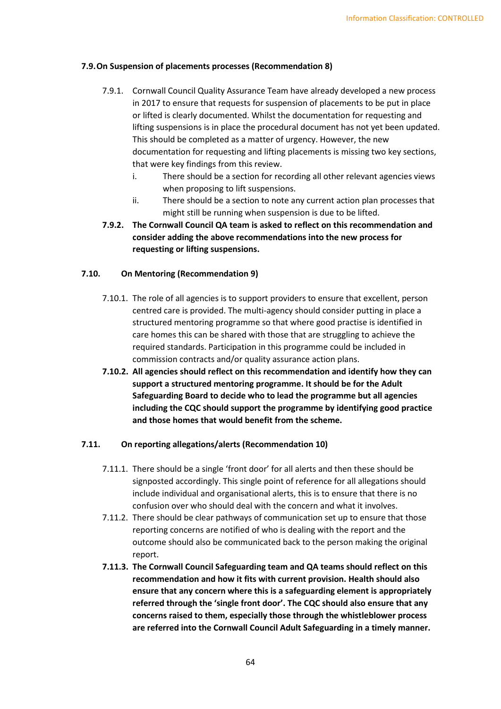## **7.9.On Suspension of placements processes (Recommendation 8)**

- 7.9.1. Cornwall Council Quality Assurance Team have already developed a new process in 2017 to ensure that requests for suspension of placements to be put in place or lifted is clearly documented. Whilst the documentation for requesting and lifting suspensions is in place the procedural document has not yet been updated. This should be completed as a matter of urgency. However, the new documentation for requesting and lifting placements is missing two key sections, that were key findings from this review.
	- i. There should be a section for recording all other relevant agencies views when proposing to lift suspensions.
	- ii. There should be a section to note any current action plan processes that might still be running when suspension is due to be lifted.
- **7.9.2. The Cornwall Council QA team is asked to reflect on this recommendation and consider adding the above recommendations into the new process for requesting or lifting suspensions.**

#### **7.10. On Mentoring (Recommendation 9)**

- 7.10.1. The role of all agencies is to support providers to ensure that excellent, person centred care is provided. The multi-agency should consider putting in place a structured mentoring programme so that where good practise is identified in care homes this can be shared with those that are struggling to achieve the required standards. Participation in this programme could be included in commission contracts and/or quality assurance action plans.
- **7.10.2. All agencies should reflect on this recommendation and identify how they can support a structured mentoring programme. It should be for the Adult Safeguarding Board to decide who to lead the programme but all agencies including the CQC should support the programme by identifying good practice and those homes that would benefit from the scheme.**

#### **7.11. On reporting allegations/alerts (Recommendation 10)**

- 7.11.1. There should be a single 'front door' for all alerts and then these should be signposted accordingly. This single point of reference for all allegations should include individual and organisational alerts, this is to ensure that there is no confusion over who should deal with the concern and what it involves.
- 7.11.2. There should be clear pathways of communication set up to ensure that those reporting concerns are notified of who is dealing with the report and the outcome should also be communicated back to the person making the original report.
- **7.11.3. The Cornwall Council Safeguarding team and QA teams should reflect on this recommendation and how it fits with current provision. Health should also ensure that any concern where this is a safeguarding element is appropriately referred through the 'single front door'. The CQC should also ensure that any concerns raised to them, especially those through the whistleblower process are referred into the Cornwall Council Adult Safeguarding in a timely manner.**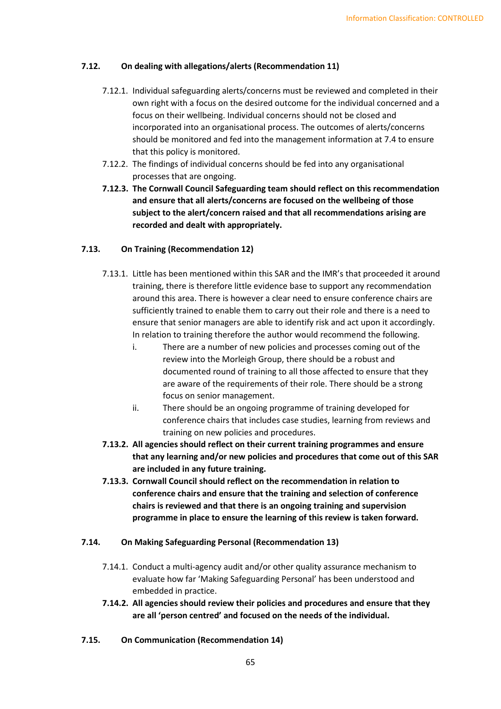## **7.12. On dealing with allegations/alerts (Recommendation 11)**

- 7.12.1. Individual safeguarding alerts/concerns must be reviewed and completed in their own right with a focus on the desired outcome for the individual concerned and a focus on their wellbeing. Individual concerns should not be closed and incorporated into an organisational process. The outcomes of alerts/concerns should be monitored and fed into the management information at 7.4 to ensure that this policy is monitored.
- 7.12.2. The findings of individual concerns should be fed into any organisational processes that are ongoing.
- **7.12.3. The Cornwall Council Safeguarding team should reflect on this recommendation and ensure that all alerts/concerns are focused on the wellbeing of those subject to the alert/concern raised and that all recommendations arising are recorded and dealt with appropriately.**

# **7.13. On Training (Recommendation 12)**

- 7.13.1. Little has been mentioned within this SAR and the IMR's that proceeded it around training, there is therefore little evidence base to support any recommendation around this area. There is however a clear need to ensure conference chairs are sufficiently trained to enable them to carry out their role and there is a need to ensure that senior managers are able to identify risk and act upon it accordingly. In relation to training therefore the author would recommend the following.
	- i. There are a number of new policies and processes coming out of the review into the Morleigh Group, there should be a robust and documented round of training to all those affected to ensure that they are aware of the requirements of their role. There should be a strong focus on senior management.
	- ii. There should be an ongoing programme of training developed for conference chairs that includes case studies, learning from reviews and training on new policies and procedures.
- **7.13.2. All agencies should reflect on their current training programmes and ensure that any learning and/or new policies and procedures that come out of this SAR are included in any future training.**
- **7.13.3. Cornwall Council should reflect on the recommendation in relation to conference chairs and ensure that the training and selection of conference chairs is reviewed and that there is an ongoing training and supervision programme in place to ensure the learning of this review is taken forward.**

## **7.14. On Making Safeguarding Personal (Recommendation 13)**

- 7.14.1. Conduct a multi-agency audit and/or other quality assurance mechanism to evaluate how far 'Making Safeguarding Personal' has been understood and embedded in practice.
- **7.14.2. All agencies should review their policies and procedures and ensure that they are all 'person centred' and focused on the needs of the individual.**
- **7.15. On Communication (Recommendation 14)**